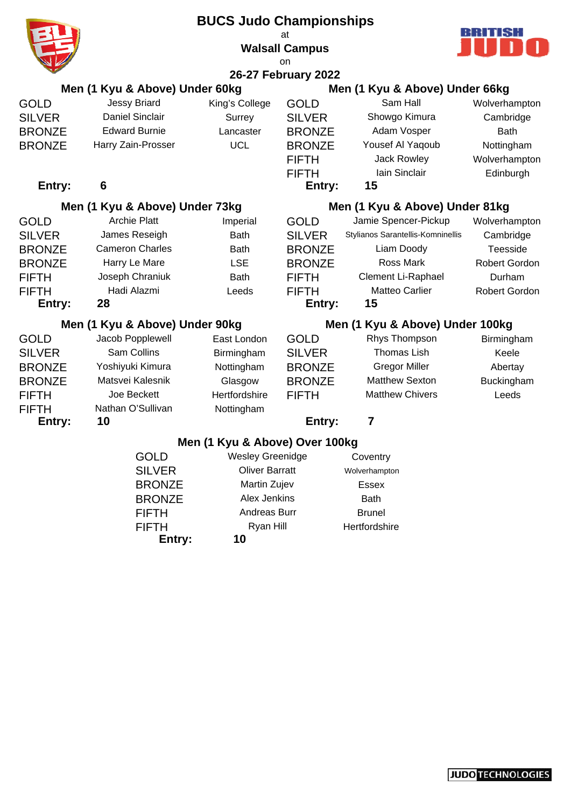|               |                                | <b>BUCS Judo Championships</b> | at<br><b>Walsall Campus</b> |                                   | BBITSB               |
|---------------|--------------------------------|--------------------------------|-----------------------------|-----------------------------------|----------------------|
|               |                                |                                | on                          |                                   |                      |
|               |                                |                                | 26-27 February 2022         |                                   |                      |
|               | Men (1 Kyu & Above) Under 60kg |                                |                             | Men (1 Kyu & Above) Under 66kg    |                      |
| GOLD          | <b>Jessy Briard</b>            | King's College                 | <b>GOLD</b>                 | Sam Hall                          | Wolverhampton        |
| SILVER        | <b>Daniel Sinclair</b>         | Surrey                         | <b>SILVER</b>               | Showgo Kimura                     | Cambridge            |
| <b>BRONZE</b> | <b>Edward Burnie</b>           | Lancaster                      | <b>BRONZE</b>               | Adam Vosper                       | <b>Bath</b>          |
| <b>BRONZE</b> | Harry Zain-Prosser             | <b>UCL</b>                     | <b>BRONZE</b>               | Yousef Al Yaqoub                  | Nottingham           |
|               |                                |                                | <b>FIFTH</b>                | Jack Rowley                       | Wolverhampton        |
|               |                                |                                | <b>FIFTH</b>                | Iain Sinclair                     | Edinburgh            |
| Entry:        | 6                              |                                | Entry:                      | 15                                |                      |
|               | Men (1 Kyu & Above) Under 73kg |                                |                             | Men (1 Kyu & Above) Under 81kg    |                      |
| GOLD          | <b>Archie Platt</b>            | Imperial                       | <b>GOLD</b>                 | Jamie Spencer-Pickup              | Wolverhampton        |
| <b>SILVER</b> | James Reseigh                  | <b>Bath</b>                    | <b>SILVER</b>               | Stylianos Sarantellis-Komninellis | Cambridge            |
| <b>BRONZE</b> | <b>Cameron Charles</b>         | <b>Bath</b>                    | <b>BRONZE</b>               | Liam Doody                        | Teesside             |
| <b>BRONZE</b> | Harry Le Mare                  | <b>LSE</b>                     | <b>BRONZE</b>               | <b>Ross Mark</b>                  | <b>Robert Gordon</b> |
| FIFTH         | Joseph Chraniuk                | <b>Bath</b>                    | <b>FIFTH</b>                | Clement Li-Raphael                | Durham               |
| FIFTH         | Hadi Alazmi                    | Leeds                          | <b>FIFTH</b>                | <b>Matteo Carlier</b>             | <b>Robert Gordon</b> |
| Entry:        | 28                             |                                | Entry:                      | 15                                |                      |
|               | Men (1 Kyu & Above) Under 90kg |                                |                             | Men (1 Kyu & Above) Under 100kg   |                      |
| GOLD          | Jacob Popplewell               | East London                    | <b>GOLD</b>                 | Rhys Thompson                     | Birmingham           |
| <b>SILVER</b> | Sam Collins                    | Birmingham                     | <b>SILVER</b>               | <b>Thomas Lish</b>                | Keele                |
| <b>BRONZE</b> | Yoshiyuki Kimura               | Nottingham                     | <b>BRONZE</b>               | <b>Gregor Miller</b>              | Abertay              |
| <b>BRONZE</b> | Matsvei Kalesnik               | Glasgow                        | <b>BRONZE</b>               | <b>Matthew Sexton</b>             | Buckingham           |
| FIFTH         | Joe Beckett                    | Hertfordshire                  | <b>FIFTH</b>                | <b>Matthew Chivers</b>            | Leeds                |
| FIFTH         | Nathan O'Sullivan              | Nottingham                     |                             |                                   |                      |
| Entry:        | 10                             |                                | Entry:                      | 7                                 |                      |
|               |                                | Men (1 Kyu & Above) Over 100kg |                             |                                   |                      |
|               | <b>GOLD</b>                    | <b>Wesley Greenidge</b>        |                             | Coventry                          |                      |
|               | <b>SILVER</b>                  | <b>Oliver Barratt</b>          |                             | Wolverhampton                     |                      |
|               | <b>BRONZE</b>                  | Martin Zujev                   |                             | Essex                             |                      |
|               | <b>BRONZE</b>                  | Alex Jenkins                   |                             | <b>Bath</b>                       |                      |
|               | <b>FIFTH</b>                   | Andreas Burr                   |                             | <b>Brunel</b>                     |                      |
|               | <b>FIFTH</b>                   | Ryan Hill                      |                             | Hertfordshire                     |                      |
|               | Entry:                         | 10                             |                             |                                   |                      |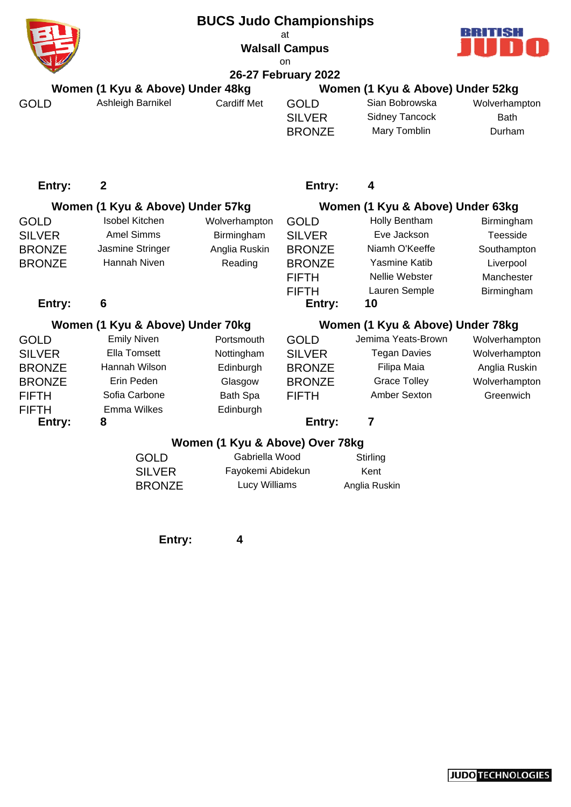|               |                                  | <b>BUCS Judo Championships</b>  | at<br><b>Walsall Campus</b><br>on |                                  |               |
|---------------|----------------------------------|---------------------------------|-----------------------------------|----------------------------------|---------------|
|               |                                  |                                 | 26-27 February 2022               |                                  |               |
|               | Women (1 Kyu & Above) Under 48kg |                                 |                                   | Women (1 Kyu & Above) Under 52kg |               |
| <b>GOLD</b>   | Ashleigh Barnikel                | <b>Cardiff Met</b>              | <b>GOLD</b>                       | Sian Bobrowska                   | Wolverhampton |
|               |                                  |                                 | <b>SILVER</b>                     | <b>Sidney Tancock</b>            | <b>Bath</b>   |
|               |                                  |                                 | <b>BRONZE</b>                     | Mary Tomblin                     | Durham        |
| Entry:        | $\boldsymbol{2}$                 |                                 | Entry:                            | 4                                |               |
|               | Women (1 Kyu & Above) Under 57kg |                                 |                                   | Women (1 Kyu & Above) Under 63kg |               |
| <b>GOLD</b>   | <b>Isobel Kitchen</b>            | Wolverhampton                   | <b>GOLD</b>                       | Holly Bentham                    | Birmingham    |
| <b>SILVER</b> | <b>Amel Simms</b>                | Birmingham                      | <b>SILVER</b>                     | Eve Jackson                      | Teesside      |
| <b>BRONZE</b> | Jasmine Stringer                 | Anglia Ruskin                   | <b>BRONZE</b>                     | Niamh O'Keeffe                   | Southampton   |
| <b>BRONZE</b> | Hannah Niven                     | Reading                         | <b>BRONZE</b>                     | Yasmine Katib                    | Liverpool     |
|               |                                  |                                 | <b>FIFTH</b>                      | Nellie Webster                   | Manchester    |
|               |                                  |                                 | <b>FIFTH</b>                      | Lauren Semple                    | Birmingham    |
| Entry:        | 6                                |                                 | Entry:                            | 10                               |               |
|               | Women (1 Kyu & Above) Under 70kg |                                 |                                   | Women (1 Kyu & Above) Under 78kg |               |
| <b>GOLD</b>   | <b>Emily Niven</b>               | Portsmouth                      | <b>GOLD</b>                       | Jemima Yeats-Brown               | Wolverhampton |
| <b>SILVER</b> | <b>Ella Tomsett</b>              | Nottingham                      | <b>SILVER</b>                     | <b>Tegan Davies</b>              | Wolverhampton |
| <b>BRONZE</b> | Hannah Wilson                    | Edinburgh                       | <b>BRONZE</b>                     | Filipa Maia                      | Anglia Ruskin |
| <b>BRONZE</b> | Erin Peden                       | Glasgow                         | <b>BRONZE</b>                     | <b>Grace Tolley</b>              | Wolverhampton |
| <b>FIFTH</b>  | Sofia Carbone                    | <b>Bath Spa</b>                 | <b>FIFTH</b>                      | <b>Amber Sexton</b>              | Greenwich     |
| <b>FIFTH</b>  | Emma Wilkes                      | Edinburgh                       |                                   |                                  |               |
| Entry:        | 8                                |                                 | Entry:                            | 7                                |               |
|               |                                  | Women (1 Kyu & Above) Over 78kg |                                   |                                  |               |
|               | <b>GOLD</b>                      | Gabriella Wood                  |                                   | Stirling                         |               |
|               | <b>SILVER</b>                    | Fayokemi Abidekun               |                                   | Kent                             |               |
|               | <b>BRONZE</b>                    | Lucy Williams                   |                                   | Anglia Ruskin                    |               |

**Entry: 4**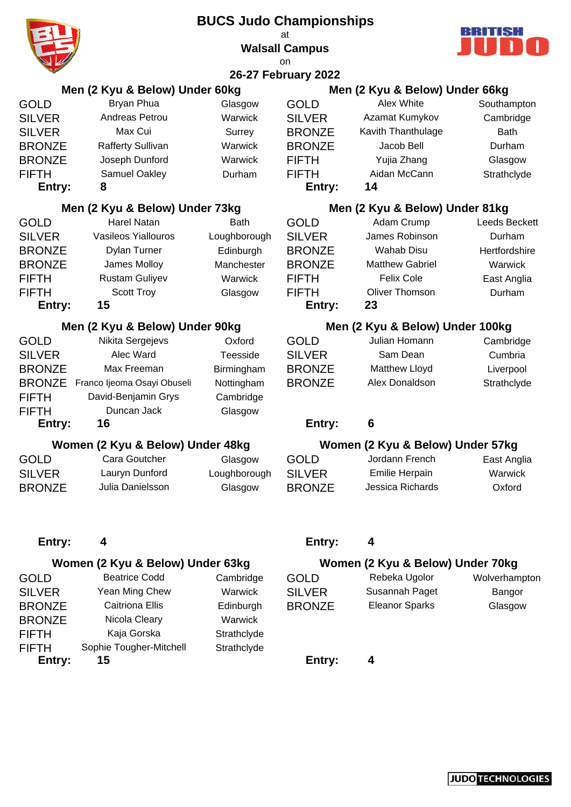|                |                                    | <b>BUCS Judo Championships</b> |                             |                                                    | ааныз             |
|----------------|------------------------------------|--------------------------------|-----------------------------|----------------------------------------------------|-------------------|
|                |                                    |                                | at<br><b>Walsall Campus</b> |                                                    |                   |
|                |                                    |                                | on                          |                                                    |                   |
|                |                                    |                                | 26-27 February 2022         |                                                    |                   |
|                | Men (2 Kyu & Below) Under 60kg     |                                |                             | Men (2 Kyu & Below) Under 66kg                     |                   |
| GOLD           | Bryan Phua                         | Glasgow                        | <b>GOLD</b>                 | Alex White                                         | Southampton       |
| <b>SILVER</b>  | Andreas Petrou                     | Warwick                        | <b>SILVER</b>               | Azamat Kumykov                                     | Cambridge         |
| <b>SILVER</b>  | Max Cui                            | Surrey                         | <b>BRONZE</b>               | Kavith Thanthulage                                 | <b>Bath</b>       |
| <b>BRONZE</b>  | <b>Rafferty Sullivan</b>           | Warwick                        | <b>BRONZE</b>               | Jacob Bell                                         | Durham            |
| <b>BRONZE</b>  | Joseph Dunford                     | Warwick                        | <b>FIFTH</b>                | Yujia Zhang                                        | Glasgow           |
| FIFTH          | Samuel Oakley                      | Durham                         | <b>FIFTH</b>                | Aidan McCann                                       | Strathclyde       |
| Entry:         | 8                                  |                                | Entry:                      | 14                                                 |                   |
|                | Men (2 Kyu & Below) Under 73kg     |                                |                             | Men (2 Kyu & Below) Under 81kg                     |                   |
| GOLD           | <b>Harel Natan</b>                 | <b>Bath</b>                    | <b>GOLD</b>                 | Adam Crump                                         | Leeds Beckett     |
| <b>SILVER</b>  | <b>Vasileos Yiallouros</b>         | Loughborough                   | <b>SILVER</b>               | James Robinson                                     | Durham            |
| <b>BRONZE</b>  | Dylan Turner                       | Edinburgh                      | <b>BRONZE</b>               | <b>Wahab Disu</b>                                  | Hertfordshire     |
| <b>BRONZE</b>  | James Molloy                       | Manchester                     | <b>BRONZE</b>               | <b>Matthew Gabriel</b>                             | Warwick           |
| FIFTH          | Rustam Guliyev                     | Warwick                        | <b>FIFTH</b>                | <b>Felix Cole</b>                                  | East Anglia       |
| FIFTH          | <b>Scott Troy</b>                  | Glasgow                        | <b>FIFTH</b>                | <b>Oliver Thomson</b>                              | Durham            |
| Entry:         | 15                                 |                                | Entry:                      | 23                                                 |                   |
|                | Men (2 Kyu & Below) Under 90kg     |                                |                             | Men (2 Kyu & Below) Under 100kg                    |                   |
| GOLD           | Nikita Sergejevs                   | Oxford                         | <b>GOLD</b>                 | Julian Homann                                      | Cambridge         |
| <b>SILVER</b>  | Alec Ward                          | Teesside                       | <b>SILVER</b>               | Sam Dean                                           | Cumbria           |
| <b>BRONZE</b>  | Max Freeman                        | Birmingham                     | <b>BRONZE</b>               | Matthew Lloyd                                      | Liverpool         |
| <b>BRONZE</b>  | Franco Ijeoma Osayi Obuseli        | Nottingham                     | <b>BRONZE</b>               | Alex Donaldson                                     | Strathclyde       |
| <b>FIFTH</b>   | David-Benjamin Grys                | Cambridge                      |                             |                                                    |                   |
| FIFTH          | Duncan Jack                        | Glasgow                        |                             |                                                    |                   |
| Entry:         | 16                                 |                                | Entry:                      | 6                                                  |                   |
|                |                                    |                                |                             |                                                    |                   |
|                | Women (2 Kyu & Below) Under 48kg   |                                |                             | Women (2 Kyu & Below) Under 57kg<br>Jordann French |                   |
| GOLD           | Cara Goutcher                      | Glasgow                        | <b>GOLD</b>                 |                                                    | East Anglia       |
| <b>SILVER</b>  | Lauryn Dunford<br>Julia Danielsson | Loughborough                   | <b>SILVER</b>               | <b>Emilie Herpain</b><br>Jessica Richards          | Warwick<br>Oxford |
| <b>BRONZE</b>  |                                    | Glasgow                        | <b>BRONZE</b>               |                                                    |                   |
| Entry:         | 4                                  |                                | Entry:                      | 4                                                  |                   |
|                | Women (2 Kyu & Below) Under 63kg   |                                |                             | Women (2 Kyu & Below) Under 70kg                   |                   |
| GOLD           | <b>Beatrice Codd</b>               | Cambridge                      | <b>GOLD</b>                 | Rebeka Ugolor                                      | Wolverhampton     |
| SILVER         | Yean Ming Chew                     | Warwick                        | <b>SILVER</b>               | Susannah Paget                                     | Bangor            |
| <b>BRONZE</b>  | <b>Caitriona Ellis</b>             | Edinburgh                      | <b>BRONZE</b>               | <b>Eleanor Sparks</b>                              | Glasgow           |
| <b>BRONZE</b>  | Nicola Cleary                      | Warwick                        |                             |                                                    |                   |
|                | Kaja Gorska                        | Strathclyde                    |                             |                                                    |                   |
| FIFTH<br>FIFTH | Sophie Tougher-Mitchell            | Strathclyde                    |                             |                                                    |                   |
| Entry:         | 15                                 |                                | Entry:                      | 4                                                  |                   |
|                |                                    |                                |                             |                                                    |                   |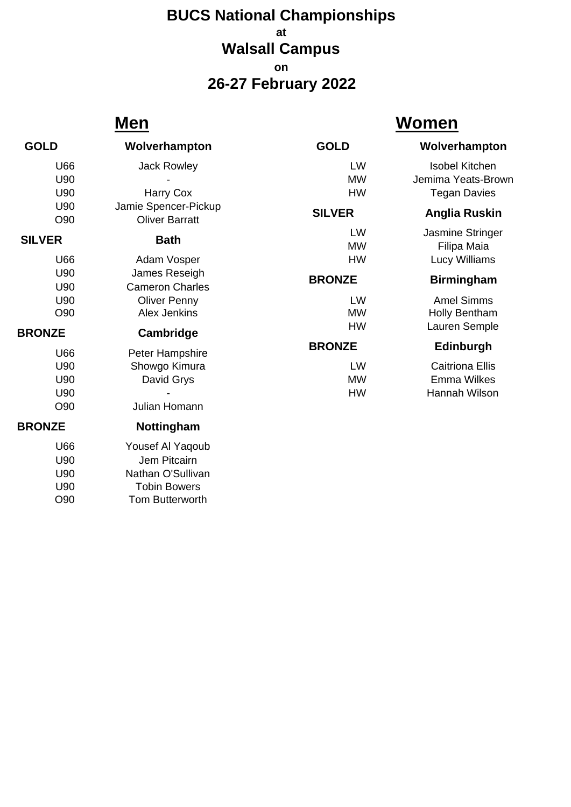## **at Walsall Campus on 26-27 February 2022 BUCS National Championships**

# **Men Women**

U90 Nathan O'Sullivan U90 Tobin Bowers O90 Tom Butterworth

| <b>GOLD</b>   | Wolverhampton          | <b>GOLD</b>   | Wolverhampton          |
|---------------|------------------------|---------------|------------------------|
| U66           | Jack Rowley            | LW            | <b>Isobel Kitchen</b>  |
| U90           |                        | <b>MW</b>     | Jemima Yeats-Brown     |
| U90           | Harry Cox              | HW            | <b>Tegan Davies</b>    |
| U90           | Jamie Spencer-Pickup   |               |                        |
| O90           | <b>Oliver Barratt</b>  | <b>SILVER</b> | Anglia Ruskin          |
| <b>SILVER</b> |                        | LW            | Jasmine Stringer       |
|               | <b>Bath</b>            | <b>MW</b>     | Filipa Maia            |
| U66           | Adam Vosper            | <b>HW</b>     | Lucy Williams          |
| U90           | James Reseigh          | <b>BRONZE</b> | <b>Birmingham</b>      |
| U90           | <b>Cameron Charles</b> |               |                        |
| U90           | <b>Oliver Penny</b>    | LW            | <b>Amel Simms</b>      |
| O90           | <b>Alex Jenkins</b>    | <b>MW</b>     | Holly Bentham          |
| <b>BRONZE</b> | Cambridge              | HW            | Lauren Semple          |
| U66           |                        | <b>BRONZE</b> | <b>Edinburgh</b>       |
| U90           | Peter Hampshire        | LW            | <b>Caitriona Ellis</b> |
|               | Showgo Kimura          |               |                        |
| U90           | David Grys             | <b>MW</b>     | <b>Emma Wilkes</b>     |
| U90           |                        | <b>HW</b>     | Hannah Wilson          |
| O90           | Julian Homann          |               |                        |
| <b>BRONZE</b> | Nottingham             |               |                        |
| U66           | Yousef Al Yaqoub       |               |                        |
| U90           | Jem Pitcairn           |               |                        |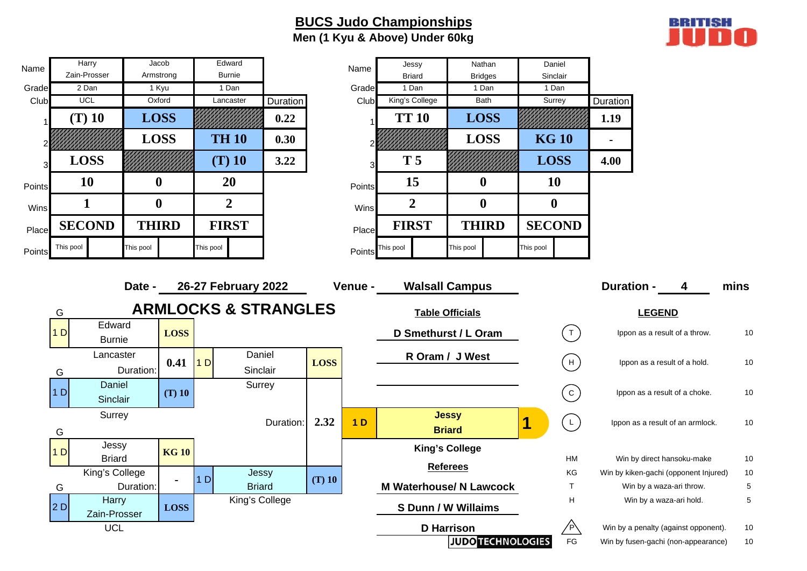### **BUCS Judo Championships Men (1 Kyu & Above) Under 60kg**



| Name   | Harry                                     | Jacob            |                |                | Edward                          |                 |             | Name           | Jessy          |                               | Nathan                         |                  | Daniel                |                                       |                                      |      |
|--------|-------------------------------------------|------------------|----------------|----------------|---------------------------------|-----------------|-------------|----------------|----------------|-------------------------------|--------------------------------|------------------|-----------------------|---------------------------------------|--------------------------------------|------|
|        | Zain-Prosser                              | Armstrong        |                |                | <b>Burnie</b>                   |                 |             |                | <b>Briard</b>  |                               | <b>Bridges</b>                 | Sinclair         |                       |                                       |                                      |      |
| Grade  | 2 Dan                                     | 1 Kyu            |                |                | 1 Dan                           |                 |             | Grade          | 1 Dan          |                               | 1 Dan                          | 1 Dan            |                       |                                       |                                      |      |
| Club   | <b>UCL</b>                                | Oxford           |                |                | Lancaster                       | <b>Duration</b> |             | Club           | King's College |                               | Bath                           |                  | Surrey                | Duration                              |                                      |      |
|        | $(T)$ 10                                  | <b>LOSS</b>      |                |                |                                 | 0.22            |             |                | <b>TT 10</b>   |                               | <b>LOSS</b>                    |                  |                       | 1.19                                  |                                      |      |
|        |                                           | <b>LOSS</b>      |                |                | <b>TH 10</b>                    | 0.30            |             |                |                |                               | <b>LOSS</b>                    | <b>KG 10</b>     |                       | $\blacksquare$                        |                                      |      |
|        | <b>LOSS</b>                               |                  |                |                | $(T)$ 10                        | 3.22            |             |                | <b>T5</b>      |                               |                                | <b>LOSS</b>      |                       | 4.00                                  |                                      |      |
| Points | 10                                        | $\boldsymbol{0}$ |                |                | 20                              |                 |             | Points         | 15             |                               | $\boldsymbol{0}$               | <b>10</b>        |                       |                                       |                                      |      |
| Wins   | $\mathbf{1}$                              | $\boldsymbol{0}$ |                |                | $\overline{2}$                  |                 |             | Wins           | $\overline{2}$ |                               | $\boldsymbol{0}$               | $\boldsymbol{0}$ |                       |                                       |                                      |      |
| Place  | <b>SECOND</b>                             | <b>THIRD</b>     |                |                | <b>FIRST</b>                    |                 |             | Place          | <b>FIRST</b>   |                               | <b>THIRD</b>                   | <b>SECOND</b>    |                       |                                       |                                      |      |
| Points | This pool                                 | This pool        |                | This pool      |                                 |                 |             | Points         | This pool      |                               | This pool                      | This pool        |                       |                                       |                                      |      |
|        |                                           |                  |                |                |                                 |                 |             |                |                |                               |                                |                  |                       |                                       |                                      |      |
|        |                                           | Date -           |                |                | 26-27 February 2022             |                 |             | Venue -        |                |                               | <b>Walsall Campus</b>          |                  |                       | <b>Duration -</b>                     | 4                                    | mins |
|        |                                           |                  |                |                |                                 |                 |             |                |                |                               |                                |                  |                       |                                       |                                      |      |
|        | G                                         |                  |                |                | <b>ARMLOCKS &amp; STRANGLES</b> |                 |             |                |                |                               | <b>Table Officials</b>         |                  |                       | <b>LEGEND</b>                         |                                      |      |
|        | Edward<br>1 <sub>D</sub><br><b>Burnie</b> |                  | <b>LOSS</b>    |                |                                 |                 |             |                |                |                               | D Smethurst / L Oram           |                  | (т`                   |                                       | Ippon as a result of a throw.        | 10   |
|        | Lancaster                                 |                  | 0.41           | 1D             | Daniel                          |                 | <b>LOSS</b> |                |                |                               | R Oram / J West                |                  | H                     |                                       | Ippon as a result of a hold.         | 10   |
|        | G                                         | Duration:        |                |                | Sinclair                        |                 |             |                |                |                               |                                |                  |                       |                                       |                                      |      |
|        | Daniel<br>1D                              |                  | $(T)$ 10       |                | Surrey                          |                 |             |                |                |                               |                                |                  | $\left( $ C $\right)$ |                                       | Ippon as a result of a choke.        | 10   |
|        | Sinclair                                  |                  |                |                |                                 |                 |             |                |                |                               |                                |                  |                       |                                       |                                      |      |
|        | Surrey<br>G                               |                  |                |                |                                 | Duration:       | 2.32        | 1 <sub>D</sub> |                | <b>Jessy</b><br><b>Briard</b> |                                |                  | $(\bot)$              |                                       | Ippon as a result of an armlock.     | 10   |
|        | Jessy                                     |                  |                |                |                                 |                 |             |                |                |                               |                                |                  |                       |                                       |                                      |      |
|        | 1 <sub>D</sub><br><b>Briard</b>           |                  | <b>KG10</b>    |                |                                 |                 |             |                |                |                               | <b>King's College</b>          |                  | HM                    |                                       | Win by direct hansoku-make           | 10   |
|        | King's College                            |                  |                |                | Jessy                           |                 |             |                |                | <b>Referees</b>               |                                |                  | KG                    | Win by kiken-gachi (opponent Injured) |                                      | 10   |
|        | G                                         | Duration:        | $\blacksquare$ | 1 <sub>D</sub> | <b>Briard</b>                   |                 | $(T)$ 10    |                |                |                               | <b>M Waterhouse/ N Lawcock</b> |                  | $\top$                |                                       | Win by a waza-ari throw.             | 5    |
|        | Harry                                     |                  |                |                | King's College                  |                 |             |                |                |                               |                                |                  | H                     |                                       | Win by a waza-ari hold.              | 5    |
|        | 2D<br>Zain-Prosser                        |                  | <b>LOSS</b>    |                |                                 |                 |             |                |                |                               | S Dunn / W Willaims            |                  |                       |                                       |                                      |      |
|        | <b>UCL</b>                                |                  |                |                |                                 |                 |             |                |                | <b>D</b> Harrison             |                                |                  | ⁄Р`                   |                                       | Win by a penalty (against opponent). | 10   |
|        |                                           |                  |                |                |                                 |                 |             |                |                |                               | <b>JUDO TECHNOLOGIES</b>       |                  | <b>FG</b>             | Win by fusen-gachi (non-appearance)   |                                      | 10   |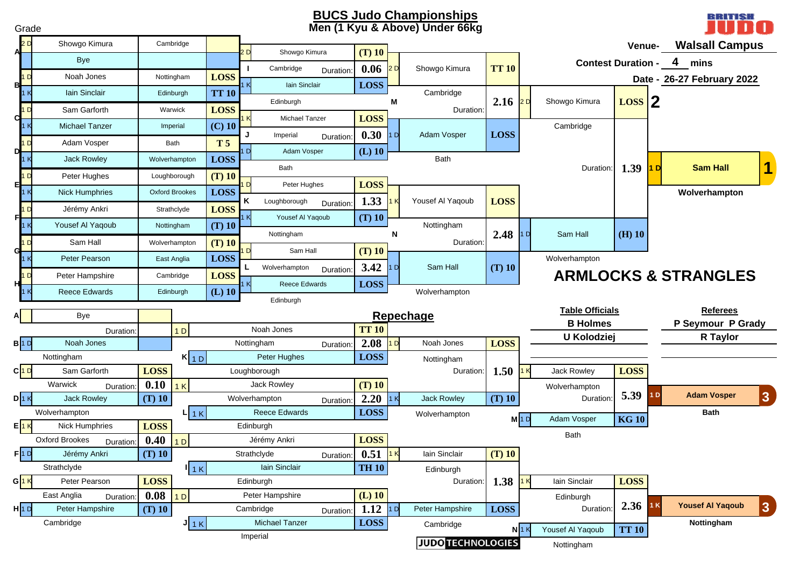#### **BUCS Judo Championships Men (1 Kyu & Above) Under 66k g**

| Grade                |                                             |                  |                       |                |                              |           |                  |                | <b>BUCS Judo Championships</b><br>Men (1 Kyu & Above) Under 66kg |              |                    |                           |                   |                | BRITISH<br>Inn                  |
|----------------------|---------------------------------------------|------------------|-----------------------|----------------|------------------------------|-----------|------------------|----------------|------------------------------------------------------------------|--------------|--------------------|---------------------------|-------------------|----------------|---------------------------------|
| 2D                   | Showgo Kimura                               |                  | Cambridge             |                |                              |           |                  |                |                                                                  |              |                    |                           | Venue-            |                | <b>Walsall Campus</b>           |
|                      | Bye                                         |                  |                       |                | Showgo Kimura                |           | $(T)$ 10         |                |                                                                  |              |                    | <b>Contest Duration -</b> |                   |                | 4<br>mins                       |
|                      | Noah Jones                                  |                  | Nottingham            | <b>LOSS</b>    | Cambridge                    | Duration: | 0.06             | 2D             | Showgo Kimura                                                    | <b>TT 10</b> |                    |                           |                   |                |                                 |
| вŀ                   | Iain Sinclair                               |                  | Edinburgh             | <b>TT 10</b>   | lain Sinclair                |           | <b>LOSS</b>      |                | Cambridge                                                        |              |                    |                           |                   |                | Date - 26-27 February 2022      |
|                      |                                             |                  |                       |                | Edinburgh                    |           |                  | М              |                                                                  | 2.16         | 2D                 | Showgo Kimura             | $\text{Loss}$   2 |                |                                 |
| dŀ                   | Sam Garforth                                |                  | Warwick               | <b>LOSS</b>    | Michael Tanzer               |           | <b>LOSS</b>      |                | Duration:                                                        |              |                    |                           |                   |                |                                 |
|                      | <b>Michael Tanzer</b>                       |                  | Imperial              | $(C)$ 10       | Imperial                     | Duration: | 0.30             | 1 D            | Adam Vosper                                                      | <b>LOSS</b>  |                    | Cambridge                 |                   |                |                                 |
| 1 <sub>D</sub>       | Adam Vosper                                 |                  | Bath                  | T <sub>5</sub> | Adam Vosper                  |           | $(L)$ 10         |                |                                                                  |              |                    |                           |                   |                |                                 |
|                      | <b>Jack Rowley</b>                          |                  | Wolverhampton         | <b>LOSS</b>    | Bath                         |           |                  |                | Bath                                                             |              |                    | Duration:                 | $1.39$ 1 D        |                | <b>Sam Hall</b>                 |
|                      | Peter Hughes                                |                  | Loughborough          | $(T)$ 10       |                              |           |                  |                |                                                                  |              |                    |                           |                   |                |                                 |
| 타                    | <b>Nick Humphries</b>                       |                  | <b>Oxford Brookes</b> | LOSS           | Peter Hughes                 |           | <b>LOSS</b>      |                |                                                                  |              |                    |                           |                   |                | Wolverhampton                   |
|                      | Jérémy Ankri                                |                  | Strathclyde           | <b>LOSS</b>    | Κ<br>Loughborough            | Duration: | 1.33             |                | Yousef Al Yaqoub                                                 | <b>LOSS</b>  |                    |                           |                   |                |                                 |
|                      | Yousef Al Yaqoub                            |                  | Nottingham            | $(T)$ 10       | Yousef Al Yaqoub             |           | $(T)$ 10         |                | Nottingham                                                       |              |                    |                           |                   |                |                                 |
| 1 <sub>D</sub>       | Sam Hall                                    |                  | Wolverhampton         | $(T)$ 10       | Nottingham                   |           |                  | N              | Duration:                                                        | 2.48         | 1D                 | Sam Hall                  | $(H)$ 10          |                |                                 |
| d                    | Peter Pearson                               |                  | East Anglia           | <b>LOSS</b>    | Sam Hall                     |           | $(T)$ 10         |                |                                                                  |              |                    | Wolverhampton             |                   |                |                                 |
|                      |                                             |                  |                       |                | Wolverhampton                | Duration: | 3.42             | 1 D            | Sam Hall                                                         | $(T)$ 10     |                    |                           |                   |                |                                 |
|                      | Peter Hampshire                             |                  | Cambridge             | <b>LOSS</b>    | <b>Reece Edwards</b>         |           | <b>LOSS</b>      |                |                                                                  |              |                    |                           |                   |                | <b>ARMLOCKS &amp; STRANGLES</b> |
|                      | <b>Reece Edwards</b>                        |                  | Edinburgh             | $(L)$ 10       | Edinburgh                    |           |                  |                | Wolverhampton                                                    |              |                    |                           |                   |                |                                 |
|                      | Bye                                         |                  |                       |                |                              |           |                  |                | Repechage                                                        |              |                    | <b>Table Officials</b>    |                   |                | <b>Referees</b>                 |
|                      | Duration                                    |                  | 1 <sub>D</sub>        |                | Noah Jones                   |           | <b>TT 10</b>     |                |                                                                  |              |                    | <b>B Holmes</b>           |                   |                | P Seymour P Grady               |
| B 1D                 | Noah Jones                                  |                  |                       |                | Nottingham                   | Duration: | 2.08             | 1D             | Noah Jones                                                       | <b>LOSS</b>  |                    | U Kolodziej               |                   |                | R Taylor                        |
|                      | Nottingham                                  |                  | $K$ <sub>1D</sub>     |                | Peter Hughes                 |           | <b>LOSS</b>      |                | Nottingham                                                       |              |                    |                           |                   |                |                                 |
| $C$ <sup>1</sup>     | Sam Garforth                                | <b>LOSS</b>      |                       |                | Loughborough                 |           |                  |                | Duration:                                                        | 1.50         |                    | Jack Rowley               | <b>LOSS</b>       |                |                                 |
|                      | Warwick<br>Duration:                        | 0.10             | 1K                    |                | Jack Rowley                  |           | $(T)$ 10         |                |                                                                  |              |                    | Wolverhampton             |                   |                |                                 |
| $D$ <sup>1</sup> $K$ | <b>Jack Rowley</b>                          | $(T)$ 10         |                       |                | Wolverhampton                | Duration: | 2.20             | 1 <sub>K</sub> | <b>Jack Rowley</b>                                               | $(T)$ 10     |                    | Duration:                 | 5.39              | 1 <sub>D</sub> | <b>Adam Vosper</b><br> 3        |
|                      | Wolverhampton                               |                  | $L$ 1 K               |                | <b>Reece Edwards</b>         |           | <b>LOSS</b>      |                | Wolverhampton                                                    |              | $M$ <sup>1</sup> D | Adam Vosper               | <b>KG10</b>       |                | <b>Bath</b>                     |
| E 1K                 | Nick Humphries                              | <b>LOSS</b>      |                       |                | Edinburgh                    |           |                  |                |                                                                  |              |                    | Bath                      |                   |                |                                 |
|                      | Oxford Brookes Duration:                    | $0.40$ 1D        |                       |                | Jérémy Ankri                 |           | LOSS             |                |                                                                  |              |                    |                           |                   |                |                                 |
| F 1D                 | Jérémy Ankri                                | $(T)$ 10         |                       |                | Strathclyde                  | Duration: | 0.51             |                | Iain Sinclair                                                    | $(T)$ 10     |                    |                           |                   |                |                                 |
|                      | Strathclyde                                 |                  | 11K                   |                | Iain Sinclair                |           | <b>TH 10</b>     |                | Edinburgh                                                        |              |                    |                           |                   |                |                                 |
| $G\sqrt{1\,{\sf K}}$ | Peter Pearson                               | <b>LOSS</b>      |                       |                | Edinburgh                    |           |                  |                | Duration:                                                        | 1.38 $1K$    |                    | lain Sinclair             | <b>LOSS</b>       |                |                                 |
| H 1D                 | East Anglia<br>Duration:<br>Peter Hampshire | 0.08<br>$(T)$ 10 | 1 <sub>D</sub>        |                | Peter Hampshire<br>Cambridge |           | $(L)$ 10<br>1.12 | 1 D            | Peter Hampshire                                                  | <b>LOSS</b>  |                    | Edinburgh<br>Duration:    | $2.36$ 1K         |                | <b>Yousef Al Yaqoub</b><br> 3   |
|                      |                                             |                  |                       |                | <b>Michael Tanzer</b>        | Duration: | <b>LOSS</b>      |                |                                                                  |              |                    |                           |                   |                | Nottingham                      |
|                      |                                             |                  |                       |                |                              |           |                  |                |                                                                  |              |                    |                           |                   |                |                                 |
|                      | Cambridge                                   |                  | $J_{1K}$              |                | Imperial                     |           |                  |                | Cambridge<br><b>JUDO TECHNOLOGIES</b>                            |              | $N$ 1 K            | Yousef Al Yaqoub          | <b>TT 10</b>      |                |                                 |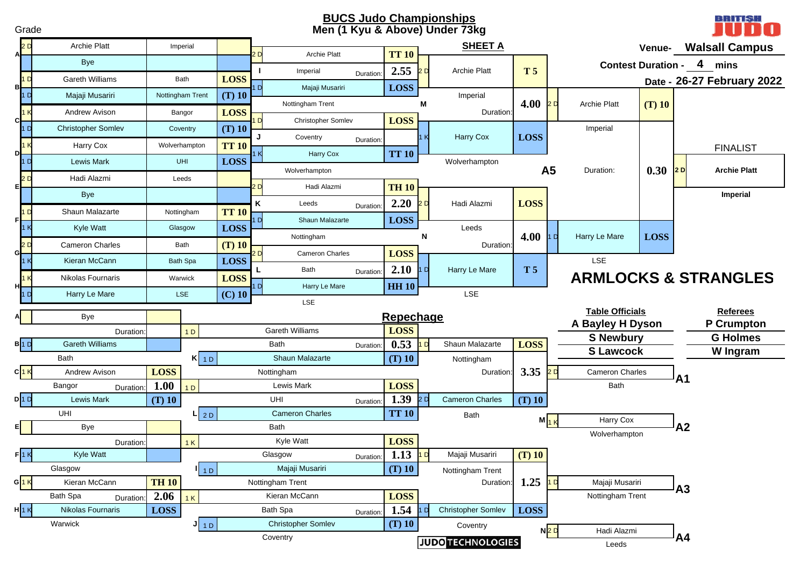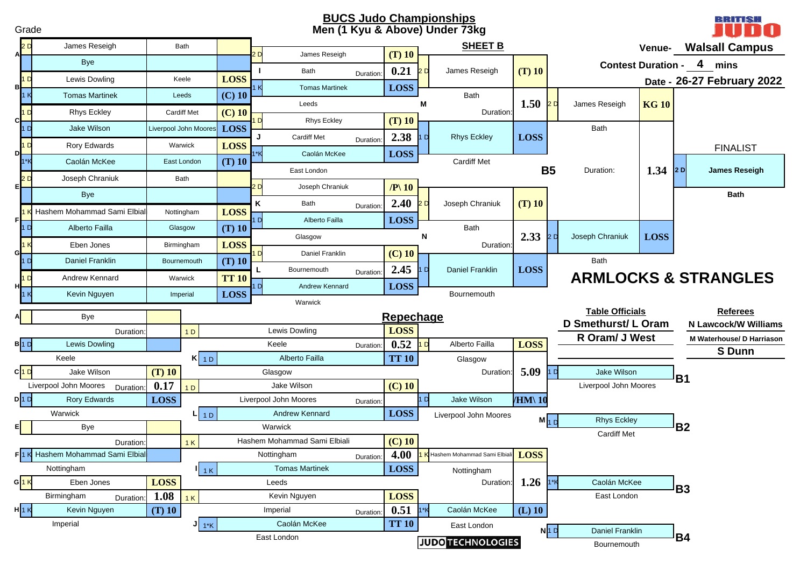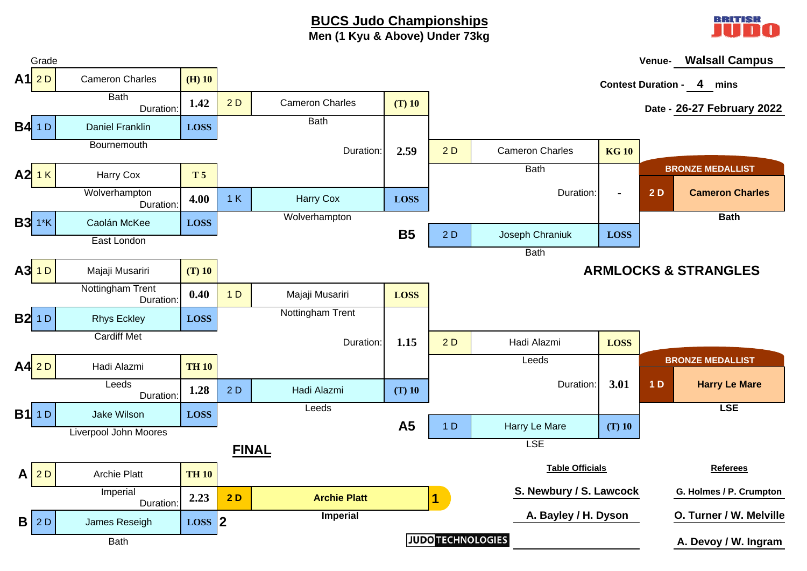### **BUCS Judo Championships Men (1 Kyu & Above) Under 73kg**



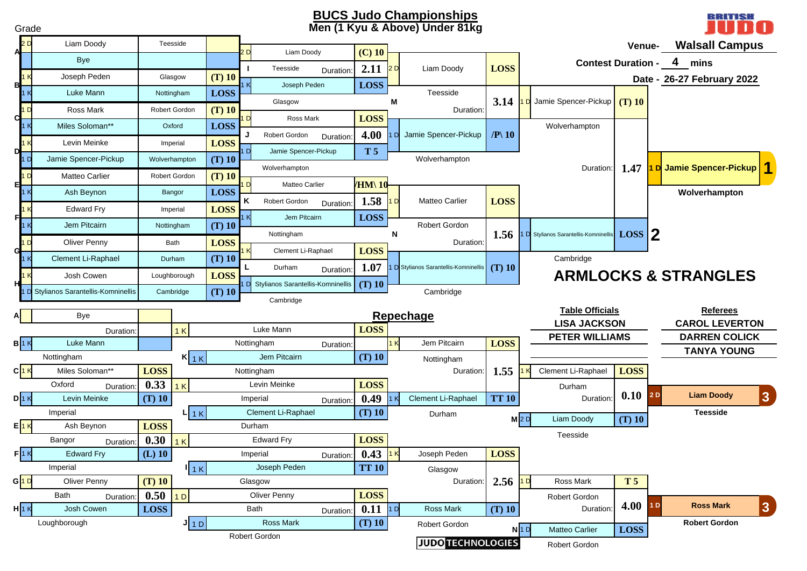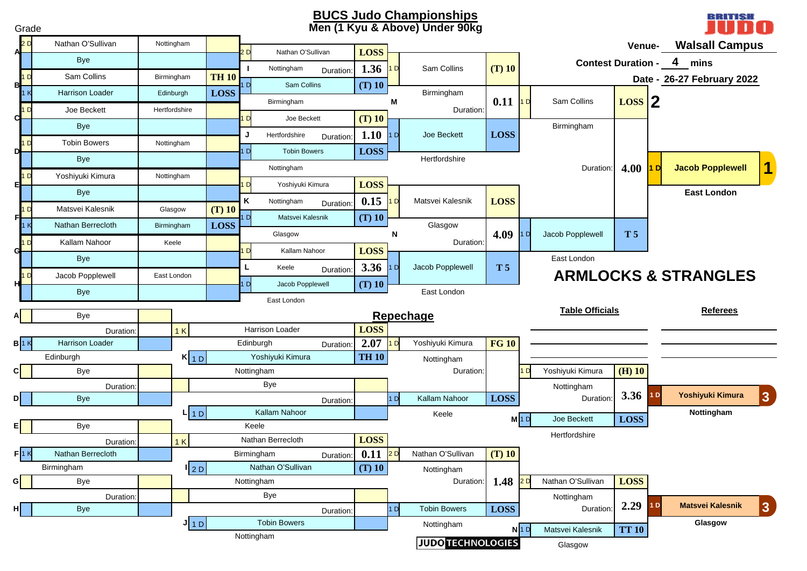

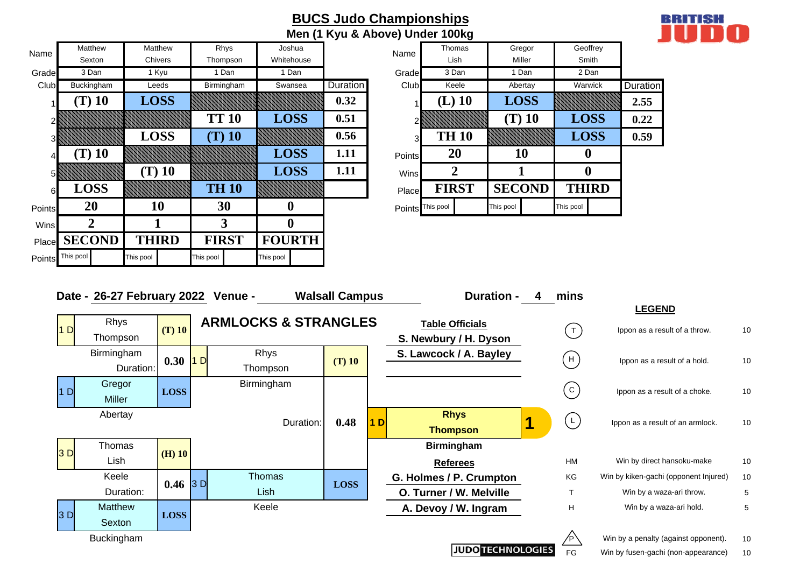|        |                   |              |              |               |          | <b>BUCS Judo Championships</b><br>Men (1 Kyu & Above) Under 100kg |              |               |              |          |
|--------|-------------------|--------------|--------------|---------------|----------|-------------------------------------------------------------------|--------------|---------------|--------------|----------|
| Name   | Matthew           | Matthew      | Rhys         | Joshua        |          | Name                                                              | Thomas       | Gregor        | Geoffrey     |          |
|        | Sexton            | Chivers      | Thompson     | Whitehouse    |          |                                                                   | Lish         | Miller        | Smith        |          |
| Grade  | 3 Dan             | 1 Kyu        | 1 Dan        | 1 Dan         |          | Grade                                                             | 3 Dan        | 1 Dan         | 2 Dan        |          |
| Club   | <b>Buckingham</b> | Leeds        | Birmingham   | Swansea       | Duration | Club                                                              | Keele        | Abertay       | Warwick      | Duration |
|        | $(T)$ 10          | <b>LOSS</b>  |              |               | 0.32     |                                                                   | $(L)$ 10     | <b>LOSS</b>   |              | 2.55     |
|        |                   |              | <b>TT 10</b> | <b>LOSS</b>   | 0.51     |                                                                   |              | $(T)$ 10      | <b>LOSS</b>  | 0.22     |
|        |                   | <b>LOSS</b>  | $(T)$ 10     |               | 0.56     | 3                                                                 | <b>TH 10</b> |               | <b>LOSS</b>  | 0.59     |
|        | $(T)$ 10          |              |              | <b>LOSS</b>   | 1.11     | Points                                                            | 20           | 10            | $\bf{0}$     |          |
| 51     |                   | $(T)$ 10     |              | <b>LOSS</b>   | 1.11     | Wins                                                              | 2            |               | $\bf{0}$     |          |
| 6      | <b>LOSS</b>       |              | <b>TH 10</b> |               |          | Place                                                             | <b>FIRST</b> | <b>SECOND</b> | <b>THIRD</b> |          |
| Points | <b>20</b>         | 10           | 30           | o             |          | Points This pool                                                  |              | This pool     | This pool    |          |
| Wins   | 2                 |              | 3            | 0             |          |                                                                   |              |               |              |          |
| Place  | <b>SECOND</b>     | <b>THIRD</b> | <b>FIRST</b> | <b>FOURTH</b> |          |                                                                   |              |               |              |          |

This pool **This pool** This pool

Points

This pool

|            |                 | Men (1 Kyu & Above) Under 100kg |              |       |               |          |              |          |                 |
|------------|-----------------|---------------------------------|--------------|-------|---------------|----------|--------------|----------|-----------------|
| loshua     |                 | Name                            | Thomas       |       |               | Gregor   |              | Geoffrey |                 |
| itehouse   |                 |                                 |              | Lish  |               | Miller   |              | Smith    |                 |
| 1 Dan      |                 | Grade                           |              | 3 Dan |               | 1 Dan    |              | 2 Dan    |                 |
| wansea     | <b>Duration</b> | Club                            |              | Keele |               | Abertay  | Warwick      |          | <b>Duration</b> |
|            | 0.32            |                                 | $(L)$ 10     |       | <b>LOSS</b>   |          |              |          | 2.55            |
| <b>OSS</b> | 0.51            | 2                               |              |       |               | $(T)$ 10 | <b>LOSS</b>  |          | 0.22            |
|            | 0.56            | 3                               | <b>TH 10</b> |       |               |          | <b>LOSS</b>  |          | 0.59            |
| <b>OSS</b> | 1.11            | <b>Points</b>                   | 20           |       | <b>10</b>     |          | 0            |          |                 |
| <b>OSS</b> | 1.11            | Wins                            | 2            |       |               |          |              |          |                 |
|            |                 | Place                           | <b>FIRST</b> |       | <b>SECOND</b> |          | <b>THIRD</b> |          |                 |
|            |                 | Points                          | This pool    |       | This pool     |          | This pool    |          |                 |

**BRITISH** 

n

|                | Date - 26-27 February 2022 Venue - |             |     |                                 | <b>Walsall Campus</b> |    | <b>Duration -</b>        | mins                |                                       |    |
|----------------|------------------------------------|-------------|-----|---------------------------------|-----------------------|----|--------------------------|---------------------|---------------------------------------|----|
|                |                                    |             |     |                                 |                       |    |                          |                     | <b>LEGEND</b>                         |    |
| 1 <sub>D</sub> | <b>Rhys</b>                        | $(T)$ 10    |     | <b>ARMLOCKS &amp; STRANGLES</b> |                       |    | <b>Table Officials</b>   | $\lceil$ T $\rceil$ | Ippon as a result of a throw.         | 10 |
|                | Thompson                           |             |     |                                 |                       |    | S. Newbury / H. Dyson    |                     |                                       |    |
|                | <b>Birmingham</b>                  | 0.30        | 1 D | Rhys                            | $(T)$ 10              |    | S. Lawcock / A. Bayley   | $H$ )               | Ippon as a result of a hold.          | 10 |
|                | Duration:                          |             |     | Thompson                        |                       |    |                          |                     |                                       |    |
| D              | Gregor                             | <b>LOSS</b> |     | Birmingham                      |                       |    |                          | $\mathsf{C}$        | Ippon as a result of a choke.         | 10 |
|                | Miller                             |             |     |                                 |                       |    |                          |                     |                                       |    |
|                | Abertay                            |             |     |                                 |                       |    | <b>Rhys</b>              | $\lfloor L \rfloor$ |                                       |    |
|                |                                    |             |     | Duration:                       | 0.48                  | 1D | <b>Thompson</b>          |                     | Ippon as a result of an armlock.      | 10 |
|                | Thomas                             |             |     |                                 |                       |    | <b>Birmingham</b>        |                     |                                       |    |
| 3D             | Lish                               | $(H)$ 10    |     |                                 |                       |    | <b>Referees</b>          | <b>HM</b>           | Win by direct hansoku-make            | 10 |
|                | Keele                              | $0.46$ 3 D  |     | <b>Thomas</b>                   | <b>LOSS</b>           |    | G. Holmes / P. Crumpton  | ΚG                  | Win by kiken-gachi (opponent Injured) | 10 |
|                | Duration:                          |             |     | Lish                            |                       |    | O. Turner / W. Melville  | $\mathsf{T}$        | Win by a waza-ari throw.              | 5  |
|                | <b>Matthew</b>                     |             |     | Keele                           |                       |    | A. Devoy / W. Ingram     | H                   | Win by a waza-ari hold.               | 5  |
| 3 <sub>D</sub> | Sexton                             | <b>LOSS</b> |     |                                 |                       |    |                          |                     |                                       |    |
|                | <b>Buckingham</b>                  |             |     |                                 |                       |    |                          |                     | Win by a penalty (against opponent).  | 10 |
|                |                                    |             |     |                                 |                       |    | <b>JUDO TECHNOLOGIES</b> | FG                  | Win by fusen-gachi (non-appearance)   | 10 |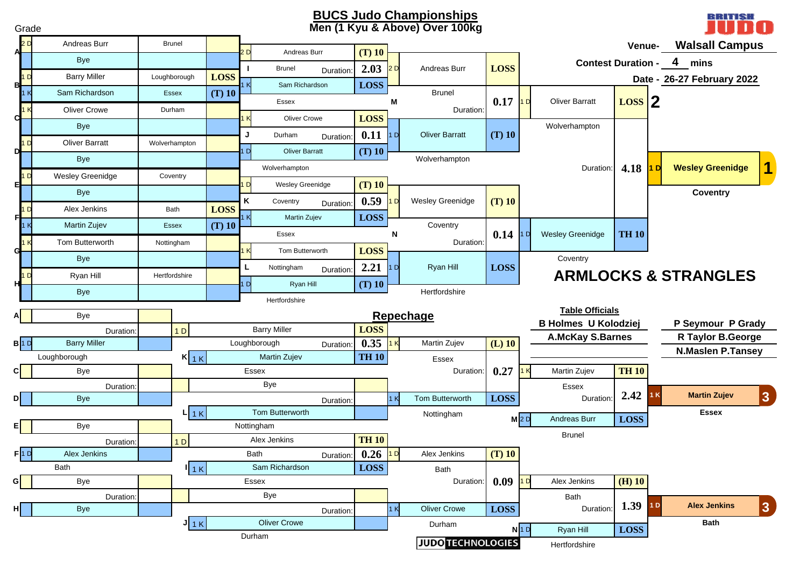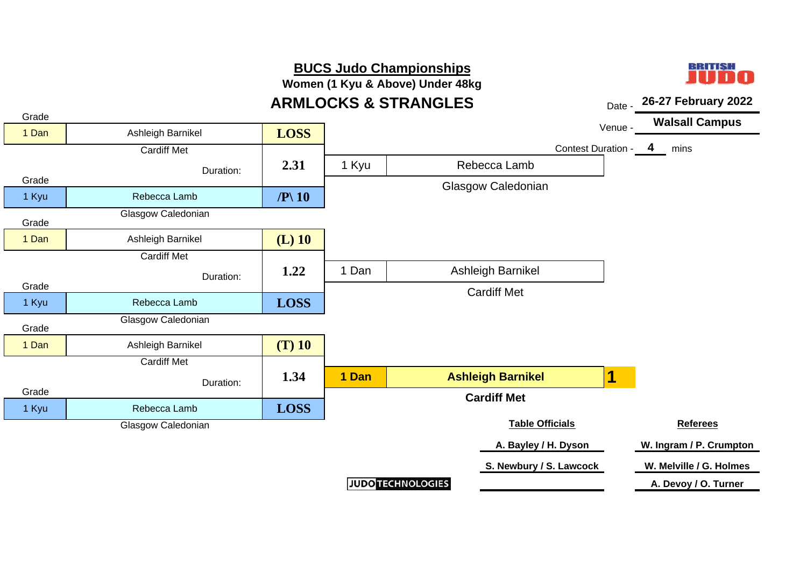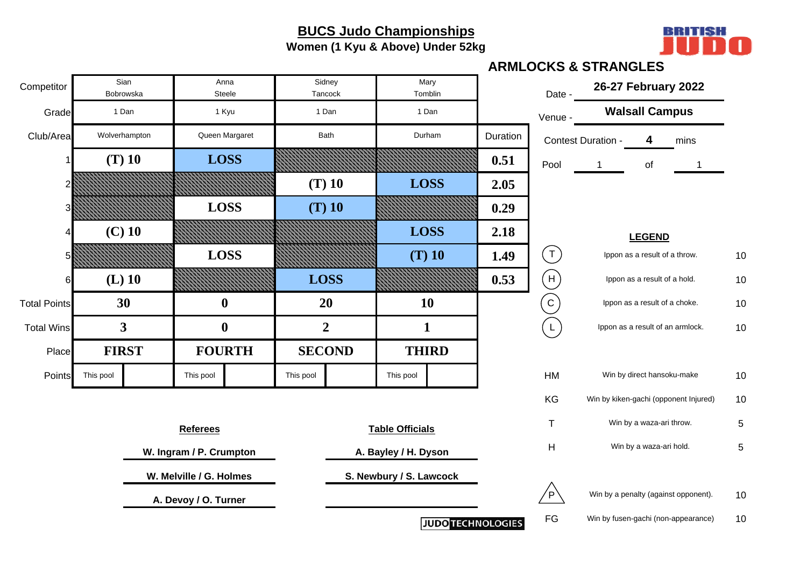**Women (1 Kyu & Above) Under 52kg**



|                     |           |                   |                         |                  |                   |      |                         |                          |          |                | <b>ARMLOCKS &amp; STRANGLES</b> |                                  |                                       |    |
|---------------------|-----------|-------------------|-------------------------|------------------|-------------------|------|-------------------------|--------------------------|----------|----------------|---------------------------------|----------------------------------|---------------------------------------|----|
| Competitor          |           | Sian<br>Bobrowska |                         | Anna<br>Steele   | Sidney<br>Tancock |      |                         | Mary<br>Tomblin          |          | Date -         | 26-27 February 2022             |                                  |                                       |    |
| Grade               |           | 1 Dan             |                         | 1 Kyu            | 1 Dan             |      |                         | 1 Dan                    |          | Venue -        |                                 | <b>Walsall Campus</b>            |                                       |    |
| Club/Area           |           | Wolverhampton     |                         | Queen Margaret   |                   | Bath |                         | Durham                   | Duration |                | Contest Duration -              | 4                                | mins                                  |    |
|                     |           | $(T)$ 10          |                         | <b>LOSS</b>      |                   |      |                         |                          | 0.51     | Pool           | $\mathbf{1}$                    | of                               | 1                                     |    |
|                     |           |                   |                         |                  | $(T)$ 10          |      |                         | <b>LOSS</b>              | 2.05     |                |                                 |                                  |                                       |    |
|                     |           |                   |                         | <b>LOSS</b>      | $(T)$ 10          |      |                         |                          | 0.29     |                |                                 |                                  |                                       |    |
|                     |           | $(C)$ 10          |                         |                  |                   |      |                         | <b>LOSS</b>              | 2.18     |                |                                 | <b>LEGEND</b>                    |                                       |    |
|                     |           |                   |                         | <b>LOSS</b>      |                   |      |                         | $(T)$ 10                 | 1.49     | $(\texttt{T})$ |                                 | Ippon as a result of a throw.    |                                       | 10 |
|                     |           | $(L)$ 10          |                         |                  | <b>LOSS</b>       |      |                         |                          | 0.53     | (H)            |                                 | Ippon as a result of a hold.     |                                       | 10 |
| <b>Total Points</b> |           | 30                |                         | $\boldsymbol{0}$ | 20                |      |                         | <b>10</b>                |          | (c)            |                                 | Ippon as a result of a choke.    |                                       | 10 |
| <b>Total Wins</b>   |           | $\mathbf{3}$      |                         | $\boldsymbol{0}$ | $\overline{2}$    |      |                         | $\mathbf{1}$             |          | $\overline{L}$ |                                 | Ippon as a result of an armlock. |                                       | 10 |
| Place               |           | <b>FIRST</b>      |                         | <b>FOURTH</b>    | <b>SECOND</b>     |      |                         | <b>THIRD</b>             |          |                |                                 |                                  |                                       |    |
| Points              | This pool |                   | This pool               |                  | This pool         |      | This pool               |                          |          | HM             |                                 | Win by direct hansoku-make       |                                       | 10 |
|                     |           |                   |                         |                  |                   |      |                         |                          |          | KG             |                                 |                                  | Win by kiken-gachi (opponent Injured) | 10 |
|                     |           |                   | <b>Referees</b>         |                  |                   |      | <b>Table Officials</b>  |                          |          | $\mathsf T$    |                                 | Win by a waza-ari throw.         |                                       | 5  |
|                     |           |                   | W. Ingram / P. Crumpton |                  |                   |      | A. Bayley / H. Dyson    |                          |          | H              |                                 | Win by a waza-ari hold.          |                                       | 5  |
|                     |           |                   | W. Melville / G. Holmes |                  |                   |      | S. Newbury / S. Lawcock |                          |          |                |                                 |                                  |                                       |    |
|                     |           |                   | A. Devoy / O. Turner    |                  |                   |      |                         |                          |          | ⁄р`            |                                 |                                  | Win by a penalty (against opponent).  | 10 |
|                     |           |                   |                         |                  |                   |      |                         | <b>JUDO TECHNOLOGIES</b> |          | $\mathsf{FG}$  |                                 |                                  | Win by fusen-gachi (non-appearance)   | 10 |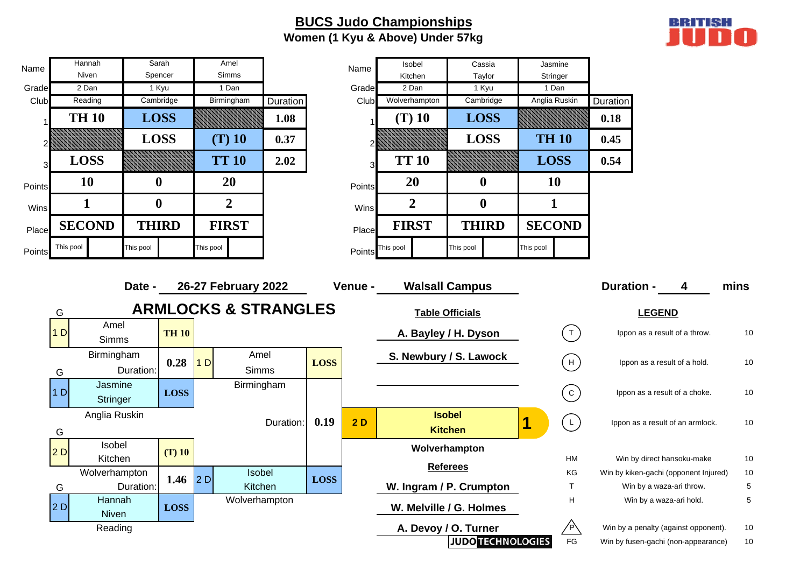### **BUCS Judo Championships Women (1 Kyu & Above) Under 57kg**



| Name   | Hannah         |                            | Sarah        |                  |                | Amel                            |           |             | Name    | Isobel           |                                 | Cassia           |               | Jasmine                                                                                                 |                                       |                                  |      |
|--------|----------------|----------------------------|--------------|------------------|----------------|---------------------------------|-----------|-------------|---------|------------------|---------------------------------|------------------|---------------|---------------------------------------------------------------------------------------------------------|---------------------------------------|----------------------------------|------|
| Grade  | Niven<br>2 Dan |                            | 1 Kyu        | Spencer          |                | Simms<br>1 Dan                  |           |             | Grade   | Kitchen<br>2 Dan |                                 | Taylor<br>1 Kyu  | 1 Dan         | Stringer                                                                                                |                                       |                                  |      |
| Club   | Reading        |                            | Cambridge    |                  |                | Birmingham                      | Duration  |             | Club    | Wolverhampton    |                                 | Cambridge        |               | Anglia Ruskin                                                                                           | Duration                              |                                  |      |
| 1      | <b>TH 10</b>   |                            | <b>LOSS</b>  |                  |                |                                 | 1.08      |             |         | $(T)$ 10         | <b>LOSS</b>                     |                  |               |                                                                                                         | 0.18                                  |                                  |      |
|        |                |                            | <b>LOSS</b>  |                  |                | $(T)$ 10                        | 0.37      |             |         |                  | <b>LOSS</b>                     |                  | <b>TH 10</b>  |                                                                                                         | 0.45                                  |                                  |      |
| 3      | <b>LOSS</b>    |                            |              |                  |                | <b>TT 10</b>                    | 2.02      |             |         | <b>TT 10</b>     |                                 |                  | <b>LOSS</b>   |                                                                                                         | 0.54                                  |                                  |      |
| Points | <b>10</b>      |                            | $\bf{0}$     |                  |                | 20                              |           |             | Points  | 20               |                                 | $\boldsymbol{0}$ |               | <b>10</b>                                                                                               |                                       |                                  |      |
| Wins   | $\mathbf 1$    |                            |              | $\boldsymbol{0}$ |                | $\overline{2}$                  |           |             | Wins    | $\overline{2}$   |                                 | $\boldsymbol{0}$ |               | $\mathbf{1}$                                                                                            |                                       |                                  |      |
| Place  | <b>SECOND</b>  |                            | <b>THIRD</b> |                  |                | <b>FIRST</b>                    |           |             | Place   | <b>FIRST</b>     | <b>THIRD</b>                    |                  | <b>SECOND</b> |                                                                                                         |                                       |                                  |      |
| Points | This pool      |                            | This pool    |                  | This pool      |                                 |           |             | Points  | This pool        | This pool                       |                  | This pool     |                                                                                                         |                                       |                                  |      |
|        |                |                            | Date -       |                  |                | 26-27 February 2022             |           |             | Venue - |                  | <b>Walsall Campus</b>           |                  |               |                                                                                                         | <b>Duration -</b>                     | 4                                | mins |
|        | G              |                            |              |                  |                | <b>ARMLOCKS &amp; STRANGLES</b> |           |             |         |                  | <b>Table Officials</b>          |                  |               |                                                                                                         |                                       | <b>LEGEND</b>                    |      |
|        | 1D             | Amel<br>Simms              |              | <b>TH 10</b>     |                |                                 |           |             |         |                  | A. Bayley / H. Dyson            |                  |               | $(\top)$                                                                                                |                                       | Ippon as a result of a throw.    | 10   |
|        | G              | Birmingham                 | Duration:    | 0.28             | 1 <sub>D</sub> | Amel<br>Simms                   |           | <b>LOSS</b> |         |                  | S. Newbury / S. Lawock          |                  |               | H                                                                                                       |                                       | Ippon as a result of a hold.     | 10   |
|        | 1 D            | Jasmine<br><b>Stringer</b> |              | <b>LOSS</b>      |                | Birmingham                      |           |             |         |                  |                                 |                  |               | $\left( c\right)$                                                                                       |                                       | Ippon as a result of a choke.    | 10   |
|        | G              | Anglia Ruskin              |              |                  |                |                                 | Duration: | 0.19        | 2D      |                  | <b>Isobel</b><br><b>Kitchen</b> |                  | 1             | $\left(\begin{smallmatrix} \rule{0pt}{14pt} \rule{0pt}{14pt} \rule{0pt}{14pt} \end{smallmatrix}\right)$ |                                       | Ippon as a result of an armlock. | 10   |
|        | 2D             | Isobel<br>Kitchen          |              | $(T)$ 10         |                |                                 |           |             |         |                  | Wolverhampton                   |                  |               | HM                                                                                                      |                                       | Win by direct hansoku-make       | 10   |
|        |                | Wolverhampton              |              |                  |                | Isobel                          |           |             |         |                  | <b>Referees</b>                 |                  |               | KG                                                                                                      | Win by kiken-gachi (opponent Injured) |                                  | $10$ |
|        | G              |                            | Duration:    | 1.46             | 2D             | Kitchen                         |           | <b>LOSS</b> |         |                  | W. Ingram / P. Crumpton         |                  |               | $\mathsf T$                                                                                             |                                       | Win by a waza-ari throw.         | 5    |
|        | 2D             | Hannah<br><b>Niven</b>     |              | LOSS             |                | Wolverhampton                   |           |             |         |                  | W. Melville / G. Holmes         |                  |               | H                                                                                                       |                                       | Win by a waza-ari hold.          | 5    |
|        |                | Reading                    |              |                  |                |                                 |           |             |         |                  | A. Devoy / O. Turner            |                  |               | /P\                                                                                                     | Win by a penalty (against opponent).  |                                  | 10   |
|        |                |                            |              |                  |                |                                 |           |             |         |                  | <b>JUDO TECHNOLOGIES</b>        |                  |               | FG                                                                                                      | Win by fusen-gachi (non-appearance)   |                                  | 10   |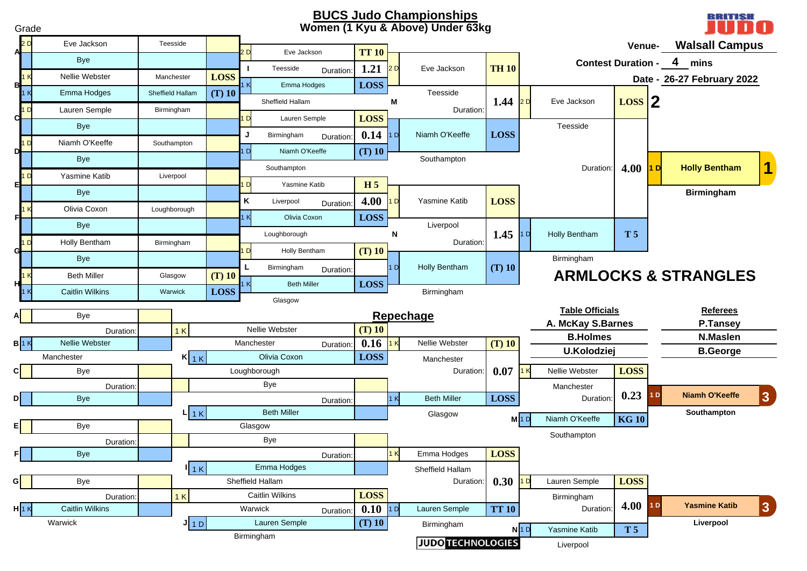#### **BUCS Judo Championships Women (1 Kyu & Above) Under 63kg**

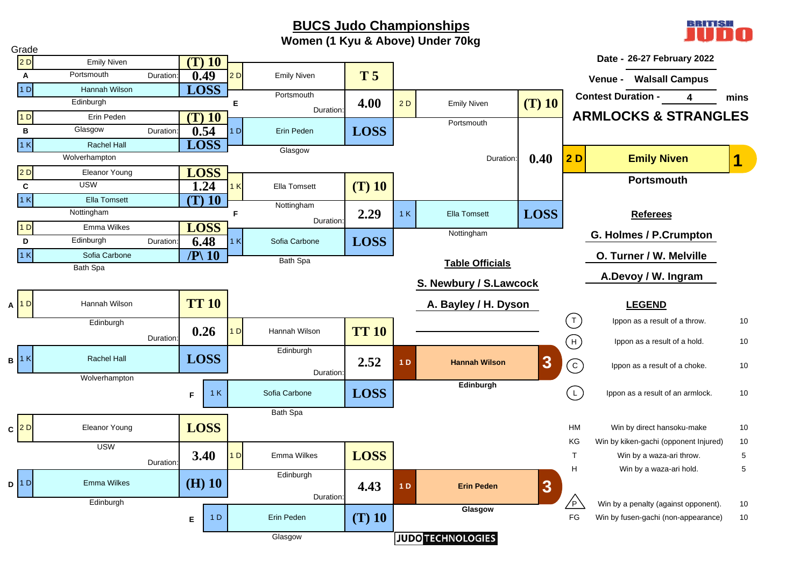BBITIST

**Women (1 Kyu & Above) Under 70kg**

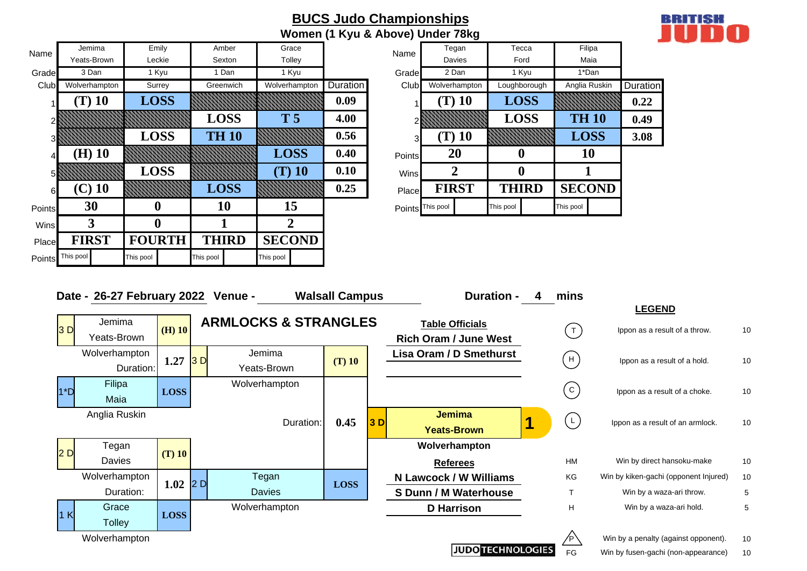|        |               |               |              |                |          |                  | Women (1 Kyu & Above) Under 78kg |              |               |          |
|--------|---------------|---------------|--------------|----------------|----------|------------------|----------------------------------|--------------|---------------|----------|
| Name   | Jemima        | Emily         | Amber        | Grace          |          | Name             | Tegan                            | Tecca        | Filipa        |          |
|        | Yeats-Brown   | Leckie        | Sexton       | Tolley         |          |                  | Davies                           | Ford         | Maia          |          |
| Grade  | 3 Dan         | 1 Kyu         | 1 Dan        | 1 Kyu          |          | Grade            | 2 Dan                            | 1 Kyu        | 1*Dan         |          |
| Club   | Wolverhampton | Surrey        | Greenwich    | Wolverhampton  | Duration | Club             | Wolverhampton                    | Loughborough | Anglia Ruskin | Duration |
|        | $(T)$ 10      | <b>LOSS</b>   |              |                | 0.09     |                  | $(T)$ 10                         | <b>LOSS</b>  |               | 0.22     |
|        |               |               | <b>LOSS</b>  | T <sub>5</sub> | 4.00     |                  |                                  | <b>LOSS</b>  | <b>TH 10</b>  | 0.49     |
|        |               | <b>LOSS</b>   | <b>TH 10</b> |                | 0.56     | 3                | $(T)$ 10                         |              | <b>LOSS</b>   | 3.08     |
| 4      | $(H)$ 10      |               |              | <b>LOSS</b>    | 0.40     | Points           | <b>20</b>                        | $\bf{0}$     | 10            |          |
|        |               | <b>LOSS</b>   |              | $(T)$ 10       | 0.10     | Wins             | 2                                | $\mathbf 0$  |               |          |
| 61     | $(C)$ 10      |               | <b>LOSS</b>  |                | 0.25     | Place            | <b>FIRST</b>                     | <b>THIRD</b> | <b>SECOND</b> |          |
| Points | 30            | O             | 10           | 15             |          | Points This pool |                                  | This pool    | This pool     |          |
| Wins   | 3             | 0             |              | 2              |          |                  |                                  |              |               |          |
| Place  | <b>FIRST</b>  | <b>FOURTH</b> | <b>THIRD</b> | <b>SECOND</b>  |          |                  |                                  |              |               |          |
|        |               |               |              |                |          |                  |                                  |              |               |          |

Points This pool This pool This pool This pool This pool

| Grace          |                 | Name           | Tegan            | Tecca        | Filipa        |                 |
|----------------|-----------------|----------------|------------------|--------------|---------------|-----------------|
| Tolley         |                 |                | Davies           | Ford         | Maia          |                 |
| 1 Kyu          |                 | Grade          | 2 Dan            | 1 Kyu        | 1*Dan         |                 |
| Wolverhampton  | <b>Duration</b> | Club           | Wolverhampton    | Loughborough | Anglia Ruskin | <b>Duration</b> |
|                | 0.09            |                | T) 10            | <b>LOSS</b>  |               | 0.22            |
| T <sub>5</sub> | 4.00            | $\overline{2}$ |                  | <b>LOSS</b>  | <b>TH 10</b>  | 0.49            |
|                | 0.56            | 3 <sub>l</sub> | T) 10            |              | <b>LOSS</b>   | 3.08            |
| <b>LOSS</b>    | 0.40            | <b>Points</b>  | 20               | 0            | 10            |                 |
| $(T)$ 10       | 0.10            | <b>Wins</b>    | $\overline{2}$   | O            |               |                 |
|                | 0.25            | Place          | <b>FIRST</b>     | <b>THIRD</b> | <b>SECOND</b> |                 |
| 15             |                 |                | Points This pool | This pool    | This pool     |                 |
|                |                 |                |                  |              |               |                 |



**BUCS Judo Championships**

**JUDO TECHNOLOGIES** 

FG Win by fusen-gachi (non-appearance) 10  $10$ 

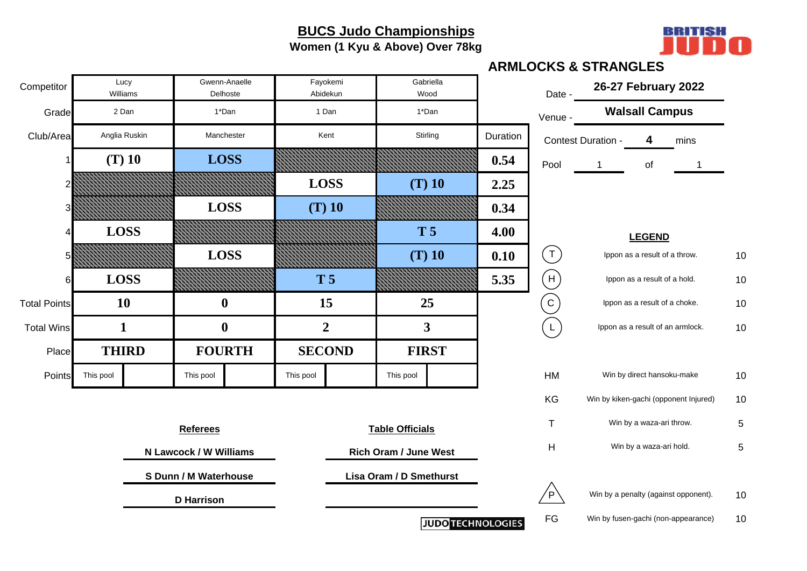**Women (1 Kyu & Above) Over 78kg**



|                     |           |                   |                                                 |                           |           |                      |                              |                          |          |                | ~~~~~~                                |                                  |             |            |
|---------------------|-----------|-------------------|-------------------------------------------------|---------------------------|-----------|----------------------|------------------------------|--------------------------|----------|----------------|---------------------------------------|----------------------------------|-------------|------------|
| Competitor          |           | Lucy<br>Williams  |                                                 | Gwenn-Anaelle<br>Delhoste |           | Fayokemi<br>Abidekun | Gabriella<br>Wood            |                          |          | Date -         | 26-27 February 2022                   |                                  |             |            |
| Grade               |           | 2 Dan             |                                                 | 1*Dan                     |           | 1 Dan                | 1*Dan                        |                          |          | Venue -        |                                       | <b>Walsall Campus</b>            |             |            |
| Club/Area           |           | Anglia Ruskin     |                                                 | Manchester                |           | Kent                 | Stirling                     |                          | Duration |                | Contest Duration -                    | 4                                | mins        |            |
|                     |           | $(T)$ 10          | <b>LOSS</b>                                     |                           |           |                      |                              |                          | 0.54     | Pool           |                                       | of                               | $\mathbf 1$ |            |
|                     |           |                   |                                                 |                           |           | <b>LOSS</b>          | $(T)$ 10                     |                          | 2.25     |                |                                       |                                  |             |            |
| 3                   |           |                   |                                                 | <b>LOSS</b>               |           | $(T)$ 10             |                              |                          | 0.34     |                |                                       |                                  |             |            |
| 4                   |           | <b>LOSS</b>       |                                                 |                           |           |                      | <b>T5</b>                    |                          | 4.00     |                |                                       | <b>LEGEND</b>                    |             |            |
| 5                   |           |                   | <b>LOSS</b>                                     |                           |           |                      | $(T)$ 10                     |                          | 0.10     | $(\top)$       |                                       | Ippon as a result of a throw.    |             | 10         |
| 6                   |           | <b>LOSS</b>       | $\boldsymbol{0}$                                |                           |           | <b>T5</b>            |                              |                          | 5.35     | H              |                                       | Ippon as a result of a hold.     |             | 10         |
| <b>Total Points</b> |           | <b>10</b>         |                                                 |                           |           | 15                   | 25                           |                          |          | $\overline{C}$ |                                       | Ippon as a result of a choke.    |             | 10         |
| <b>Total Wins</b>   |           | $\mathbf{1}$      | $\boldsymbol{0}$                                |                           |           | $\overline{2}$       | $\mathbf{3}$                 |                          |          | $\mathsf{L}$   |                                       | Ippon as a result of an armlock. |             | 10         |
| Place               |           | <b>THIRD</b>      |                                                 | <b>FOURTH</b>             |           | <b>SECOND</b>        | <b>FIRST</b>                 |                          |          |                |                                       |                                  |             |            |
| Points              | This pool |                   | This pool                                       |                           | This pool |                      | This pool                    |                          |          | HM             |                                       | Win by direct hansoku-make       |             | 10         |
|                     |           |                   |                                                 |                           |           |                      |                              |                          |          | KG             | Win by kiken-gachi (opponent Injured) |                                  |             | 10         |
|                     |           |                   | <b>Referees</b>                                 |                           |           |                      | <b>Table Officials</b>       |                          |          | T              |                                       | Win by a waza-ari throw.         |             | 5          |
|                     |           |                   |                                                 |                           |           |                      | <b>Rich Oram / June West</b> |                          |          | H              |                                       | Win by a waza-ari hold.          |             | $\sqrt{5}$ |
|                     |           |                   | N Lawcock / W Williams<br>S Dunn / M Waterhouse |                           |           |                      | Lisa Oram / D Smethurst      |                          |          |                |                                       |                                  |             |            |
|                     |           | <b>D</b> Harrison |                                                 |                           |           |                      |                              |                          |          | ′P`            | Win by a penalty (against opponent).  |                                  |             | 10         |
|                     |           |                   |                                                 |                           |           |                      |                              | <b>JUDO TECHNOLOGIES</b> |          | FG             | Win by fusen-gachi (non-appearance)   |                                  |             | 10         |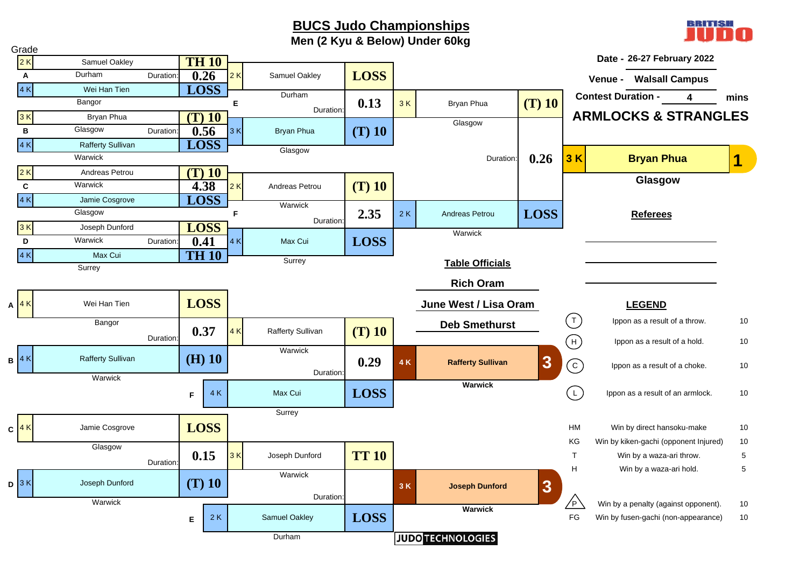**Men (2 Kyu & Below) Under 60kg**



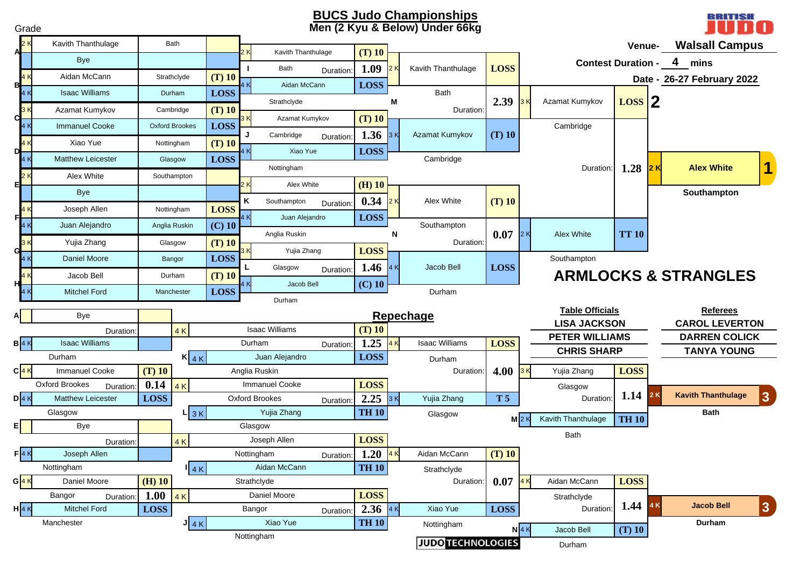#### **BUCS Judo Championships Men (2 Kyu & Below) Under 66kg**

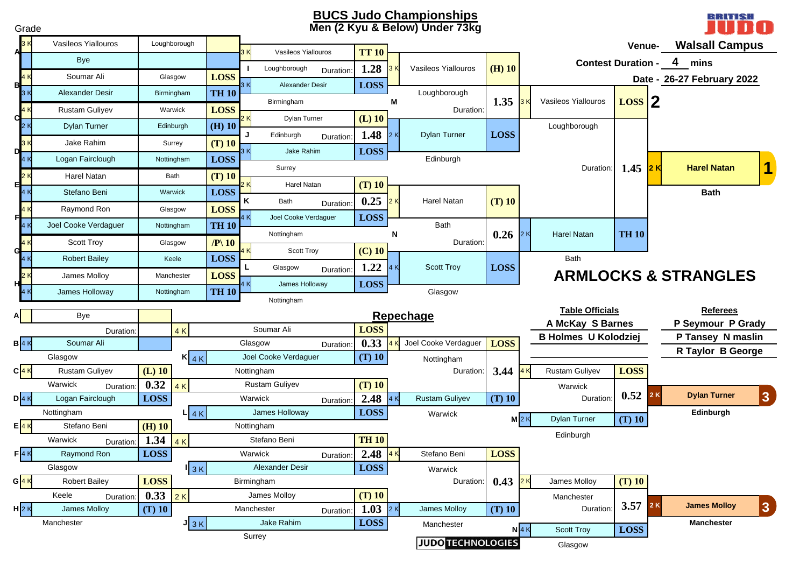#### **BUCS Judo Championships Men (2 Kyu & Below) Under 73kg**

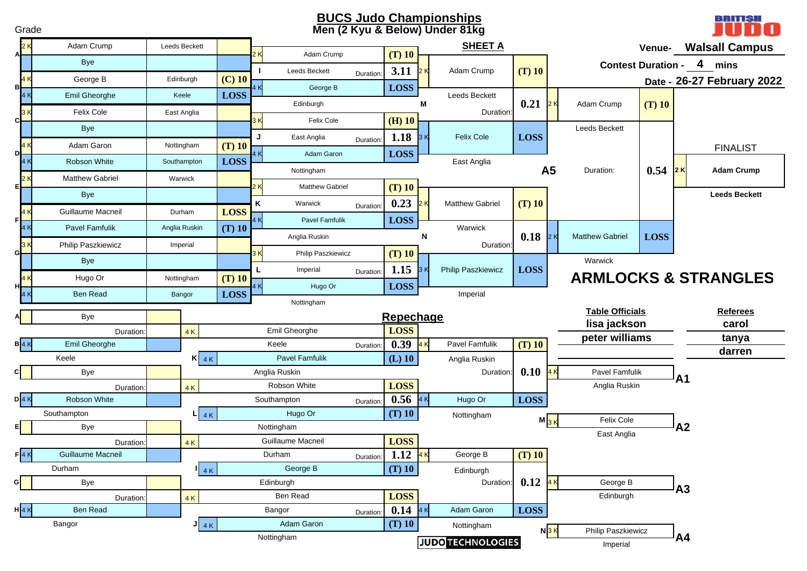#### **Men (2 Kyu & Below) Under 81kg BUCS Judo Championships**

Grade



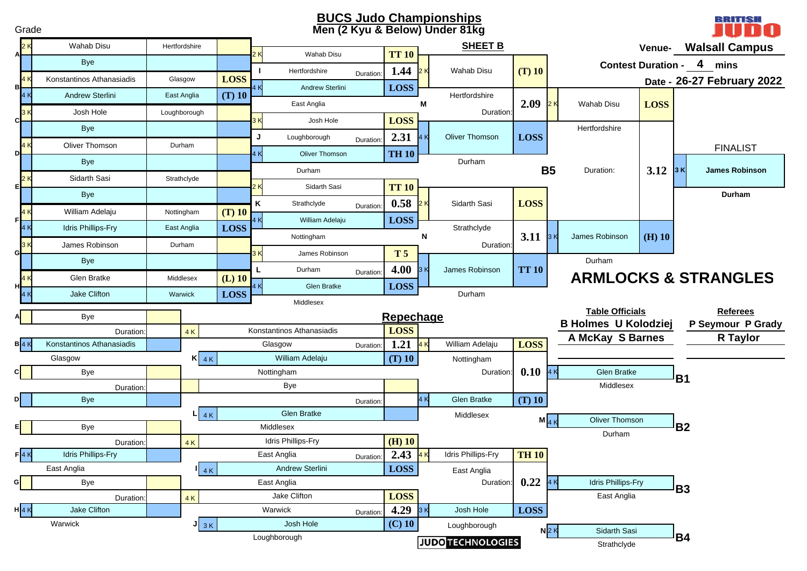#### **Men (2 Kyu & Below) Under 81kg BUCS Judo Championships**

BRITISH

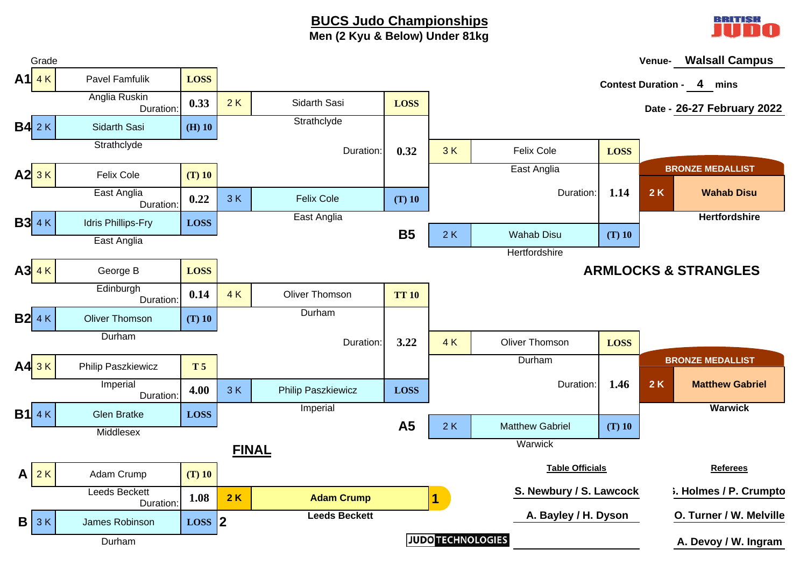### **BUCS Judo Championships Men (2 Kyu & Below) Under 81kg**



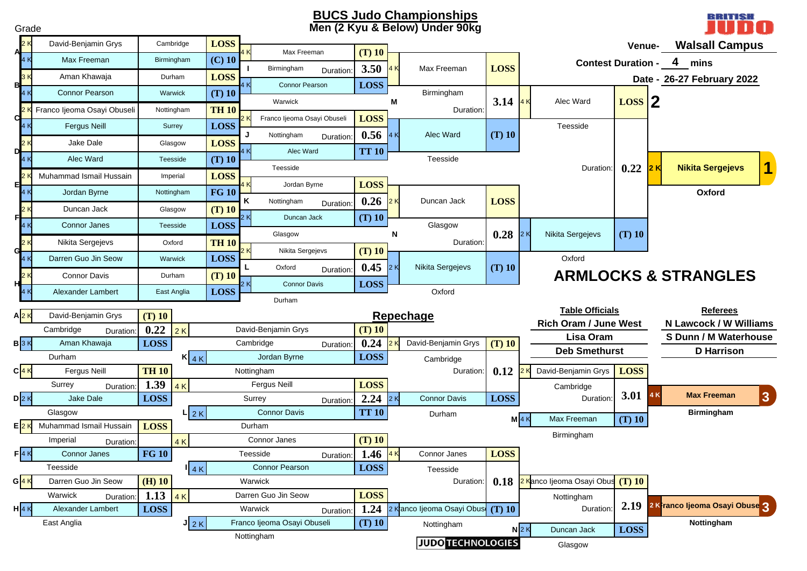#### **BUCS Judo Championships Men (2 Kyu & Below) Under 90kg**

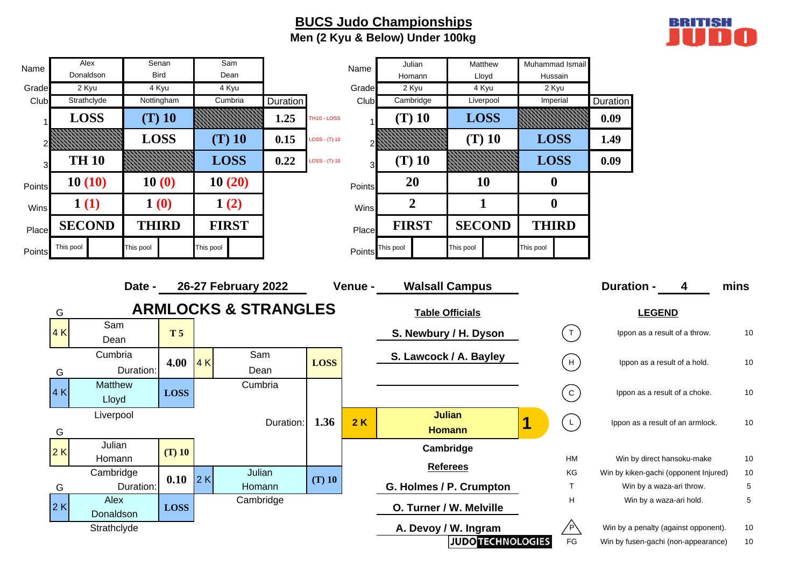### **BUCS Judo Championships Men (2 Kyu & Below) Under 100kg**



| Name   | Alex                           |              | Senan       |           | Sam                                                    |           |                 | Name    | Julian                  |                                | Matthew                  | Muhammad Ismail  |                                             |                   |                          |                                       |      |
|--------|--------------------------------|--------------|-------------|-----------|--------------------------------------------------------|-----------|-----------------|---------|-------------------------|--------------------------------|--------------------------|------------------|---------------------------------------------|-------------------|--------------------------|---------------------------------------|------|
|        | Donaldson                      |              | <b>Bird</b> |           | Dean                                                   |           |                 |         | Homann                  |                                | Lloyd                    | Hussain          |                                             |                   |                          |                                       |      |
| Grade  | 2 Kyu                          |              | 4 Kyu       |           | 4 Kyu                                                  |           |                 | Grade   | 2 Kyu                   |                                | 4 Kyu                    | 2 Kyu            |                                             |                   |                          |                                       |      |
| Club   | Strathclyde                    |              | Nottingham  |           | Cumbria                                                | Duration  |                 | Club    | Cambridge               |                                | Liverpool                | Imperial         |                                             | Duration          |                          |                                       |      |
|        | <b>LOSS</b>                    |              | $(T)$ 10    |           |                                                        | 1.25      | TH10 - LOSS     |         | $(T)$ 10                |                                | <b>LOSS</b>              |                  |                                             | 0.09              |                          |                                       |      |
|        |                                | <b>LOSS</b>  |             |           | $(T)$ 10                                               | 0.15      | $LOSS - (T) 10$ |         |                         |                                | $(T)$ 10                 | <b>LOSS</b>      |                                             | 1.49              |                          |                                       |      |
| 3      | <b>TH 10</b>                   |              |             |           | <b>LOSS</b>                                            | 0.22      | $LOSS - (T) 10$ |         | $(T)$ 10                |                                |                          | <b>LOSS</b>      |                                             | 0.09              |                          |                                       |      |
| Points | 10(10)                         | 10(0)        |             |           | 10(20)                                                 |           |                 | Points  | 20                      |                                | 10                       | $\boldsymbol{0}$ |                                             |                   |                          |                                       |      |
| Wins   | 1(1)                           | 1(0)         |             |           | 1(2)                                                   |           |                 | Wins    | $\overline{2}$          |                                | $\mathbf{1}$             | $\boldsymbol{0}$ |                                             |                   |                          |                                       |      |
| Place  | <b>SECOND</b>                  | <b>THIRD</b> |             |           | <b>FIRST</b>                                           |           |                 | Place   | <b>FIRST</b>            |                                | <b>SECOND</b>            | <b>THIRD</b>     |                                             |                   |                          |                                       |      |
| Points | This pool                      | This pool    |             | This pool |                                                        |           |                 | Points  | This pool               | This pool                      |                          | This pool        |                                             |                   |                          |                                       |      |
|        | G                              | Date -       |             |           | 26-27 February 2022<br><b>ARMLOCKS &amp; STRANGLES</b> |           |                 | Venue - | <b>Walsall Campus</b>   | <b>Table Officials</b>         |                          |                  |                                             | <b>Duration -</b> | <b>LEGEND</b>            | 4                                     | mins |
|        | Sam<br>4 K<br>Dean             |              | <b>T5</b>   |           |                                                        |           |                 |         | S. Newbury / H. Dyson   |                                |                          |                  | (1)                                         |                   |                          | Ippon as a result of a throw.         | 10   |
|        | Cumbria<br>G                   | Duration:    | 4.00        | 4K        | Sam<br>Dean                                            |           | <b>LOSS</b>     |         | S. Lawcock / A. Bayley  |                                |                          |                  | (H)                                         |                   |                          | Ippon as a result of a hold.          | 10   |
|        | <b>Matthew</b><br>4 K<br>Lloyd |              | <b>LOSS</b> |           | Cumbria                                                |           |                 |         |                         |                                |                          |                  | $\left( c \right)$                          |                   |                          | Ippon as a result of a choke.         | 10   |
|        | Liverpool<br>G                 |              |             |           |                                                        | Duration: | 1.36            | 2K      |                         | <b>Julian</b><br><b>Homann</b> |                          | 1                | $(\begin{array}{c} \mathsf{L} \end{array})$ |                   |                          | Ippon as a result of an armlock.      | 10   |
|        | Julian<br>2K<br>Homann         |              | $(T)$ 10    |           |                                                        |           |                 |         |                         | Cambridge                      |                          |                  | HM                                          |                   |                          | Win by direct hansoku-make            | 10   |
|        | Cambridge                      |              |             |           | Julian                                                 |           |                 |         |                         | <b>Referees</b>                |                          |                  | KG                                          |                   |                          | Win by kiken-gachi (opponent Injured) | 10   |
|        | G                              | Duration:    | 0.10        | 2K        | Homann                                                 |           | $(T)$ 10        |         | G. Holmes / P. Crumpton |                                |                          |                  | $\mathsf T$                                 |                   | Win by a waza-ari throw. |                                       | 5    |
|        | Alex<br>2K<br>Donaldson        |              | <b>LOSS</b> |           | Cambridge                                              |           |                 |         | O. Turner / W. Melville |                                |                          |                  | H                                           |                   | Win by a waza-ari hold.  |                                       | 5    |
|        | Strathclyde                    |              |             |           |                                                        |           |                 |         | A. Devoy / W. Ingram    |                                |                          |                  | /P\                                         |                   |                          | Win by a penalty (against opponent).  | 10   |
|        |                                |              |             |           |                                                        |           |                 |         |                         |                                | <b>JUDO TECHNOLOGIES</b> |                  | FG                                          |                   |                          | Win by fusen-gachi (non-appearance)   | 10   |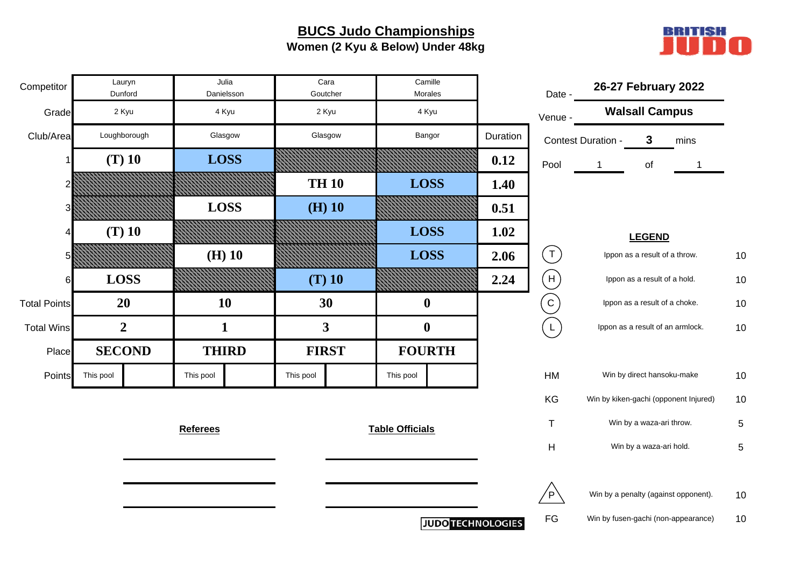### **BUCS Judo Championships Women (2 Kyu & Below) Under 48kg**



| Competitor          |           | Lauryn<br>Dunford |                 | Julia<br>Danielsson |           | Cara<br>Goutcher        | Morales                | Camille                  |          | Date -                                         |                    | 26-27 February 2022                   |      |    |
|---------------------|-----------|-------------------|-----------------|---------------------|-----------|-------------------------|------------------------|--------------------------|----------|------------------------------------------------|--------------------|---------------------------------------|------|----|
| Grade               |           | 2 Kyu             |                 | 4 Kyu               |           | 2 Kyu                   | 4 Kyu                  |                          |          | Venue -                                        |                    | <b>Walsall Campus</b>                 |      |    |
| Club/Area           |           | Loughborough      |                 | Glasgow             |           | Glasgow                 | Bangor                 |                          | Duration |                                                | Contest Duration - | 3                                     | mins |    |
|                     |           | $(T)$ 10          |                 | <b>LOSS</b>         |           |                         |                        |                          | 0.12     | Pool                                           |                    | of                                    |      |    |
|                     |           |                   |                 |                     |           | <b>TH 10</b>            | <b>LOSS</b>            |                          | 1.40     |                                                |                    |                                       |      |    |
| 3                   |           |                   | <b>LOSS</b>     |                     |           | $(H)$ 10                |                        |                          | 0.51     |                                                |                    |                                       |      |    |
| 4                   |           | $(T)$ 10          |                 |                     |           |                         | <b>LOSS</b>            |                          | 1.02     |                                                |                    | <b>LEGEND</b>                         |      |    |
| 5                   |           |                   |                 | $(H)$ 10            |           |                         | <b>LOSS</b>            |                          | 2.06     | $(\mathsf{T})$                                 |                    | Ippon as a result of a throw.         |      | 10 |
| 6                   |           | <b>LOSS</b>       |                 |                     |           | $(T)$ 10                |                        |                          | 2.24     | (H)                                            |                    | Ippon as a result of a hold.          |      | 10 |
| <b>Total Points</b> |           | 20                |                 | 10                  |           | 30                      | $\boldsymbol{0}$       |                          |          | $\begin{bmatrix} 1 & 1 \\ 1 & 1 \end{bmatrix}$ |                    | Ippon as a result of a choke.         |      | 10 |
| <b>Total Wins</b>   |           | $\overline{2}$    |                 | $\mathbf{1}$        |           | $\overline{\mathbf{3}}$ | $\mathbf 0$            |                          |          | $\mathsf L$                                    |                    | Ippon as a result of an armlock.      |      | 10 |
| Place               |           | <b>SECOND</b>     | <b>THIRD</b>    |                     |           | <b>FIRST</b>            | <b>FOURTH</b>          |                          |          |                                                |                    |                                       |      |    |
| Points              | This pool |                   | This pool       |                     | This pool |                         | This pool              |                          |          | HM                                             |                    | Win by direct hansoku-make            |      | 10 |
|                     |           |                   |                 |                     |           |                         |                        |                          |          | KG                                             |                    | Win by kiken-gachi (opponent Injured) |      | 10 |
|                     |           |                   | <b>Referees</b> |                     |           |                         | <b>Table Officials</b> |                          |          | $\mathsf{T}$                                   |                    | Win by a waza-ari throw.              |      | 5  |
|                     |           |                   |                 |                     |           |                         |                        |                          |          | H                                              |                    | Win by a waza-ari hold.               |      | 5  |
|                     |           |                   |                 |                     |           |                         |                        |                          |          |                                                |                    |                                       |      |    |
|                     |           |                   |                 |                     |           |                         |                        |                          |          | $^{\prime}$ P $\dot{}$                         |                    | Win by a penalty (against opponent).  |      | 10 |
|                     |           |                   |                 |                     |           |                         |                        | <b>JUDO TECHNOLOGIES</b> |          | FG                                             |                    | Win by fusen-gachi (non-appearance)   |      | 10 |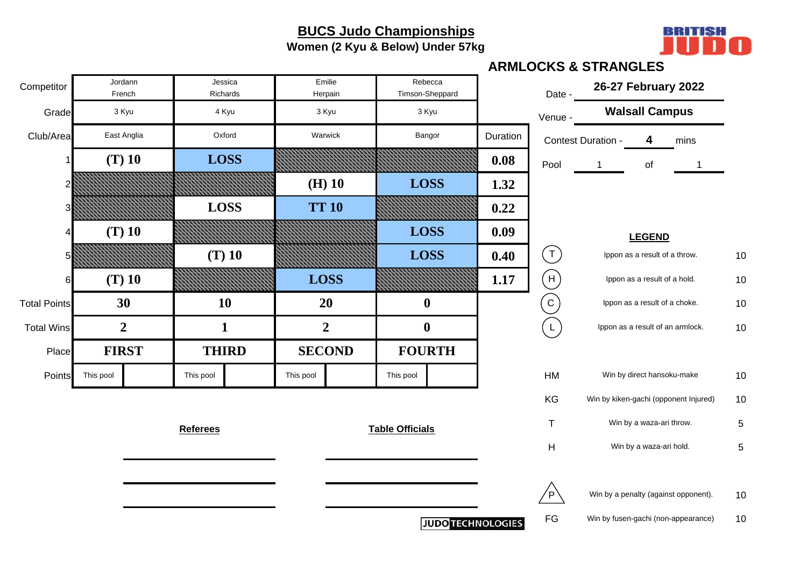**Women (2 Kyu & Below) Under 57kg**



|                     |           |                   |                     |               |                   |                        |                            |          |                 | <b>ARMLOCKS &amp; STRANGLES</b>       |                                  |      |    |
|---------------------|-----------|-------------------|---------------------|---------------|-------------------|------------------------|----------------------------|----------|-----------------|---------------------------------------|----------------------------------|------|----|
| Competitor          |           | Jordann<br>French | Jessica<br>Richards |               | Emilie<br>Herpain |                        | Rebecca<br>Timson-Sheppard |          | Date -          |                                       | 26-27 February 2022              |      |    |
| Grade               |           | 3 Kyu             | 4 Kyu               |               | 3 Kyu             |                        | 3 Kyu                      |          | Venue -         |                                       | <b>Walsall Campus</b>            |      |    |
| Club/Area           |           | East Anglia       | Oxford              |               | Warwick           |                        | Bangor                     | Duration |                 | Contest Duration -                    | 4                                | mins |    |
|                     |           | $(T)$ 10          | <b>LOSS</b>         |               |                   |                        |                            | 0.08     | Pool            | $\mathbf{1}$                          | of                               |      |    |
|                     |           |                   |                     |               | $(H)$ 10          |                        | <b>LOSS</b>                | 1.32     |                 |                                       |                                  |      |    |
|                     |           |                   | <b>LOSS</b>         |               | <b>TT 10</b>      |                        |                            | 0.22     |                 |                                       |                                  |      |    |
|                     |           | $(T)$ 10          |                     |               |                   |                        | <b>LOSS</b>                | 0.09     |                 |                                       | <b>LEGEND</b>                    |      |    |
|                     |           |                   | $(T)$ 10            |               |                   |                        | <b>LOSS</b>                | 0.40     | $(\texttt{T})$  |                                       | Ippon as a result of a throw.    |      | 10 |
| 61                  |           | $(T)$ 10          |                     |               | <b>LOSS</b>       |                        |                            | 1.17     | (H)             |                                       | Ippon as a result of a hold.     |      | 10 |
| <b>Total Points</b> |           | 30                | 10                  |               | 20                |                        | $\boldsymbol{0}$           |          | $\vert C \vert$ |                                       | Ippon as a result of a choke.    |      | 10 |
| <b>Total Wins</b>   |           | $\overline{2}$    | $\mathbf{1}$        |               | $\overline{2}$    |                        | $\boldsymbol{0}$           |          | $\mathsf{L}$    |                                       | Ippon as a result of an armlock. |      | 10 |
| Place               |           | <b>FIRST</b>      | <b>THIRD</b>        | <b>SECOND</b> |                   |                        | <b>FOURTH</b>              |          |                 |                                       |                                  |      |    |
| Points              | This pool |                   | This pool           | This pool     |                   | This pool              |                            |          | HM              |                                       | Win by direct hansoku-make       |      | 10 |
|                     |           |                   |                     |               |                   |                        |                            |          | KG              | Win by kiken-gachi (opponent Injured) |                                  |      | 10 |
|                     |           |                   | <b>Referees</b>     |               |                   | <b>Table Officials</b> |                            |          | $\mathsf{T}$    |                                       | Win by a waza-ari throw.         |      | 5  |
|                     |           |                   |                     |               |                   |                        |                            |          | H               |                                       | Win by a waza-ari hold.          |      | 5  |
|                     |           |                   |                     |               |                   |                        |                            |          |                 |                                       |                                  |      |    |
|                     |           |                   |                     |               |                   |                        |                            |          | 'P'             | Win by a penalty (against opponent).  |                                  |      | 10 |
|                     |           |                   |                     |               |                   |                        | <b>JUDO TECHNOLOGIES</b>   |          | FG              | Win by fusen-gachi (non-appearance)   |                                  |      | 10 |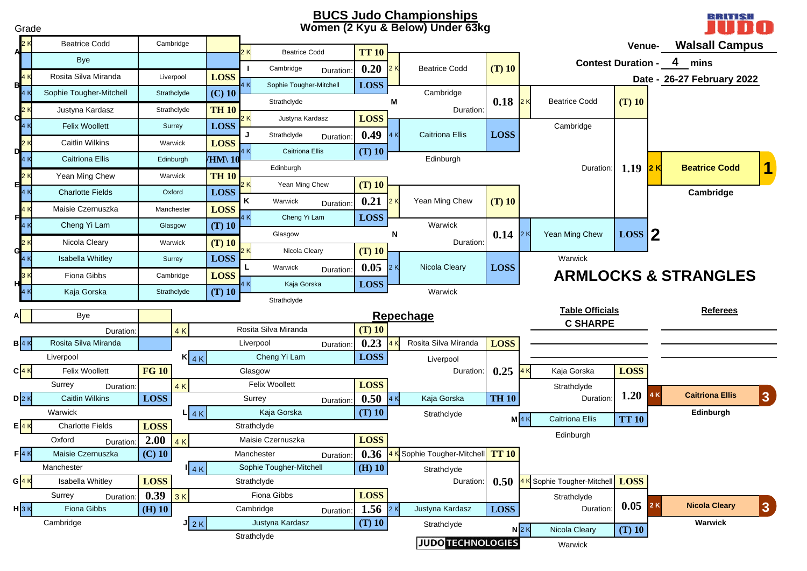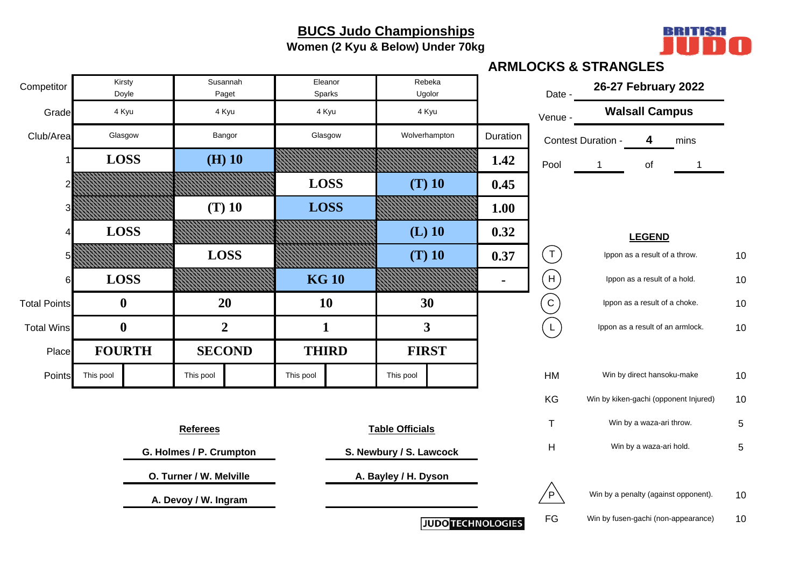**Women (2 Kyu & Below) Under 70kg**



|                     |               |                  |                         |                   |                   |                         |                          |          |                           | <b>ARMLOCKS &amp; STRANGLES</b>       |                                  |      |            |
|---------------------|---------------|------------------|-------------------------|-------------------|-------------------|-------------------------|--------------------------|----------|---------------------------|---------------------------------------|----------------------------------|------|------------|
| Competitor          |               | Kirsty<br>Doyle  |                         | Susannah<br>Paget | Eleanor<br>Sparks |                         | Rebeka<br>Ugolor         |          | Date -                    | 26-27 February 2022                   |                                  |      |            |
| Grade               |               | 4 Kyu            |                         | 4 Kyu             | 4 Kyu             |                         | 4 Kyu                    |          | Venue -                   |                                       | <b>Walsall Campus</b>            |      |            |
| Club/Area           |               | Glasgow          |                         | Bangor            | Glasgow           |                         | Wolverhampton            | Duration |                           | Contest Duration -                    | 4                                | mins |            |
|                     |               | <b>LOSS</b>      |                         | $(H)$ 10          |                   |                         |                          | 1.42     | Pool                      |                                       | of                               |      |            |
|                     |               |                  |                         |                   | <b>LOSS</b>       |                         | $(T)$ 10                 | 0.45     |                           |                                       |                                  |      |            |
|                     |               |                  |                         | $(T)$ 10          | <b>LOSS</b>       |                         |                          | 1.00     |                           |                                       |                                  |      |            |
|                     |               | <b>LOSS</b>      |                         |                   |                   |                         | $(L)$ 10                 | 0.32     |                           |                                       | <b>LEGEND</b>                    |      |            |
|                     |               |                  |                         | <b>LOSS</b>       |                   |                         | $(T)$ 10                 | 0.37     | $(\top)$                  |                                       | Ippon as a result of a throw.    |      | 10         |
|                     | <b>LOSS</b>   |                  |                         |                   | <b>KG 10</b>      |                         |                          |          | (H)                       |                                       | Ippon as a result of a hold.     |      | 10         |
| <b>Total Points</b> |               | $\boldsymbol{0}$ |                         | 20                | <b>10</b>         |                         | 30                       |          | $\left( 0 \right)$        |                                       | Ippon as a result of a choke.    |      | 10         |
| <b>Total Wins</b>   |               | $\boldsymbol{0}$ |                         | $\boldsymbol{2}$  | $\mathbf{1}$      |                         | 3                        |          | $\overline{L}$            |                                       | Ippon as a result of an armlock. |      | 10         |
| Place               | <b>FOURTH</b> |                  |                         | <b>SECOND</b>     | <b>THIRD</b>      | <b>FIRST</b>            |                          |          |                           |                                       |                                  |      |            |
| Points              | This pool     |                  | This pool               |                   | This pool         | This pool               |                          |          | HM                        |                                       | Win by direct hansoku-make       |      | 10         |
|                     |               |                  |                         |                   |                   |                         |                          |          | KG                        | Win by kiken-gachi (opponent Injured) |                                  |      | 10         |
|                     |               |                  | <b>Referees</b>         |                   |                   | <b>Table Officials</b>  |                          |          | T                         |                                       | Win by a waza-ari throw.         |      | $\sqrt{5}$ |
|                     |               |                  | G. Holmes / P. Crumpton |                   |                   | S. Newbury / S. Lawcock |                          |          | $\boldsymbol{\mathsf{H}}$ |                                       | Win by a waza-ari hold.          |      | 5          |
|                     |               |                  | O. Turner / W. Melville |                   |                   | A. Bayley / H. Dyson    |                          |          |                           |                                       |                                  |      |            |
|                     |               |                  | A. Devoy / W. Ingram    |                   |                   |                         |                          |          | Έ                         | Win by a penalty (against opponent).  |                                  |      | 10         |
|                     |               |                  |                         |                   |                   |                         | <b>JUDO TECHNOLOGIES</b> |          | FG                        | Win by fusen-gachi (non-appearance)   |                                  |      | 10         |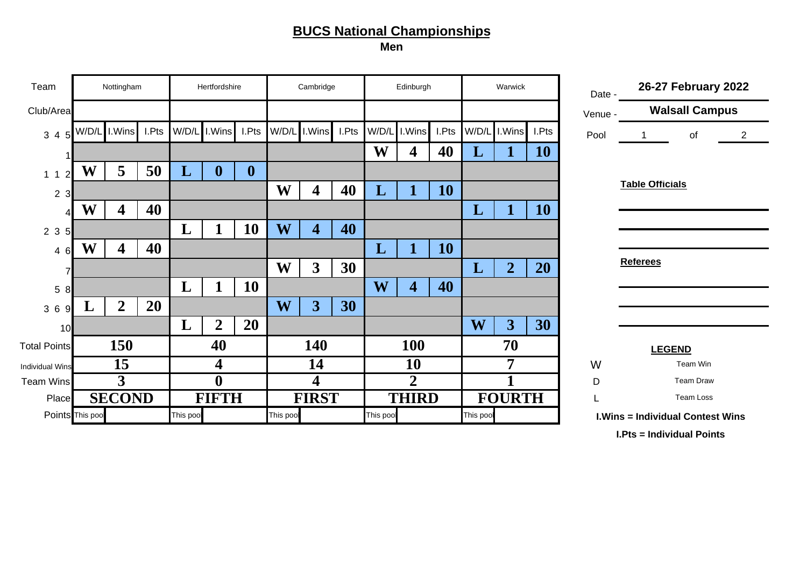**Men**

| Team                   |                  | Nottingham       |       |           | Hertfordshire    |              |                         | Cambridge               |       |              | Edinburgh               |       |          | Warwick                 |       | Date -  |                        | 26-27 February 2022                     |                |
|------------------------|------------------|------------------|-------|-----------|------------------|--------------|-------------------------|-------------------------|-------|--------------|-------------------------|-------|----------|-------------------------|-------|---------|------------------------|-----------------------------------------|----------------|
| Club/Area              |                  |                  |       |           |                  |              |                         |                         |       |              |                         |       |          |                         |       | Venue - |                        | <b>Walsall Campus</b>                   |                |
| 34<br>5                | W/D/L            | I.Wins           | I.Pts | W/D/L     | I.Wins           | I.Pts        | W/D/L                   | I.Wins                  | I.Pts | W/D/L        | I.Wins                  | I.Pts | W/D/L    | I.Wins                  | I.Pts | Pool    |                        | of                                      | $\overline{2}$ |
|                        |                  |                  |       |           |                  |              |                         |                         |       | W            | 4                       | 40    | L        |                         | 10    |         |                        |                                         |                |
| 1 <sub>1</sub><br>2    | W                | 5                | 50    | L         | $\mathbf{0}$     | $\mathbf{0}$ |                         |                         |       |              |                         |       |          |                         |       |         |                        |                                         |                |
| 2 <sub>3</sub>         |                  |                  |       |           |                  |              | W                       | 4                       | 40    | L            |                         | 10    |          |                         |       |         | <b>Table Officials</b> |                                         |                |
|                        | W<br>4           |                  | 40    |           |                  |              |                         |                         |       |              |                         |       | L        | 1                       | 10    |         |                        |                                         |                |
| 2 3 5                  | W<br>4           |                  |       | L         |                  | 10           | W                       | $\overline{\mathbf{4}}$ | 40    |              |                         |       |          |                         |       |         |                        |                                         |                |
| 4 6                    |                  |                  | 40    |           |                  |              |                         |                         |       | $\mathbf{L}$ |                         | 10    |          |                         |       |         |                        |                                         |                |
|                        |                  |                  |       |           |                  |              | W                       | $\overline{3}$          | 30    |              |                         |       | L        | $\overline{2}$          | 20    |         | <b>Referees</b>        |                                         |                |
| 5<br>8                 |                  |                  |       | L         |                  | 10           |                         |                         |       | W            | $\overline{\mathbf{4}}$ | 40    |          |                         |       |         |                        |                                         |                |
| 36<br>9                |                  | $\boldsymbol{2}$ | 20    |           |                  |              | $\overline{\textbf{W}}$ | $\overline{\mathbf{3}}$ | 30    |              |                         |       |          |                         |       |         |                        |                                         |                |
| 10                     |                  |                  |       | L         | $\overline{2}$   | 20           |                         |                         |       |              |                         |       | W        | $\overline{\mathbf{3}}$ | 30    |         |                        |                                         |                |
| <b>Total Points</b>    |                  | 150              |       |           | 40               |              |                         | 140                     |       |              | 100                     |       |          | 70                      |       |         |                        | <b>LEGEND</b>                           |                |
| <b>Individual Wins</b> |                  | 15               |       |           | $\boldsymbol{4}$ |              |                         | 14                      |       |              | <b>10</b>               |       |          | 7                       |       | W       |                        | Team Win                                |                |
| <b>Team Wins</b>       |                  | 3                |       |           |                  |              |                         | 4                       |       |              | $\overline{2}$          |       |          |                         |       | D       |                        | <b>Team Draw</b>                        |                |
| Place                  |                  | <b>SECOND</b>    |       |           | <b>FIFTH</b>     |              |                         | <b>FIRST</b>            |       |              | <b>THIRD</b>            |       |          | <b>FOURTH</b>           |       |         |                        | Team Loss                               |                |
|                        | Points This pool |                  |       | This pool |                  |              | This pool               |                         |       | This pool    |                         |       | This poo |                         |       |         |                        | <b>I.Wins = Individual Contest Wins</b> |                |

**I.Pts = Individual Points**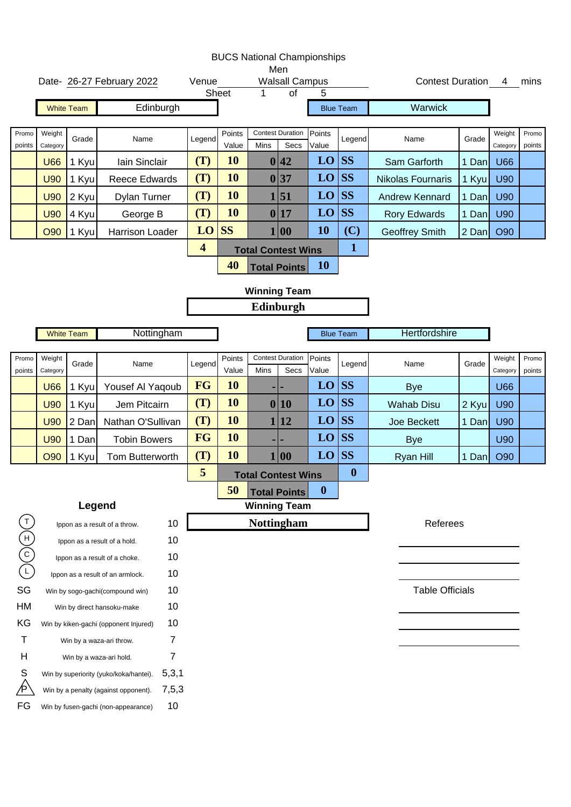|                         |                    |                   |                                                                     |                         |                 |      | <b>BUCS National Championships</b><br>Men |                  |                  |                         |       |                    |                 |
|-------------------------|--------------------|-------------------|---------------------------------------------------------------------|-------------------------|-----------------|------|-------------------------------------------|------------------|------------------|-------------------------|-------|--------------------|-----------------|
|                         |                    |                   | Date- 26-27 February 2022                                           | Venue                   |                 |      | <b>Walsall Campus</b>                     |                  |                  | <b>Contest Duration</b> |       |                    | 4 mins          |
|                         |                    | <b>White Team</b> | Edinburgh                                                           |                         | <b>Sheet</b>    | 1    | $\overline{of}$                           | 5                | <b>Blue Team</b> | Warwick                 |       |                    |                 |
|                         |                    |                   |                                                                     |                         |                 |      |                                           |                  |                  |                         |       |                    |                 |
| Promo<br>points         | Weight<br>Category | Grade             | Name                                                                | Legend                  | Points<br>Value | Mins | <b>Contest Duration</b><br>Secs           | Points<br>Value  | Legend           | Name                    | Grade | Weight<br>Category | Promo<br>points |
|                         | <b>U66</b>         | 1 Kyu             | Iain Sinclair                                                       | (T)                     | <b>10</b>       |      | 0 42                                      | LO               | <b>SS</b>        | Sam Garforth            | 1 Dan | <b>U66</b>         |                 |
|                         | <b>U90</b>         | 1 Kyu             | <b>Reece Edwards</b>                                                | (T)                     | <b>10</b>       |      | 0 37                                      | LO               | <b>SS</b>        | Nikolas Fournaris       | 1 Kyu | <b>U90</b>         |                 |
|                         | <b>U90</b>         | 2 Kyu             | Dylan Turner                                                        | (T)                     | <b>10</b>       |      | 1 51                                      | LO               | <b>SS</b>        | <b>Andrew Kennard</b>   | 1 Dan | <b>U90</b>         |                 |
|                         | <b>U90</b>         | 4 Kyu             | George B                                                            | (T)                     | 10              |      | 0 17                                      | LO               | <b>SS</b>        | <b>Rory Edwards</b>     | 1 Dan | U90                |                 |
|                         | O90                | 1 Kyu             | Harrison Loader                                                     | LO                      | <b>SS</b>       |      | 1 00                                      | 10               | (C)              | <b>Geoffrey Smith</b>   | 2 Dan | O90                |                 |
|                         |                    |                   |                                                                     | $\overline{\mathbf{4}}$ |                 |      | <b>Total Contest Wins</b>                 |                  | $\mathbf{1}$     |                         |       |                    |                 |
|                         |                    |                   |                                                                     |                         | 40              |      | <b>Total Points</b>                       | <b>10</b>        |                  |                         |       |                    |                 |
|                         |                    |                   |                                                                     |                         |                 |      | <b>Winning Team</b>                       |                  |                  |                         |       |                    |                 |
|                         |                    |                   |                                                                     |                         |                 |      | Edinburgh                                 |                  |                  |                         |       |                    |                 |
|                         |                    | <b>White Team</b> | Nottingham                                                          |                         |                 |      |                                           |                  | <b>Blue Team</b> | Hertfordshire           |       |                    |                 |
|                         |                    |                   |                                                                     |                         |                 |      |                                           |                  |                  |                         |       |                    |                 |
| Promo<br>points         | Weight<br>Category | Grade             | Name                                                                | Legend                  | Points<br>Value | Mins | <b>Contest Duration</b><br>Secs           | Points<br>Value  | Legend           | Name                    | Grade | Weight<br>Category | Promo<br>points |
|                         | <b>U66</b>         | 1 Kyu             | Yousef Al Yaqoub                                                    | FG                      | <b>10</b>       |      |                                           | LO               | <b>SS</b>        | <b>Bye</b>              |       | <b>U66</b>         |                 |
|                         | <b>U90</b>         | 1 Kyu             | Jem Pitcairn                                                        | (T)                     | 10              |      | 0 10                                      | LO               | <b>SS</b>        | <b>Wahab Disu</b>       | 2 Kyu | <b>U90</b>         |                 |
|                         | <b>U90</b>         | 2 Dan             | Nathan O'Sullivan                                                   | (T)                     | 10              |      | 12                                        | LO               | <b>SS</b>        | <b>Joe Beckett</b>      | 1 Dan | U90                |                 |
|                         | <b>U90</b>         | 1 Dan             | <b>Tobin Bowers</b>                                                 | FG                      | 10              |      |                                           | LO               | <b>SS</b>        | <b>Bye</b>              |       | U90                |                 |
|                         | <b>O90</b>         | 1 Kyu             | Tom Butterworth                                                     | (T)                     | 10              |      | 1 00                                      | LO               | <b>SS</b>        | <b>Ryan Hill</b>        | 1 Dan | O90                |                 |
|                         |                    |                   |                                                                     | 5                       |                 |      | <b>Total Contest Wins</b>                 |                  | $\boldsymbol{0}$ |                         |       |                    |                 |
|                         |                    |                   |                                                                     |                         | 50              |      | <b>Total Points</b>                       | $\boldsymbol{0}$ |                  |                         |       |                    |                 |
|                         |                    | Legend            |                                                                     |                         |                 |      | <b>Winning Team</b>                       |                  |                  |                         |       |                    |                 |
| $\mathsf{T}$            |                    |                   | 10<br>Ippon as a result of a throw.                                 |                         |                 |      | <b>Nottingham</b>                         |                  |                  | Referees                |       |                    |                 |
| $(\neg)(\neg)(\exists)$ |                    |                   | 10<br>Ippon as a result of a hold.                                  |                         |                 |      |                                           |                  |                  |                         |       |                    |                 |
|                         |                    |                   | 10<br>Ippon as a result of a choke.                                 |                         |                 |      |                                           |                  |                  |                         |       |                    |                 |
| SG                      |                    |                   | 10<br>Ippon as a result of an armlock.<br>10                        |                         |                 |      |                                           |                  |                  | <b>Table Officials</b>  |       |                    |                 |
| HM                      |                    |                   | Win by sogo-gachi(compound win)<br>10<br>Win by direct hansoku-make |                         |                 |      |                                           |                  |                  |                         |       |                    |                 |
| KG                      |                    |                   | 10<br>Win by kiken-gachi (opponent Injured)                         |                         |                 |      |                                           |                  |                  |                         |       |                    |                 |
| $\mathsf T$             |                    |                   | $\overline{7}$<br>Win by a waza-ari throw.                          |                         |                 |      |                                           |                  |                  |                         |       |                    |                 |
| Н                       |                    |                   | $\overline{7}$<br>Win by a waza-ari hold.                           |                         |                 |      |                                           |                  |                  |                         |       |                    |                 |
| S                       |                    |                   | 5,3,1<br>Win by superiority (yuko/koka/hantei).                     |                         |                 |      |                                           |                  |                  |                         |       |                    |                 |
|                         |                    |                   | 7,5,3<br>Win by a penalty (against opponent).                       |                         |                 |      |                                           |                  |                  |                         |       |                    |                 |
| FG                      |                    |                   | 10<br>Win by fusen-gachi (non-appearance)                           |                         |                 |      |                                           |                  |                  |                         |       |                    |                 |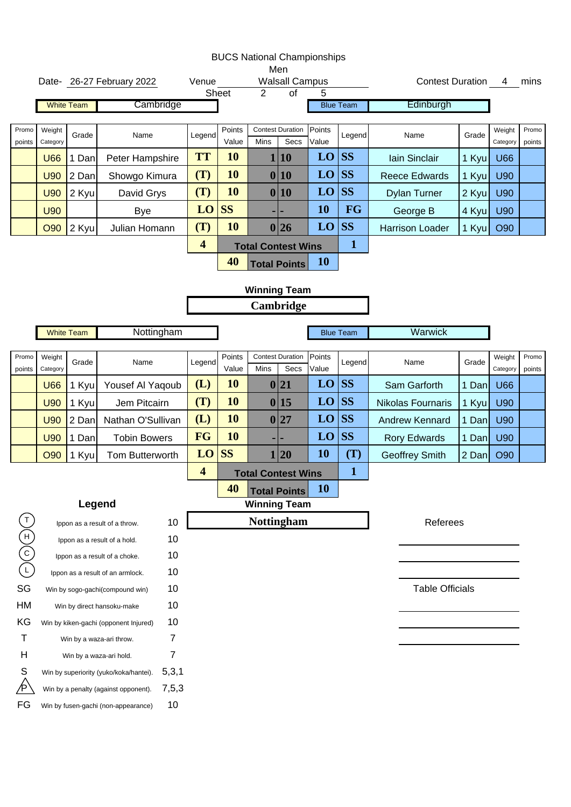|                 |                    |                   |                                        |                         | <b>BUCS National Championships</b> |                | Men                             |                 |                  |                        |       |                    |                 |
|-----------------|--------------------|-------------------|----------------------------------------|-------------------------|------------------------------------|----------------|---------------------------------|-----------------|------------------|------------------------|-------|--------------------|-----------------|
|                 |                    |                   | Date- 26-27 February 2022              | Venue                   |                                    |                | <b>Walsall Campus</b>           |                 |                  | Contest Duration 4     |       |                    | mins            |
|                 |                    |                   |                                        |                         | Sheet                              | $\overline{2}$ | $\overline{of}$                 | 5               |                  |                        |       |                    |                 |
|                 |                    | <b>White Team</b> | Cambridge                              |                         |                                    |                |                                 |                 | <b>Blue Team</b> | Edinburgh              |       |                    |                 |
| Promo           | Weight             |                   |                                        |                         | Points                             |                | <b>Contest Duration</b>         | Points          |                  |                        |       | Weight             | Promo           |
| points          | Category           | Grade             | Name                                   | Legend                  | Value                              | Mins           | Secs                            | Value           | Legend           | Name                   | Grade | Category           | points          |
|                 | <b>U66</b>         | 1 Dan             | Peter Hampshire                        | <b>TT</b>               | 10                                 |                | 1 10                            | LO              | <b>SS</b>        | lain Sinclair          | 1 Kyu | <b>U66</b>         |                 |
|                 | <b>U90</b>         | 2 Dan             | Showgo Kimura                          | (T)                     | <b>10</b>                          |                | 0 10                            | LO              | <b>SS</b>        | <b>Reece Edwards</b>   | 1 Kyu | U90                |                 |
|                 | <b>U90</b>         | 2 Kyu             | David Grys                             | (T)                     | 10                                 |                | 0 10                            | LO              | <b>SS</b>        | <b>Dylan Turner</b>    | 2 Kyu | U90                |                 |
|                 | <b>U90</b>         |                   | <b>Bye</b>                             | LO                      | <b>SS</b>                          |                |                                 | 10              | FG               | George B               | 4 Kyu | U90                |                 |
|                 | O90                | 2 Kyu             | Julian Homann                          | (T)                     | 10                                 |                | 0 26                            | LO              | <b>SS</b>        | <b>Harrison Loader</b> | 1 Kyu | O90                |                 |
|                 |                    |                   |                                        | $\overline{\mathbf{4}}$ |                                    |                | <b>Total Contest Wins</b>       |                 | $\mathbf 1$      |                        |       |                    |                 |
|                 |                    |                   |                                        |                         | 40                                 |                | <b>Total Points</b>             | <b>10</b>       |                  |                        |       |                    |                 |
|                 |                    |                   |                                        |                         |                                    |                |                                 |                 |                  |                        |       |                    |                 |
|                 |                    |                   |                                        |                         |                                    |                | <b>Winning Team</b>             |                 |                  |                        |       |                    |                 |
|                 |                    |                   |                                        |                         |                                    |                | Cambridge                       |                 |                  |                        |       |                    |                 |
|                 |                    | <b>White Team</b> | Nottingham                             |                         |                                    |                |                                 |                 | <b>Blue Team</b> | Warwick                |       |                    |                 |
|                 |                    |                   |                                        |                         |                                    |                |                                 |                 |                  |                        |       |                    |                 |
| Promo<br>points | Weight<br>Category | Grade             | Name                                   | Legend                  | Points<br>Value                    | Mins           | <b>Contest Duration</b><br>Secs | Points<br>Value | Legend           | Name                   | Grade | Weight<br>Category | Promo<br>points |
|                 | <b>U66</b>         | 1 Kyu             | Yousef Al Yaqoub                       | (L)                     | 10                                 |                | 0 21                            | LO              | <b>SS</b>        | Sam Garforth           | 1 Dan | <b>U66</b>         |                 |
|                 | <b>U90</b>         | 1 Kyu             | Jem Pitcairn                           | (T)                     | 10                                 |                | 0 15                            | LO              | <b>SS</b>        | Nikolas Fournaris      | 1 Kyu | <b>U90</b>         |                 |
|                 | <b>U90</b>         | 2 Dan             | Nathan O'Sullivan                      | (L)                     | 10                                 |                | 0 27                            | LO              | <b>SS</b>        | <b>Andrew Kennard</b>  | 1 Dan | <b>U90</b>         |                 |
|                 | <b>U90</b>         | 1 Dan             | <b>Tobin Bowers</b>                    | FG                      | 10                                 |                |                                 | LO              | <b>SS</b>        | <b>Rory Edwards</b>    | 1 Dan | U90                |                 |
|                 | <b>O90</b>         | 1 Kyu             | Tom Butterworth                        | LO                      | <b>SS</b>                          |                | 20                              | 10              | (T)              | <b>Geoffrey Smith</b>  | 2 Dan | O90                |                 |
|                 |                    |                   |                                        | $\overline{\mathbf{4}}$ |                                    |                | <b>Total Contest Wins</b>       |                 | $\mathbf{1}$     |                        |       |                    |                 |
|                 |                    |                   |                                        |                         | 40                                 |                | <b>Total Points</b>             | <b>10</b>       |                  |                        |       |                    |                 |
|                 |                    | Legend            |                                        |                         |                                    |                | <b>Winning Team</b>             |                 |                  |                        |       |                    |                 |
| $\mathsf{T}$    |                    |                   | Ippon as a result of a throw.          | 10                      |                                    |                | <b>Nottingham</b>               |                 |                  | Referees               |       |                    |                 |
|                 |                    |                   | Ippon as a result of a hold.           | 10                      |                                    |                |                                 |                 |                  |                        |       |                    |                 |
| $(-)(c)(\pm)$   |                    |                   | Ippon as a result of a choke.          | 10                      |                                    |                |                                 |                 |                  |                        |       |                    |                 |
|                 |                    |                   | Ippon as a result of an armlock.       | 10                      |                                    |                |                                 |                 |                  |                        |       |                    |                 |
| SG              |                    |                   | Win by sogo-gachi(compound win)        | 10                      |                                    |                |                                 |                 |                  | <b>Table Officials</b> |       |                    |                 |
| HM              |                    |                   | Win by direct hansoku-make             | 10                      |                                    |                |                                 |                 |                  |                        |       |                    |                 |
| KG              |                    |                   | Win by kiken-gachi (opponent Injured)  | 10                      |                                    |                |                                 |                 |                  |                        |       |                    |                 |
| Τ               |                    |                   | Win by a waza-ari throw.               | 7                       |                                    |                |                                 |                 |                  |                        |       |                    |                 |
| Н               |                    |                   | Win by a waza-ari hold.                | 7                       |                                    |                |                                 |                 |                  |                        |       |                    |                 |
| S               |                    |                   | Win by superiority (yuko/koka/hantei). | 5,3,1                   |                                    |                |                                 |                 |                  |                        |       |                    |                 |
|                 |                    |                   | Win by a penalty (against opponent).   | 7,5,3                   |                                    |                |                                 |                 |                  |                        |       |                    |                 |
| FG              |                    |                   | Win by fusen-gachi (non-appearance)    | 10                      |                                    |                |                                 |                 |                  |                        |       |                    |                 |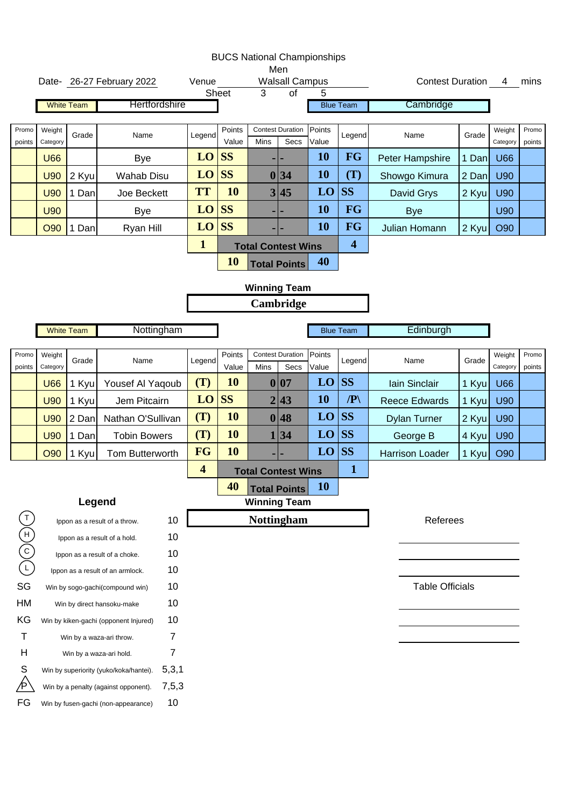|                 |                    |                   |                                                                           |              |                 | <b>BUCS National Championships</b> | Men                                      |                 |                         |                         |       |                    |                 |
|-----------------|--------------------|-------------------|---------------------------------------------------------------------------|--------------|-----------------|------------------------------------|------------------------------------------|-----------------|-------------------------|-------------------------|-------|--------------------|-----------------|
|                 |                    |                   | Date- 26-27 February 2022                                                 | Venue        | Sheet           | 3                                  | <b>Walsall Campus</b><br>$\overline{of}$ | 5               |                         | <b>Contest Duration</b> |       | 4                  | mins            |
|                 |                    | <b>White Team</b> | Hertfordshire                                                             |              |                 |                                    |                                          |                 | <b>Blue Team</b>        | Cambridge               |       |                    |                 |
|                 |                    |                   |                                                                           |              |                 |                                    |                                          |                 |                         |                         |       |                    |                 |
| Promo<br>points | Weight<br>Category | Grade             | Name                                                                      | Legend       | Points<br>Value | Mins                               | <b>Contest Duration</b><br>Secs          | Points<br>Value | Legend                  | Name                    | Grade | Weight<br>Category | Promo<br>points |
|                 | <b>U66</b>         |                   | Bye                                                                       | LO           | <b>SS</b>       |                                    |                                          | <b>10</b>       | <b>FG</b>               | Peter Hampshire         | 1 Dan | <b>U66</b>         |                 |
|                 | <b>U90</b>         | 2 Kyu             | <b>Wahab Disu</b>                                                         | LO           | <b>SS</b>       |                                    | 0 34                                     | <b>10</b>       | (T)                     | Showgo Kimura           | 2 Dan | <b>U90</b>         |                 |
|                 | <b>U90</b>         | 1 Dan             | Joe Beckett                                                               | <b>TT</b>    | 10              |                                    | 3 45                                     | LO              | <b>SS</b>               | David Grys              | 2 Kyu | <b>U90</b>         |                 |
|                 | <b>U90</b>         |                   | <b>Bye</b>                                                                | LO           | <b>SS</b>       |                                    |                                          | <b>10</b>       | <b>FG</b>               | <b>Bye</b>              |       | U90                |                 |
|                 | <b>O90</b>         | 1 Dan             | Ryan Hill                                                                 | LO           | <b>SS</b>       |                                    |                                          | <b>10</b>       | <b>FG</b>               | Julian Homann           | 2 Kyu | O90                |                 |
|                 |                    |                   |                                                                           | $\mathbf{1}$ |                 | <b>Total Contest Wins</b>          |                                          |                 | $\overline{\mathbf{4}}$ |                         |       |                    |                 |
|                 |                    |                   |                                                                           |              | 10              |                                    | <b>Total Points</b>                      | 40              |                         |                         |       |                    |                 |
|                 |                    |                   |                                                                           |              |                 | <b>Winning Team</b>                |                                          |                 |                         |                         |       |                    |                 |
|                 |                    |                   |                                                                           |              |                 |                                    | Cambridge                                |                 |                         |                         |       |                    |                 |
|                 |                    |                   |                                                                           |              |                 |                                    |                                          |                 |                         |                         |       |                    |                 |
|                 |                    | <b>White Team</b> | Nottingham                                                                |              |                 |                                    |                                          |                 | <b>Blue Team</b>        | Edinburgh               |       |                    |                 |
| Promo<br>points | Weight<br>Category | Grade             | Name                                                                      | Legend       | Points<br>Value | Mins                               | <b>Contest Duration</b><br>Secs          | Points<br>Value | Legend                  | Name                    | Grade | Weight<br>Category | Promo<br>points |
|                 | <b>U66</b>         | 1 Kyu             | Yousef Al Yaqoub                                                          | (T)          | 10              |                                    | 0 07                                     | LO              | <b>SS</b>               | lain Sinclair           | 1 Kyu | <b>U66</b>         |                 |
|                 | <b>U90</b>         | 1 Kyu             | Jem Pitcairn                                                              | LO           | <b>SS</b>       |                                    | 2 43                                     | <b>10</b>       | $\mathbb{P}$            | <b>Reece Edwards</b>    | 1 Kyu | <b>U90</b>         |                 |
|                 | <b>U90</b>         | 2 Dan             | Nathan O'Sullivan                                                         | (T)          | 10              |                                    | 0 48                                     | LO              | <b>SS</b>               | <b>Dylan Turner</b>     | 2 Kyu | <b>U90</b>         |                 |
|                 | <b>U90</b>         | 1 Dan             | <b>Tobin Bowers</b>                                                       | (T)          | 10              |                                    | 1 34                                     | LO              | <b>SS</b>               | George B                | 4 Kyu | <b>U90</b>         |                 |
|                 | <b>O90</b>         | 1 Kyu             | Tom Butterworth                                                           | <b>FG</b>    | 10              |                                    |                                          | LO              | <b>SS</b>               | <b>Harrison Loader</b>  | 1 Kyu | O90                |                 |
|                 |                    |                   |                                                                           | 4            |                 | <b>Total Contest Wins</b>          |                                          |                 | $\mathbf{1}$            |                         |       |                    |                 |
|                 |                    |                   |                                                                           |              | 40              |                                    | <b>Total Points</b>                      | <b>10</b>       |                         |                         |       |                    |                 |
|                 |                    | Legend            |                                                                           |              |                 | <b>Winning Team</b>                |                                          |                 |                         |                         |       |                    |                 |
|                 |                    |                   | 10<br>Ippon as a result of a throw.                                       |              |                 | <b>Nottingham</b>                  |                                          |                 |                         | Referees                |       |                    |                 |
| $(-)(c)(\pm)$   |                    |                   | 10<br>Ippon as a result of a hold.                                        |              |                 |                                    |                                          |                 |                         |                         |       |                    |                 |
|                 |                    |                   | 10<br>Ippon as a result of a choke.                                       |              |                 |                                    |                                          |                 |                         |                         |       |                    |                 |
| SG              |                    |                   | 10<br>Ippon as a result of an armlock.<br>10                              |              |                 |                                    |                                          |                 |                         | <b>Table Officials</b>  |       |                    |                 |
| HM              |                    |                   | Win by sogo-gachi(compound win)<br>10                                     |              |                 |                                    |                                          |                 |                         |                         |       |                    |                 |
| KG              |                    |                   | Win by direct hansoku-make<br>10<br>Win by kiken-gachi (opponent Injured) |              |                 |                                    |                                          |                 |                         |                         |       |                    |                 |
| Т               |                    |                   | 7<br>Win by a waza-ari throw.                                             |              |                 |                                    |                                          |                 |                         |                         |       |                    |                 |
| Н               |                    |                   | 7<br>Win by a waza-ari hold.                                              |              |                 |                                    |                                          |                 |                         |                         |       |                    |                 |
| S               |                    |                   | 5,3,1<br>Win by superiority (yuko/koka/hantei).                           |              |                 |                                    |                                          |                 |                         |                         |       |                    |                 |
|                 |                    |                   | 7,5,3<br>Win by a penalty (against opponent).                             |              |                 |                                    |                                          |                 |                         |                         |       |                    |                 |
| FG              |                    |                   | 10<br>Win by fusen-gachi (non-appearance)                                 |              |                 |                                    |                                          |                 |                         |                         |       |                    |                 |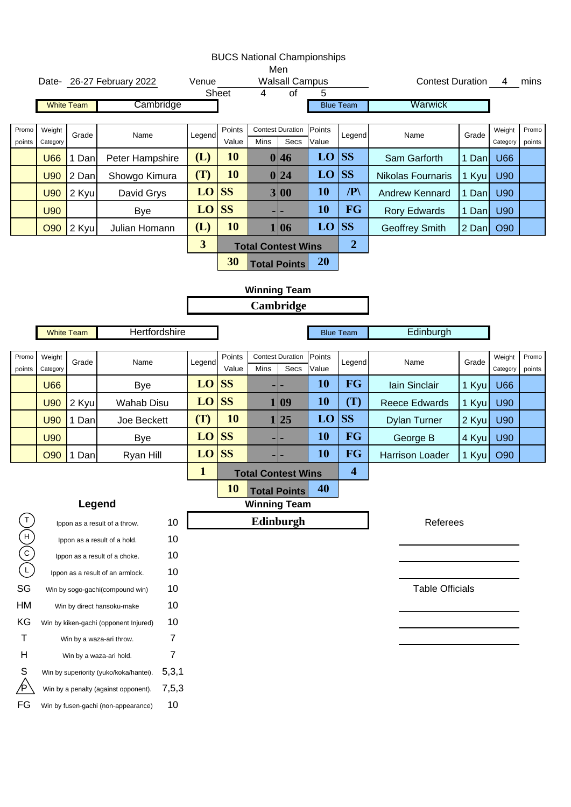|                                   |                    |                   |                                        |                         |                 |                | <b>BUCS National Championships</b><br>Men |                 |                         |                          |       |                    |                 |
|-----------------------------------|--------------------|-------------------|----------------------------------------|-------------------------|-----------------|----------------|-------------------------------------------|-----------------|-------------------------|--------------------------|-------|--------------------|-----------------|
|                                   |                    |                   | Date- 26-27 February 2022              | Venue                   |                 |                | <b>Walsall Campus</b>                     |                 |                         | Contest Duration 4       |       |                    | mins            |
|                                   |                    |                   |                                        |                         | Sheet           | $\overline{4}$ | $\overline{of}$                           | 5               |                         |                          |       |                    |                 |
|                                   |                    | <b>White Team</b> | Cambridge                              |                         |                 |                |                                           |                 | <b>Blue Team</b>        | Warwick                  |       |                    |                 |
| Promo<br>points                   | Weight<br>Category | Grade             | Name                                   | Legend                  | Points<br>Value | Mins           | <b>Contest Duration</b><br>Secs           | Points<br>Value | Legend                  | Name                     | Grade | Weight<br>Category | Promo<br>points |
|                                   | <b>U66</b>         | 1 Dan             | Peter Hampshire                        | (L)                     | 10              |                | 0 46                                      | LO              | <b>SS</b>               | Sam Garforth             | 1 Dan | <b>U66</b>         |                 |
|                                   | <b>U90</b>         | 2 Dan             | Showgo Kimura                          | (T)                     | 10              |                | 0 24                                      | LO              | <b>SS</b>               | <b>Nikolas Fournaris</b> | 1 Kyu | U90                |                 |
|                                   | <b>U90</b>         | 2 Kyu             | David Grys                             | LO                      | <b>SS</b>       |                | 3 00                                      | 10              | $\mathbb{P}$            | <b>Andrew Kennard</b>    | 1 Dan | <b>U90</b>         |                 |
|                                   | <b>U90</b>         |                   | <b>Bye</b>                             | LO                      | <b>SS</b>       |                | -1-                                       | 10              | <b>FG</b>               | <b>Rory Edwards</b>      | 1 Dan | U90                |                 |
|                                   | <b>O90</b>         | 2 Kyul            | Julian Homann                          | (L)                     | 10              |                | 1 06                                      | LO              | <b>SS</b>               | <b>Geoffrey Smith</b>    | 2 Dan | O90                |                 |
|                                   |                    |                   |                                        | $\overline{\mathbf{3}}$ |                 |                | <b>Total Contest Wins</b>                 |                 | $\boldsymbol{2}$        |                          |       |                    |                 |
|                                   |                    |                   |                                        |                         | 30              |                | <b>Total Points</b>                       | <b>20</b>       |                         |                          |       |                    |                 |
|                                   |                    |                   |                                        |                         |                 |                | <b>Winning Team</b>                       |                 |                         |                          |       |                    |                 |
|                                   |                    |                   |                                        |                         |                 |                | Cambridge                                 |                 |                         |                          |       |                    |                 |
|                                   |                    |                   |                                        |                         |                 |                |                                           |                 |                         |                          |       |                    |                 |
|                                   |                    | <b>White Team</b> | Hertfordshire                          |                         |                 |                |                                           |                 | <b>Blue Team</b>        | Edinburgh                |       |                    |                 |
| Promo<br>points                   | Weight<br>Category | Grade             | Name                                   | Legend                  | Points<br>Value | Mins           | <b>Contest Duration</b><br>Secs           | Points<br>Value | Legend                  | Name                     | Grade | Weight<br>Category | Promo<br>points |
|                                   | <b>U66</b>         |                   | <b>Bye</b>                             | LO                      | <b>SS</b>       |                |                                           | <b>10</b>       | <b>FG</b>               | Iain Sinclair            | 1 Kyu | <b>U66</b>         |                 |
|                                   | <b>U90</b>         | 2 Kyu             | <b>Wahab Disu</b>                      | LO                      | <b>SS</b>       |                | 1 09                                      | <b>10</b>       | (T)                     | <b>Reece Edwards</b>     | 1 Kyu | <b>U90</b>         |                 |
|                                   | <b>U90</b>         | 1 Dan             | Joe Beckett                            | (T)                     | 10              |                | 1 25                                      | LO              | <b>SS</b>               | <b>Dylan Turner</b>      | 2 Kyu | <b>U90</b>         |                 |
|                                   | <b>U90</b>         |                   | <b>Bye</b>                             | LO                      | <b>SS</b>       |                | ٠                                         | <b>10</b>       | <b>FG</b>               | George B                 | 4 Kyu | <b>U90</b>         |                 |
|                                   | <b>O90</b>         | 1 Dan             | Ryan Hill                              | LO                      | <b>SS</b>       |                |                                           | <b>10</b>       | <b>FG</b>               | <b>Harrison Loader</b>   | 1 Kyu | O90                |                 |
|                                   |                    |                   |                                        | $\mathbf{1}$            |                 |                | <b>Total Contest Wins</b>                 |                 | $\overline{\mathbf{4}}$ |                          |       |                    |                 |
|                                   |                    |                   |                                        |                         | <b>10</b>       |                | <b>Total Points</b>                       | 40              |                         |                          |       |                    |                 |
|                                   |                    | Legend            |                                        |                         |                 |                | <b>Winning Team</b>                       |                 |                         |                          |       |                    |                 |
| $\mathsf{T}$                      |                    |                   | Ippon as a result of a throw.          | 10                      |                 |                | Edinburgh                                 |                 |                         | Referees                 |       |                    |                 |
| $\begin{pmatrix} 1 \end{pmatrix}$ |                    |                   | Ippon as a result of a hold.           | 10                      |                 |                |                                           |                 |                         |                          |       |                    |                 |
|                                   |                    |                   | Ippon as a result of a choke.          | 10                      |                 |                |                                           |                 |                         |                          |       |                    |                 |
|                                   |                    |                   | Ippon as a result of an armlock.       | 10                      |                 |                |                                           |                 |                         |                          |       |                    |                 |
| SG                                |                    |                   | Win by sogo-gachi(compound win)        | 10                      |                 |                |                                           |                 |                         | <b>Table Officials</b>   |       |                    |                 |
| HM                                |                    |                   | Win by direct hansoku-make             | 10                      |                 |                |                                           |                 |                         |                          |       |                    |                 |
| KG                                |                    |                   | Win by kiken-gachi (opponent Injured)  | 10                      |                 |                |                                           |                 |                         |                          |       |                    |                 |
| т                                 |                    |                   | Win by a waza-ari throw.               | 7                       |                 |                |                                           |                 |                         |                          |       |                    |                 |
| Н                                 |                    |                   | Win by a waza-ari hold.                | 7                       |                 |                |                                           |                 |                         |                          |       |                    |                 |
| S                                 |                    |                   | Win by superiority (yuko/koka/hantei). | 5,3,1                   |                 |                |                                           |                 |                         |                          |       |                    |                 |
|                                   |                    |                   | Win by a penalty (against opponent).   | 7,5,3                   |                 |                |                                           |                 |                         |                          |       |                    |                 |
| FG                                |                    |                   | Win by fusen-gachi (non-appearance)    | 10                      |                 |                |                                           |                 |                         |                          |       |                    |                 |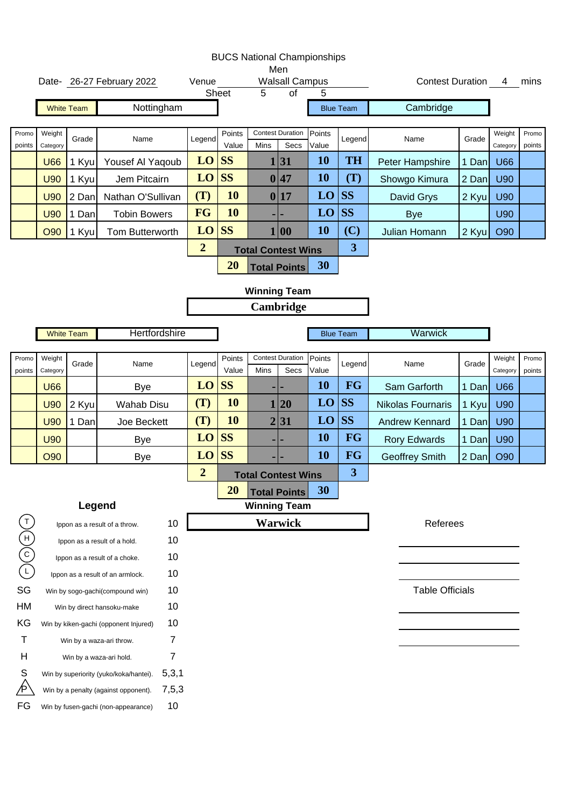|                         |                    |                   |                                                                     |                |                |                 |                | <b>BUCS National Championships</b><br>Men |                 |                         |                         |       |                    |                 |
|-------------------------|--------------------|-------------------|---------------------------------------------------------------------|----------------|----------------|-----------------|----------------|-------------------------------------------|-----------------|-------------------------|-------------------------|-------|--------------------|-----------------|
|                         |                    |                   | Date- 26-27 February 2022                                           |                | Venue          | Sheet           | $\overline{5}$ | <b>Walsall Campus</b><br>$\overline{of}$  | 5               |                         | Contest Duration 4 mins |       |                    |                 |
|                         |                    | <b>White Team</b> | Nottingham                                                          |                |                |                 |                |                                           |                 | <b>Blue Team</b>        | Cambridge               |       |                    |                 |
|                         |                    |                   |                                                                     |                |                |                 |                |                                           |                 |                         |                         |       |                    |                 |
| Promo<br>points         | Weight<br>Category | Grade             | Name                                                                |                | Legend         | Points<br>Value | Mins           | <b>Contest Duration</b><br>Secs           | Points<br>Value | Legend                  | Name                    | Grade | Weight<br>Category | Promo<br>points |
|                         | <b>U66</b>         | 1 Kyu             | Yousef Al Yaqoub                                                    |                | LO             | <b>SS</b>       | $\mathbf{1}$   | 31                                        | 10              | <b>TH</b>               | Peter Hampshire         | 1 Dan | <b>U66</b>         |                 |
|                         | <b>U90</b>         | 1 Kyu             | Jem Pitcairn                                                        |                | LO             | <b>SS</b>       |                | 0 47                                      | 10              | (T)                     | Showgo Kimura           | 2 Dan | <b>U90</b>         |                 |
|                         | <b>U90</b>         | 2 Dan             | Nathan O'Sullivan                                                   |                | (T)            | 10              |                | 0 17                                      | LO              | <b>SS</b>               | David Grys              | 2 Kyu | <b>U90</b>         |                 |
|                         | <b>U90</b>         | 1 Dan             | <b>Tobin Bowers</b>                                                 |                | <b>FG</b>      | 10              |                |                                           | LO              | <b>SS</b>               | <b>Bye</b>              |       | <b>U90</b>         |                 |
|                         | O90                | 1 Kyu             | Tom Butterworth                                                     |                | LO             | <b>SS</b>       |                | 1 00                                      | 10              | (C)                     | Julian Homann           | 2 Kyu | O90                |                 |
|                         |                    |                   |                                                                     |                | $\overline{2}$ |                 |                | <b>Total Contest Wins</b>                 |                 | $\overline{\mathbf{3}}$ |                         |       |                    |                 |
|                         |                    |                   |                                                                     |                |                | 20              |                | <b>Total Points</b>                       | 30              |                         |                         |       |                    |                 |
|                         |                    |                   |                                                                     |                |                |                 |                | <b>Winning Team</b>                       |                 |                         |                         |       |                    |                 |
|                         |                    |                   |                                                                     |                |                |                 |                | Cambridge                                 |                 |                         |                         |       |                    |                 |
|                         |                    |                   | Hertfordshire                                                       |                |                |                 |                |                                           |                 |                         | Warwick                 |       |                    |                 |
|                         |                    | <b>White Team</b> |                                                                     |                |                |                 |                |                                           |                 | <b>Blue Team</b>        |                         |       |                    |                 |
| Promo<br>points         | Weight<br>Category | Grade             | Name                                                                |                | Legend         | Points<br>Value | Mins           | <b>Contest Duration</b><br>Secs           | Points<br>Value | Legend                  | Name                    | Grade | Weight<br>Category | Promo<br>points |
|                         | <b>U66</b>         |                   | <b>Bye</b>                                                          |                | $LO$ SS        |                 |                |                                           | 10              | <b>FG</b>               | Sam Garforth            | 1 Dan | <b>U66</b>         |                 |
|                         | <b>U90</b>         | 2 Kyu             | <b>Wahab Disu</b>                                                   |                | (T)            | 10              | 1              | 20                                        | LO              | <b>SS</b>               | Nikolas Fournaris       | 1 Kyu | U90                |                 |
|                         | <b>U90</b>         | 1 Dan             | Joe Beckett                                                         |                | (T)            | 10              | $\overline{2}$ | 31                                        | LO              | <b>SS</b>               | <b>Andrew Kennard</b>   | 1 Dan | U90                |                 |
|                         | <b>U90</b>         |                   | <b>Bye</b>                                                          |                | $LO$ SS        |                 |                |                                           | 10              | <b>FG</b>               | <b>Rory Edwards</b>     | 1 Dan | U90                |                 |
|                         | <b>O90</b>         |                   | <b>Bye</b>                                                          |                | $LO$ SS        |                 |                |                                           | 10              | <b>FG</b>               | <b>Geoffrey Smith</b>   | 2 Dan | O90                |                 |
|                         |                    |                   |                                                                     |                | $\overline{2}$ |                 |                | <b>Total Contest Wins</b>                 |                 | 3                       |                         |       |                    |                 |
|                         |                    |                   |                                                                     |                |                | 20              |                | <b>Total Points</b>                       | 30              |                         |                         |       |                    |                 |
|                         |                    | Legend            |                                                                     |                |                |                 |                | <b>Winning Team</b>                       |                 |                         |                         |       |                    |                 |
| $\overline{1}$          |                    |                   | Ippon as a result of a throw.                                       | 10             |                |                 |                | <b>Warwick</b>                            |                 |                         | Referees                |       |                    |                 |
|                         |                    |                   | Ippon as a result of a hold.                                        | 10             |                |                 |                |                                           |                 |                         |                         |       |                    |                 |
| $(\neg)(\neg)(\exists)$ |                    |                   | Ippon as a result of a choke.                                       | 10             |                |                 |                |                                           |                 |                         |                         |       |                    |                 |
| SG                      |                    |                   | Ippon as a result of an armlock.<br>Win by sogo-gachi(compound win) | 10<br>10       |                |                 |                |                                           |                 |                         | <b>Table Officials</b>  |       |                    |                 |
| HM                      |                    |                   | Win by direct hansoku-make                                          | 10             |                |                 |                |                                           |                 |                         |                         |       |                    |                 |
| KG                      |                    |                   | Win by kiken-gachi (opponent Injured)                               | 10             |                |                 |                |                                           |                 |                         |                         |       |                    |                 |
| Т                       |                    |                   | Win by a waza-ari throw.                                            | $\overline{7}$ |                |                 |                |                                           |                 |                         |                         |       |                    |                 |
| Н                       |                    |                   | Win by a waza-ari hold.                                             | $\overline{7}$ |                |                 |                |                                           |                 |                         |                         |       |                    |                 |
| S                       |                    |                   | Win by superiority (yuko/koka/hantei).                              | 5,3,1          |                |                 |                |                                           |                 |                         |                         |       |                    |                 |
|                         |                    |                   | Win by a penalty (against opponent).                                | 7,5,3          |                |                 |                |                                           |                 |                         |                         |       |                    |                 |
| FG                      |                    |                   | Win by fusen-gachi (non-appearance)                                 | 10             |                |                 |                |                                           |                 |                         |                         |       |                    |                 |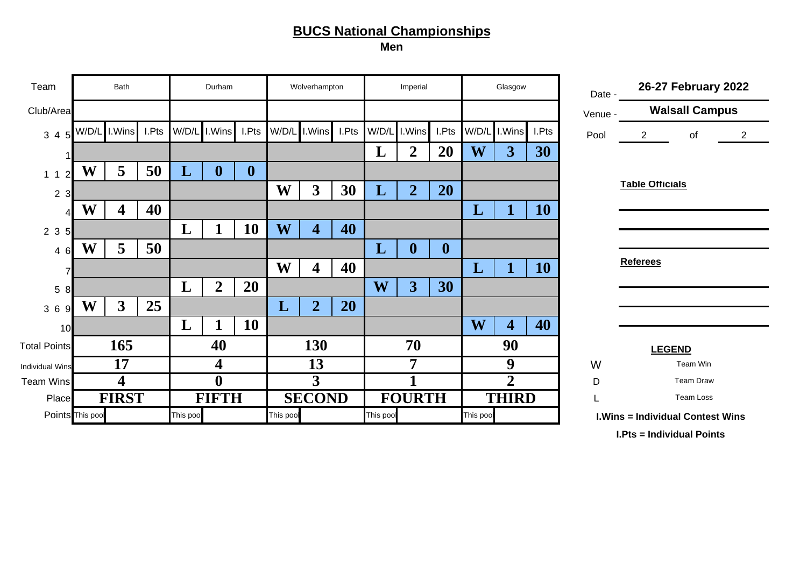**Men**

| Team                             |                  | Bath                    |       |           | Durham           |                  |           | Wolverhampton           |       |           | Imperial       |                  |           | Glasgow                 |           | Date -  |                        | 26-27 February 2022                     |                |
|----------------------------------|------------------|-------------------------|-------|-----------|------------------|------------------|-----------|-------------------------|-------|-----------|----------------|------------------|-----------|-------------------------|-----------|---------|------------------------|-----------------------------------------|----------------|
| Club/Area                        |                  |                         |       |           |                  |                  |           |                         |       |           |                |                  |           |                         |           | Venue - |                        | <b>Walsall Campus</b>                   |                |
| 3 4 5                            | W/D/L            | .Wins                   | I.Pts | W/D/L     | I.Wins           | I.Pts            | W/D/L     | I.Wins                  | I.Pts | W/D/L     | I.Wins         | I.Pts            | W/D/L     | I.Wins                  | I.Pts     | Pool    | $\overline{2}$         | Οf                                      | $\overline{2}$ |
|                                  |                  |                         |       |           |                  |                  |           |                         |       | L         | $\overline{2}$ | 20               | W         | 3                       | 30        |         |                        |                                         |                |
| $\overline{2}$<br>1 <sub>1</sub> | W                | 5                       | 50    | L         | $\boldsymbol{0}$ | $\boldsymbol{0}$ |           |                         |       |           |                |                  |           |                         |           |         |                        |                                         |                |
| $\overline{2}$<br>3              |                  |                         |       |           |                  |                  | W         | 3                       | 30    | L         | $\overline{2}$ | 20               |           |                         |           |         | <b>Table Officials</b> |                                         |                |
|                                  | W                | 4                       | 40    |           |                  |                  |           |                         |       |           |                |                  | L         |                         | <b>10</b> |         |                        |                                         |                |
| 2 3<br>$5 \mathsf{I}$            |                  |                         |       | L         |                  | 10               | W         | $\overline{\mathbf{4}}$ | 40    |           |                |                  |           |                         |           |         |                        |                                         |                |
| 46                               | W                | 5                       | 50    |           |                  |                  |           |                         |       | L         | $\bf{0}$       | $\boldsymbol{0}$ |           |                         |           |         |                        |                                         |                |
|                                  |                  |                         |       |           |                  |                  | W         | 4                       | 40    |           |                |                  | L         |                         | <b>10</b> |         | <b>Referees</b>        |                                         |                |
| 5<br>8                           |                  |                         |       | L         | $\overline{2}$   | 20               |           |                         |       | W         | 3 <sup>1</sup> | 30               |           |                         |           |         |                        |                                         |                |
| 36<br><b>q</b>                   | W                | $\overline{\mathbf{3}}$ | 25    |           |                  |                  | L         | $\overline{2}$          | 20    |           |                |                  |           |                         |           |         |                        |                                         |                |
| 10                               |                  |                         |       | L         |                  | 10               |           |                         |       |           |                |                  | W         | $\overline{\mathbf{4}}$ | 40        |         |                        |                                         |                |
| <b>Total Points</b>              |                  | 165                     |       |           | 40               |                  |           | 130                     |       |           | 70             |                  |           | 90                      |           |         |                        | <b>LEGEND</b>                           |                |
| <b>Individual Wins</b>           |                  | 17                      |       |           | 4                |                  |           | 13                      |       |           | 7              |                  |           | 9                       |           | W       |                        | Team Win                                |                |
| <b>Team Wins</b>                 |                  | 4                       |       |           | $\mathbf{0}$     |                  |           | 3                       |       |           |                |                  |           | $\overline{2}$          |           | D       |                        | <b>Team Draw</b>                        |                |
| Place                            |                  | <b>FIRST</b>            |       |           | <b>FIFTH</b>     |                  |           | <b>SECOND</b>           |       |           | <b>FOURTH</b>  |                  |           | <b>THIRD</b>            |           |         |                        | Team Loss                               |                |
|                                  | Points This pool |                         |       | This pool |                  |                  | This pool |                         |       | This pool |                |                  | This pool |                         |           |         |                        | <b>I.Wins = Individual Contest Wins</b> |                |

**I.Pts = Individual Points**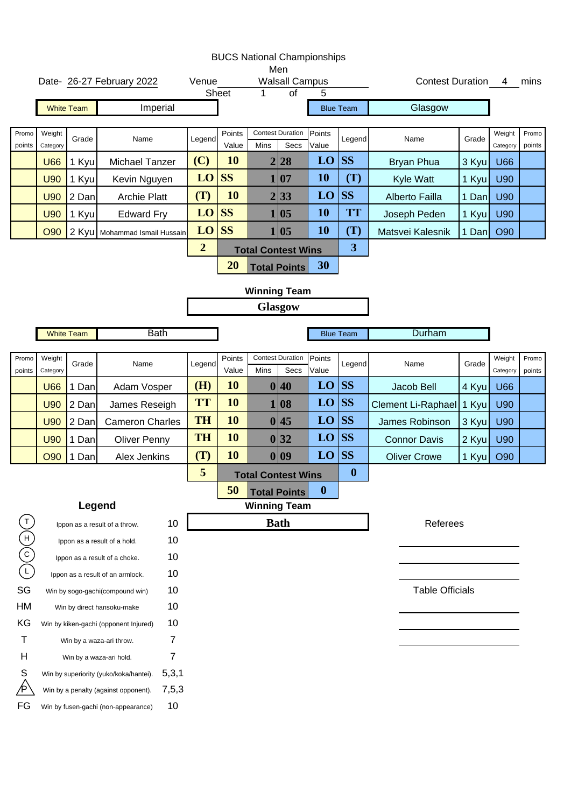|                                   |                    |                   |                                                               |          |                |                 |                  | Men                                      | <b>BUCS National Championships</b> |                         |                          |       |                    |                 |
|-----------------------------------|--------------------|-------------------|---------------------------------------------------------------|----------|----------------|-----------------|------------------|------------------------------------------|------------------------------------|-------------------------|--------------------------|-------|--------------------|-----------------|
|                                   |                    |                   | Date- 26-27 February 2022                                     |          | Venue          | Sheet           | 1                | <b>Walsall Campus</b><br>$\overline{of}$ |                                    |                         | <b>Contest Duration</b>  |       | 4                  | mins            |
|                                   |                    | <b>White Team</b> | Imperial                                                      |          |                |                 |                  |                                          |                                    | <b>Blue Team</b>        | Glasgow                  |       |                    |                 |
|                                   |                    |                   |                                                               |          |                |                 |                  |                                          |                                    |                         |                          |       |                    |                 |
| Promo<br>points                   | Weight<br>Category | Grade             | Name                                                          |          | Legend         | Points<br>Value | Mins             | <b>Contest Duration</b><br>Secs          | Points<br>Value                    | Legend                  | Name                     | Grade | Weight<br>Category | Promo<br>points |
|                                   | <b>U66</b>         | 1 Kyu             | <b>Michael Tanzer</b>                                         |          | (C)            | 10              | $\boldsymbol{2}$ | 28                                       | LO                                 | <b>SS</b>               | <b>Bryan Phua</b>        | 3 Kyu | <b>U66</b>         |                 |
|                                   | <b>U90</b>         | 1 Kyu             | Kevin Nguyen                                                  |          | LO             | <b>SS</b>       |                  | 1 07                                     | 10                                 | (T)                     | Kyle Watt                | 1 Kyu | <b>U90</b>         |                 |
|                                   | <b>U90</b>         | 2 Dan             | <b>Archie Platt</b>                                           |          | (T)            | 10              |                  | 2 33                                     | LO                                 | <b>SS</b>               | Alberto Failla           | 1 Dan | <b>U90</b>         |                 |
|                                   | <b>U90</b>         | 1 Kyu             | <b>Edward Fry</b>                                             |          | LO             | <b>SS</b>       |                  | 1 05                                     | 10                                 | <b>TT</b>               | Joseph Peden             | 1 Kyu | <b>U90</b>         |                 |
|                                   | <b>O90</b>         |                   | 2 Kyu   Mohammad Ismail Hussain                               |          | LO             | <b>SS</b>       |                  | 1 05                                     | 10                                 | (T)                     | Matsvei Kalesnik         | 1 Dan | <b>O90</b>         |                 |
|                                   |                    |                   |                                                               |          | $\overline{2}$ |                 |                  | <b>Total Contest Wins</b>                |                                    | $\overline{\mathbf{3}}$ |                          |       |                    |                 |
|                                   |                    |                   |                                                               |          |                | 20              |                  | <b>Total Points</b>                      | 30                                 |                         |                          |       |                    |                 |
|                                   |                    |                   |                                                               |          |                |                 |                  | <b>Winning Team</b>                      |                                    |                         |                          |       |                    |                 |
|                                   |                    |                   |                                                               |          |                |                 |                  | <b>Glasgow</b>                           |                                    |                         |                          |       |                    |                 |
|                                   |                    | <b>White Team</b> | <b>Bath</b>                                                   |          |                |                 |                  |                                          |                                    | <b>Blue Team</b>        | Durham                   |       |                    |                 |
|                                   |                    |                   |                                                               |          |                |                 |                  |                                          |                                    |                         |                          |       |                    |                 |
| Promo<br>points                   | Weight<br>Category | Grade             | Name                                                          |          | Legend         | Points<br>Value | Mins             | <b>Contest Duration</b><br>Secs          | Points<br>Value                    | Legend                  | Name                     | Grade | Weight<br>Category | Promo<br>points |
|                                   | <b>U66</b>         | 1 Dan             | Adam Vosper                                                   |          | (H)            | 10              |                  | 0 40                                     | LO                                 | <b>SS</b>               | Jacob Bell               | 4 Kyu | <b>U66</b>         |                 |
|                                   | <b>U90</b>         | 2 Dan             | James Reseigh                                                 |          | <b>TT</b>      | 10              |                  | 1 08                                     | LO                                 | <b>SS</b>               | Clement Li-Raphael 1 Kyu |       | <b>U90</b>         |                 |
|                                   | <b>U90</b>         | 2 Dan             | <b>Cameron Charles</b>                                        |          | <b>TH</b>      | 10              |                  | 0 45                                     | LO                                 | <b>SS</b>               | <b>James Robinson</b>    | 3 Kyu | U90                |                 |
|                                   | <b>U90</b>         | Dan<br>1          | <b>Oliver Penny</b>                                           |          | <b>TH</b>      | 10              |                  | 0 32                                     | LO                                 | <b>SS</b>               | <b>Connor Davis</b>      | 2 Kyu | U90                |                 |
|                                   | <b>O90</b>         | Dan               | Alex Jenkins                                                  |          | (T)            | 10              |                  | 0 09                                     | LO                                 | <b>SS</b>               | <b>Oliver Crowe</b>      | 1 Kyu | <b>O90</b>         |                 |
|                                   |                    |                   |                                                               |          | 5              |                 |                  | <b>Total Contest Wins</b>                |                                    | $\boldsymbol{0}$        |                          |       |                    |                 |
|                                   |                    |                   |                                                               |          |                | 50              |                  | <b>Total Points</b>                      | $\boldsymbol{0}$                   |                         |                          |       |                    |                 |
|                                   |                    |                   | Legend                                                        |          |                |                 |                  | <b>Winning Team</b>                      |                                    |                         |                          |       |                    |                 |
| $\mathsf T$                       |                    |                   | Ippon as a result of a throw.                                 | 10       |                |                 |                  | <b>Bath</b>                              |                                    |                         | Referees                 |       |                    |                 |
| $\begin{pmatrix} 1 \end{pmatrix}$ |                    |                   | Ippon as a result of a hold.                                  | 10       |                |                 |                  |                                          |                                    |                         |                          |       |                    |                 |
|                                   |                    |                   | Ippon as a result of a choke.                                 | 10       |                |                 |                  |                                          |                                    |                         |                          |       |                    |                 |
|                                   |                    |                   | Ippon as a result of an armlock.                              | 10       |                |                 |                  |                                          |                                    |                         |                          |       |                    |                 |
| SG<br>HM                          |                    |                   | Win by sogo-gachi(compound win)<br>Win by direct hansoku-make | 10<br>10 |                |                 |                  |                                          |                                    |                         | <b>Table Officials</b>   |       |                    |                 |
| ΚG                                |                    |                   | Win by kiken-gachi (opponent Injured)                         | 10       |                |                 |                  |                                          |                                    |                         |                          |       |                    |                 |
| т                                 |                    |                   | Win by a waza-ari throw.                                      | 7        |                |                 |                  |                                          |                                    |                         |                          |       |                    |                 |
| H                                 |                    |                   | Win by a waza-ari hold.                                       | 7        |                |                 |                  |                                          |                                    |                         |                          |       |                    |                 |
| S                                 |                    |                   | Win by superiority (yuko/koka/hantei).                        | 5,3,1    |                |                 |                  |                                          |                                    |                         |                          |       |                    |                 |
|                                   |                    |                   | Win by a penalty (against opponent).                          | 7,5,3    |                |                 |                  |                                          |                                    |                         |                          |       |                    |                 |
| FG                                |                    |                   | Win by fusen-gachi (non-appearance)                           | 10       |                |                 |                  |                                          |                                    |                         |                          |       |                    |                 |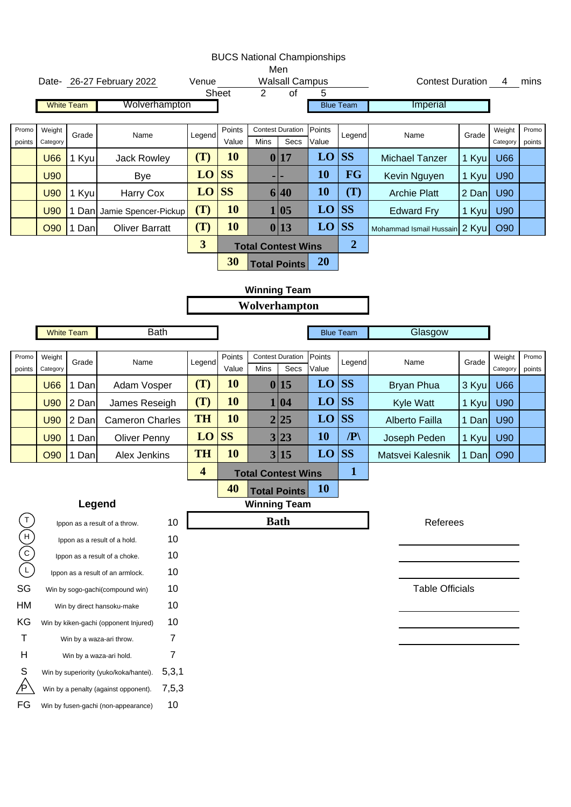|                                        |                    |        |                                                                            |                         |                 |                           |                                 | <b>BUCS National Championships</b> |                  |                               |       |                    |                 |
|----------------------------------------|--------------------|--------|----------------------------------------------------------------------------|-------------------------|-----------------|---------------------------|---------------------------------|------------------------------------|------------------|-------------------------------|-------|--------------------|-----------------|
|                                        |                    |        | Date- 26-27 February 2022                                                  | Venue                   |                 |                           | Men<br><b>Walsall Campus</b>    |                                    |                  | Contest Duration 4            |       |                    | mins            |
|                                        |                    |        |                                                                            |                         | <b>Sheet</b>    | $\overline{2}$            | of                              | 5                                  |                  |                               |       |                    |                 |
|                                        | <b>White Team</b>  |        | Wolverhampton                                                              |                         |                 |                           |                                 |                                    | <b>Blue Team</b> | Imperial                      |       |                    |                 |
| Promo<br>points                        | Weight<br>Category | Grade  | Name                                                                       | Legend                  | Points<br>Value | Mins                      | <b>Contest Duration</b><br>Secs | Points<br>Value                    | Legend           | Name                          | Grade | Weight<br>Category | Promo<br>points |
|                                        | <b>U66</b>         | 1 Kyu  | <b>Jack Rowley</b>                                                         | (T)                     | 10              |                           | 0 17                            | LO                                 | <b>SS</b>        | <b>Michael Tanzer</b>         | 1 Kyu | <b>U66</b>         |                 |
|                                        | <b>U90</b>         |        | <b>Bye</b>                                                                 | LO                      | <b>SS</b>       |                           |                                 | <b>10</b>                          | <b>FG</b>        | Kevin Nguyen                  | 1 Kyu | U90                |                 |
|                                        | <b>U90</b>         | 1 Kyu  | Harry Cox                                                                  | LO                      | <b>SS</b>       |                           | 6 40                            | <b>10</b>                          | (T)              | <b>Archie Platt</b>           | 2 Dan | <b>U90</b>         |                 |
|                                        | <b>U90</b>         |        | 1 Dan Jamie Spencer-Pickup                                                 | (T)                     | 10              |                           | 1 05                            | LO                                 | <b>SS</b>        | <b>Edward Fry</b>             | 1 Kyu | <b>U90</b>         |                 |
|                                        | <b>O90</b>         | 1 Dan  | <b>Oliver Barratt</b>                                                      | (T)                     | 10              |                           | 0 13                            | LO                                 | SS               | Mohammad Ismail Hussain 2 Kyu |       | O90                |                 |
|                                        |                    |        |                                                                            | $\overline{\mathbf{3}}$ |                 | <b>Total Contest Wins</b> |                                 |                                    | $\overline{2}$   |                               |       |                    |                 |
|                                        |                    |        |                                                                            |                         | 30              |                           | <b>Total Points</b>             | <b>20</b>                          |                  |                               |       |                    |                 |
|                                        |                    |        |                                                                            |                         |                 | <b>Winning Team</b>       |                                 |                                    |                  |                               |       |                    |                 |
|                                        |                    |        |                                                                            |                         |                 | Wolverhampton             |                                 |                                    |                  |                               |       |                    |                 |
|                                        |                    |        |                                                                            |                         |                 |                           |                                 |                                    |                  |                               |       |                    |                 |
|                                        | <b>White Team</b>  |        | <b>Bath</b>                                                                |                         |                 |                           |                                 |                                    | <b>Blue Team</b> | Glasgow                       |       |                    |                 |
| Promo<br>points                        | Weight<br>Category | Grade  | Name                                                                       | Legend                  | Points<br>Value | Mins                      | <b>Contest Duration</b><br>Secs | Points<br>Value                    | Legend           | Name                          | Grade | Weight<br>Category | Promo<br>points |
|                                        | <b>U66</b>         | 1 Dan  | Adam Vosper                                                                | (T)                     | 10              |                           | 0 15                            | LO                                 | SS               | <b>Bryan Phua</b>             | 3 Kyu | <b>U66</b>         |                 |
|                                        | <b>U90</b>         | 2 Dan  | James Reseigh                                                              | (T)                     | 10              |                           | 1 04                            | LO                                 | <b>SS</b>        | Kyle Watt                     | 1 Kyu | <b>U90</b>         |                 |
|                                        | <b>U90</b>         | 2 Dan  | <b>Cameron Charles</b>                                                     | <b>TH</b>               | 10              |                           | 2 25                            | LO                                 | <b>SS</b>        | Alberto Failla                | 1 Dan | <b>U90</b>         |                 |
|                                        | <b>U90</b>         | 1 Dan  | <b>Oliver Penny</b>                                                        | LO                      | <b>SS</b>       |                           | 3 23                            | <b>10</b>                          | $\mathbb{P}$     | Joseph Peden                  | 1 Kyu | <b>U90</b>         |                 |
|                                        | <b>O90</b>         | 1 Dan  | Alex Jenkins                                                               | <b>TH</b>               | 10              |                           | 3 15                            | LO                                 | <b>SS</b>        | Matsvei Kalesnik              | 1 Dan | <b>O90</b>         |                 |
|                                        |                    |        |                                                                            | $\overline{\mathbf{4}}$ |                 | <b>Total Contest Wins</b> |                                 |                                    | $\mathbf{1}$     |                               |       |                    |                 |
|                                        |                    |        |                                                                            |                         | 40              |                           | <b>Total Points</b>             | <b>10</b>                          |                  |                               |       |                    |                 |
|                                        |                    | Legend |                                                                            |                         |                 | <b>Winning Team</b>       |                                 |                                    |                  |                               |       |                    |                 |
| $\mathsf{T}$                           |                    |        | 10<br>Ippon as a result of a throw.                                        |                         |                 |                           | <b>Bath</b>                     |                                    |                  | Referees                      |       |                    |                 |
| $\widetilde{(\mathsf{F})}(\mathsf{O})$ |                    |        | 10<br>Ippon as a result of a hold.                                         |                         |                 |                           |                                 |                                    |                  |                               |       |                    |                 |
|                                        |                    |        | 10<br>Ippon as a result of a choke.                                        |                         |                 |                           |                                 |                                    |                  |                               |       |                    |                 |
|                                        |                    |        | 10<br>Ippon as a result of an armlock.                                     |                         |                 |                           |                                 |                                    |                  |                               |       |                    |                 |
| SG                                     |                    |        | 10<br>Win by sogo-gachi(compound win)                                      |                         |                 |                           |                                 |                                    |                  | <b>Table Officials</b>        |       |                    |                 |
| HM                                     |                    |        | 10<br>Win by direct hansoku-make                                           |                         |                 |                           |                                 |                                    |                  |                               |       |                    |                 |
| KG                                     |                    |        | 10<br>Win by kiken-gachi (opponent Injured)                                |                         |                 |                           |                                 |                                    |                  |                               |       |                    |                 |
| Τ<br>Н                                 |                    |        | 7<br>Win by a waza-ari throw.<br>7                                         |                         |                 |                           |                                 |                                    |                  |                               |       |                    |                 |
| S                                      |                    |        | Win by a waza-ari hold.<br>5,3,1<br>Win by superiority (yuko/koka/hantei). |                         |                 |                           |                                 |                                    |                  |                               |       |                    |                 |
|                                        |                    |        | 7,5,3<br>Win by a penalty (against opponent).                              |                         |                 |                           |                                 |                                    |                  |                               |       |                    |                 |
| FG                                     |                    |        | 10<br>Win by fusen-gachi (non-appearance)                                  |                         |                 |                           |                                 |                                    |                  |                               |       |                    |                 |
|                                        |                    |        |                                                                            |                         |                 |                           |                                 |                                    |                  |                               |       |                    |                 |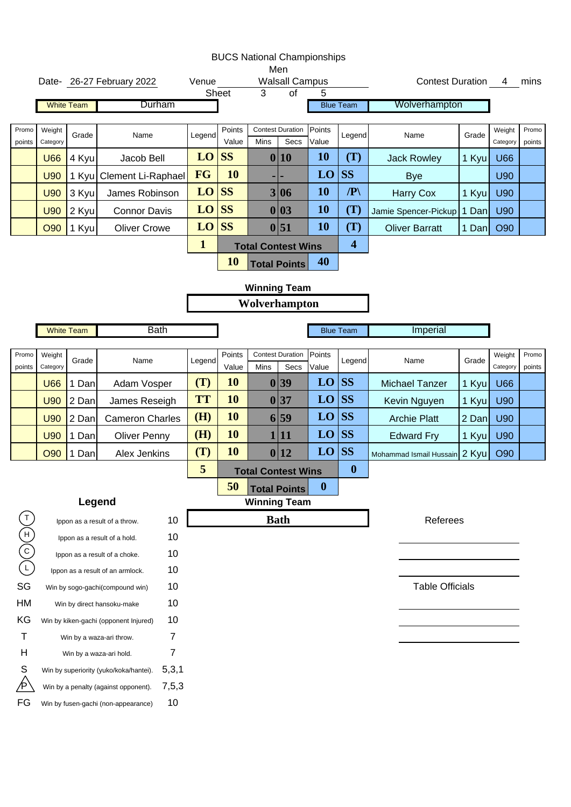|                                          |                    |                   |                                                 |              |                 | <b>BUCS National Championships</b> | Men                             |                  |                         |                               |       |                    |                 |
|------------------------------------------|--------------------|-------------------|-------------------------------------------------|--------------|-----------------|------------------------------------|---------------------------------|------------------|-------------------------|-------------------------------|-------|--------------------|-----------------|
|                                          |                    |                   | Date- 26-27 February 2022                       | Venue        |                 |                                    | <b>Walsall Campus</b>           |                  |                         | Contest Duration 4            |       |                    | mins            |
|                                          |                    |                   |                                                 |              | Sheet           | 3                                  | $\overline{of}$                 | 5                |                         |                               |       |                    |                 |
|                                          |                    | <b>White Team</b> | Durham                                          |              |                 |                                    |                                 |                  | <b>Blue Team</b>        | Wolverhampton                 |       |                    |                 |
| Promo<br>points                          | Weight<br>Category | Grade             | Name                                            | Legend       | Points<br>Value | Mins                               | <b>Contest Duration</b><br>Secs | Points<br>Value  | Legend                  | Name                          | Grade | Weight<br>Category | Promo<br>points |
|                                          | <b>U66</b>         | 4 Kyu             | Jacob Bell                                      | LO           | <b>SS</b>       |                                    | 0 10                            | <b>10</b>        | (T)                     | <b>Jack Rowley</b>            | 1 Kyu | <b>U66</b>         |                 |
|                                          | <b>U90</b>         | 1 Kyu             | <b>Clement Li-Raphael</b>                       | FG           | 10              |                                    | ٠                               | LO               | <b>SS</b>               | <b>Bye</b>                    |       | <b>U90</b>         |                 |
|                                          | <b>U90</b>         | 3 Kyu             | James Robinson                                  | $LO$ SS      |                 |                                    | 3 06                            | <b>10</b>        | $\mathbb{P}$            | <b>Harry Cox</b>              | 1 Kyu | <b>U90</b>         |                 |
|                                          | <b>U90</b>         | 2 Kyu             | <b>Connor Davis</b>                             | $LO$ SS      |                 |                                    | 0 03                            | <b>10</b>        | (T)                     | Jamie Spencer-Pickup          | 1 Dan | <b>U90</b>         |                 |
|                                          | O90                | 1 Kyu             | <b>Oliver Crowe</b>                             | $LO$ SS      |                 |                                    | 0 51                            | <b>10</b>        | (T)                     | <b>Oliver Barratt</b>         | 1 Dan | O90                |                 |
|                                          |                    |                   |                                                 | $\mathbf{1}$ |                 | <b>Total Contest Wins</b>          |                                 |                  | $\overline{\mathbf{4}}$ |                               |       |                    |                 |
|                                          |                    |                   |                                                 |              | <b>10</b>       |                                    | <b>Total Points</b>             | 40               |                         |                               |       |                    |                 |
|                                          |                    |                   |                                                 |              |                 | <b>Winning Team</b>                |                                 |                  |                         |                               |       |                    |                 |
|                                          |                    |                   |                                                 |              |                 | Wolverhampton                      |                                 |                  |                         |                               |       |                    |                 |
|                                          |                    |                   |                                                 |              |                 |                                    |                                 |                  |                         |                               |       |                    |                 |
|                                          |                    | <b>White Team</b> | <b>Bath</b>                                     |              |                 |                                    |                                 |                  | <b>Blue Team</b>        | Imperial                      |       |                    |                 |
| Promo<br>points                          | Weight<br>Category | Grade             | Name                                            | Legend       | Points<br>Value | Mins                               | <b>Contest Duration</b><br>Secs | Points<br>Value  | Legend                  | Name                          | Grade | Weight<br>Category | Promo<br>points |
|                                          | <b>U66</b>         | 1 Dan             | Adam Vosper                                     | (T)          | 10              |                                    | 0 39                            | LO               | SS                      | <b>Michael Tanzer</b>         | 1 Kyu | <b>U66</b>         |                 |
|                                          | <b>U90</b>         | 2 Dan             | James Reseigh                                   | <b>TT</b>    | 10              |                                    | 0 37                            | LO               | SS                      | Kevin Nguyen                  | 1 Kyu | <b>U90</b>         |                 |
|                                          | <b>U90</b>         | 2 Dan             | <b>Cameron Charles</b>                          | (H)          | 10              |                                    | 6 59                            | LO               | SS                      | <b>Archie Platt</b>           | 2 Dan | <b>U90</b>         |                 |
|                                          | <b>U90</b>         | 1 Dan             | <b>Oliver Penny</b>                             | (H)          | 10              |                                    | 1 11                            | LO               | SS                      | <b>Edward Fry</b>             | 1 Kyu | <b>U90</b>         |                 |
|                                          | <b>O90</b>         | 1 Dan             | Alex Jenkins                                    | (T)          | 10              |                                    | 0 12                            | LO               | SS                      | Mohammad Ismail Hussain 2 Kyu |       | O90                |                 |
|                                          |                    |                   |                                                 | 5            |                 | <b>Total Contest Wins</b>          |                                 |                  | $\boldsymbol{0}$        |                               |       |                    |                 |
|                                          |                    |                   |                                                 |              | 50              |                                    | <b>Total Points</b>             | $\boldsymbol{0}$ |                         |                               |       |                    |                 |
|                                          |                    |                   | Legend                                          |              |                 | <b>Winning Team</b>                |                                 |                  |                         |                               |       |                    |                 |
|                                          |                    |                   | 10<br>Ippon as a result of a throw.             |              |                 |                                    | <b>Bath</b>                     |                  |                         | Referees                      |       |                    |                 |
| $\widetilde{\Theta}^{(1)}_{\mathcal{O}}$ |                    |                   | 10<br>Ippon as a result of a hold.              |              |                 |                                    |                                 |                  |                         |                               |       |                    |                 |
|                                          |                    |                   | 10<br>Ippon as a result of a choke.             |              |                 |                                    |                                 |                  |                         |                               |       |                    |                 |
|                                          |                    |                   | 10<br>Ippon as a result of an armlock.          |              |                 |                                    |                                 |                  |                         |                               |       |                    |                 |
| SG                                       |                    |                   | 10<br>Win by sogo-gachi(compound win)           |              |                 |                                    |                                 |                  |                         | <b>Table Officials</b>        |       |                    |                 |
| HM                                       |                    |                   | 10<br>Win by direct hansoku-make                |              |                 |                                    |                                 |                  |                         |                               |       |                    |                 |
| KG                                       |                    |                   | 10<br>Win by kiken-gachi (opponent Injured)     |              |                 |                                    |                                 |                  |                         |                               |       |                    |                 |
| Т                                        |                    |                   | 7<br>Win by a waza-ari throw.                   |              |                 |                                    |                                 |                  |                         |                               |       |                    |                 |
| Н                                        |                    |                   | 7<br>Win by a waza-ari hold.                    |              |                 |                                    |                                 |                  |                         |                               |       |                    |                 |
| S                                        |                    |                   | 5,3,1<br>Win by superiority (yuko/koka/hantei). |              |                 |                                    |                                 |                  |                         |                               |       |                    |                 |
| ∕Ρ                                       |                    |                   | 7,5,3<br>Win by a penalty (against opponent).   |              |                 |                                    |                                 |                  |                         |                               |       |                    |                 |
| FG                                       |                    |                   | 10<br>Win by fusen-gachi (non-appearance)       |              |                 |                                    |                                 |                  |                         |                               |       |                    |                 |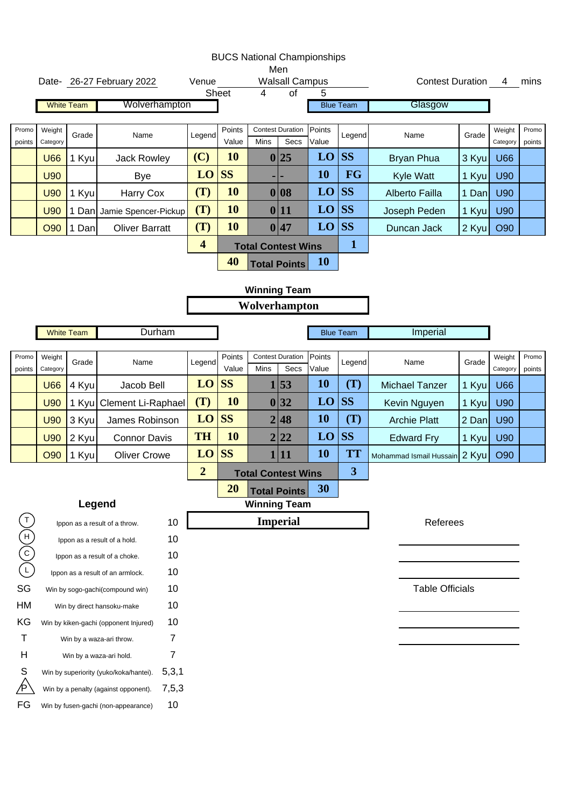|                                   |                    |                   | Date- 26-27 February 2022                       | Venue                   |                                                                                                                                                                                                                                                                                                                                                                                                                                                                                                                                                                 |                |                 |                 |                         |                       |       |                    | mins            |
|-----------------------------------|--------------------|-------------------|-------------------------------------------------|-------------------------|-----------------------------------------------------------------------------------------------------------------------------------------------------------------------------------------------------------------------------------------------------------------------------------------------------------------------------------------------------------------------------------------------------------------------------------------------------------------------------------------------------------------------------------------------------------------|----------------|-----------------|-----------------|-------------------------|-----------------------|-------|--------------------|-----------------|
|                                   |                    |                   |                                                 |                         |                                                                                                                                                                                                                                                                                                                                                                                                                                                                                                                                                                 | $\overline{4}$ | $\overline{of}$ | 5               |                         |                       |       |                    |                 |
|                                   |                    | <b>White Team</b> | Wolverhampton                                   |                         |                                                                                                                                                                                                                                                                                                                                                                                                                                                                                                                                                                 |                |                 |                 |                         |                       |       |                    |                 |
| Promo<br>points                   | Weight<br>Category | Grade             | Name                                            | Legend                  | Points<br>Value                                                                                                                                                                                                                                                                                                                                                                                                                                                                                                                                                 | Mins           | Secs            | Points<br>Value | Legend                  | Name                  | Grade | Weight<br>Category | Promo<br>points |
|                                   | <b>U66</b>         | 1 Kyu             | <b>Jack Rowley</b>                              | (C)                     | 10                                                                                                                                                                                                                                                                                                                                                                                                                                                                                                                                                              |                |                 | LO              | <b>SS</b>               | <b>Bryan Phua</b>     | 3 Kyu | <b>U66</b>         |                 |
|                                   | <b>U90</b>         |                   | <b>Bye</b>                                      | LO                      | <b>SS</b>                                                                                                                                                                                                                                                                                                                                                                                                                                                                                                                                                       |                | н               | 10              | <b>FG</b>               | Kyle Watt             | 1 Kyu | U90                |                 |
|                                   | <b>U90</b>         | 1 Kyu             | Harry Cox                                       | (T)                     | 10                                                                                                                                                                                                                                                                                                                                                                                                                                                                                                                                                              |                |                 | LO              | <b>SS</b>               | Alberto Failla        | 1 Dan | U90                |                 |
|                                   | <b>U90</b>         |                   | 1 Dan Jamie Spencer-Pickup                      | (T)                     | 10                                                                                                                                                                                                                                                                                                                                                                                                                                                                                                                                                              |                |                 | LO              | <b>SS</b>               | Joseph Peden          | 1 Kyu | U90                |                 |
|                                   | <b>O90</b>         | 1 Dan             | <b>Oliver Barratt</b>                           | (T)                     | 10                                                                                                                                                                                                                                                                                                                                                                                                                                                                                                                                                              |                |                 | LO              | <b>SS</b>               | Duncan Jack           | 2 Kyu | O90                |                 |
|                                   |                    |                   |                                                 | $\overline{\mathbf{4}}$ |                                                                                                                                                                                                                                                                                                                                                                                                                                                                                                                                                                 |                |                 |                 | $\mathbf 1$             |                       |       |                    |                 |
|                                   |                    |                   |                                                 |                         | 40                                                                                                                                                                                                                                                                                                                                                                                                                                                                                                                                                              |                |                 | <b>10</b>       |                         |                       |       |                    |                 |
|                                   |                    |                   |                                                 |                         |                                                                                                                                                                                                                                                                                                                                                                                                                                                                                                                                                                 |                |                 |                 |                         |                       |       |                    |                 |
|                                   |                    |                   |                                                 |                         |                                                                                                                                                                                                                                                                                                                                                                                                                                                                                                                                                                 |                |                 |                 |                         |                       |       |                    |                 |
|                                   |                    |                   |                                                 |                         |                                                                                                                                                                                                                                                                                                                                                                                                                                                                                                                                                                 |                |                 |                 |                         |                       |       |                    |                 |
|                                   | <b>White Team</b>  |                   | Durham                                          |                         |                                                                                                                                                                                                                                                                                                                                                                                                                                                                                                                                                                 |                |                 |                 |                         |                       |       |                    |                 |
| Promo<br>points                   | Weight<br>Category | Grade             | Name                                            | Legend                  | Points<br>Value                                                                                                                                                                                                                                                                                                                                                                                                                                                                                                                                                 | Mins           | Secs            | Points<br>Value | Legend                  | Name                  | Grade | Weight<br>Category | Promo<br>points |
|                                   | <b>U66</b>         | 4 Kyu             | Jacob Bell                                      | LO                      | <b>SS</b>                                                                                                                                                                                                                                                                                                                                                                                                                                                                                                                                                       |                |                 | <b>10</b>       | (T)                     | <b>Michael Tanzer</b> | 1 Kyu | <b>U66</b>         |                 |
|                                   | <b>U90</b>         | 1 Kyu             | Clement Li-Raphael                              | (T)                     | 10                                                                                                                                                                                                                                                                                                                                                                                                                                                                                                                                                              |                |                 | LO              | <b>SS</b>               | Kevin Nguyen          | 1 Kyu | <b>U90</b>         |                 |
|                                   | <b>U90</b>         | 3 Kyul            | James Robinson                                  | LO                      | <b>SS</b>                                                                                                                                                                                                                                                                                                                                                                                                                                                                                                                                                       |                |                 | <b>10</b>       | (T)                     | <b>Archie Platt</b>   | 2 Dan | <b>U90</b>         |                 |
|                                   | <b>U90</b>         | 2 Kyu             | <b>Connor Davis</b>                             | <b>TH</b>               | 10                                                                                                                                                                                                                                                                                                                                                                                                                                                                                                                                                              |                |                 | LO              | <b>SS</b>               | <b>Edward Fry</b>     | 1 Kyu | <b>U90</b>         |                 |
|                                   | <b>O90</b>         | 1 Kyu             | <b>Oliver Crowe</b>                             | LO                      | <b>SS</b>                                                                                                                                                                                                                                                                                                                                                                                                                                                                                                                                                       |                |                 | <b>10</b>       | <b>TT</b>               |                       |       | O90                |                 |
|                                   |                    |                   |                                                 | $\overline{2}$          |                                                                                                                                                                                                                                                                                                                                                                                                                                                                                                                                                                 |                |                 |                 | $\overline{\mathbf{3}}$ |                       |       |                    |                 |
|                                   |                    |                   |                                                 |                         | 20                                                                                                                                                                                                                                                                                                                                                                                                                                                                                                                                                              |                |                 | 30              |                         |                       |       |                    |                 |
|                                   |                    |                   | Legend                                          |                         |                                                                                                                                                                                                                                                                                                                                                                                                                                                                                                                                                                 |                |                 |                 |                         |                       |       |                    |                 |
| $\mathsf{T}$                      |                    |                   | 10<br>Ippon as a result of a throw.             |                         |                                                                                                                                                                                                                                                                                                                                                                                                                                                                                                                                                                 |                |                 |                 |                         |                       |       |                    |                 |
| $\begin{pmatrix} 1 \end{pmatrix}$ |                    |                   | 10<br>Ippon as a result of a hold.              |                         |                                                                                                                                                                                                                                                                                                                                                                                                                                                                                                                                                                 |                |                 |                 |                         |                       |       |                    |                 |
|                                   |                    |                   | 10<br>Ippon as a result of a choke.             |                         |                                                                                                                                                                                                                                                                                                                                                                                                                                                                                                                                                                 |                |                 |                 |                         |                       |       |                    |                 |
|                                   |                    |                   | 10<br>Ippon as a result of an armlock.          |                         |                                                                                                                                                                                                                                                                                                                                                                                                                                                                                                                                                                 |                |                 |                 |                         |                       |       |                    |                 |
| SG                                |                    |                   | 10<br>Win by sogo-gachi(compound win)           |                         | <b>BUCS National Championships</b><br>Men<br><b>Walsall Campus</b><br>Contest Duration 4<br>Sheet<br>Glasgow<br><b>Blue Team</b><br><b>Contest Duration</b><br>0 25<br>0 08<br>0 11<br>0 47<br><b>Total Contest Wins</b><br><b>Total Points</b><br><b>Winning Team</b><br>Wolverhampton<br>Imperial<br><b>Blue Team</b><br><b>Contest Duration</b><br>1 53<br>0 32<br>2 48<br>2 22<br>1 11<br>Mohammad Ismail Hussain 2 Kyu<br><b>Total Contest Wins</b><br><b>Total Points</b><br><b>Winning Team</b><br><b>Imperial</b><br>Referees<br><b>Table Officials</b> |                |                 |                 |                         |                       |       |                    |                 |
| HM                                |                    |                   | 10<br>Win by direct hansoku-make                |                         |                                                                                                                                                                                                                                                                                                                                                                                                                                                                                                                                                                 |                |                 |                 |                         |                       |       |                    |                 |
| KG                                |                    |                   | 10<br>Win by kiken-gachi (opponent Injured)     |                         |                                                                                                                                                                                                                                                                                                                                                                                                                                                                                                                                                                 |                |                 |                 |                         |                       |       |                    |                 |
| т                                 |                    |                   | 7<br>Win by a waza-ari throw.                   |                         |                                                                                                                                                                                                                                                                                                                                                                                                                                                                                                                                                                 |                |                 |                 |                         |                       |       |                    |                 |
| Н                                 |                    |                   | 7<br>Win by a waza-ari hold.                    |                         |                                                                                                                                                                                                                                                                                                                                                                                                                                                                                                                                                                 |                |                 |                 |                         |                       |       |                    |                 |
| S                                 |                    |                   | 5,3,1<br>Win by superiority (yuko/koka/hantei). |                         |                                                                                                                                                                                                                                                                                                                                                                                                                                                                                                                                                                 |                |                 |                 |                         |                       |       |                    |                 |
|                                   |                    |                   | 7,5,3<br>Win by a penalty (against opponent).   |                         |                                                                                                                                                                                                                                                                                                                                                                                                                                                                                                                                                                 |                |                 |                 |                         |                       |       |                    |                 |
| FG                                |                    |                   | 10<br>Win by fusen-gachi (non-appearance)       |                         |                                                                                                                                                                                                                                                                                                                                                                                                                                                                                                                                                                 |                |                 |                 |                         |                       |       |                    |                 |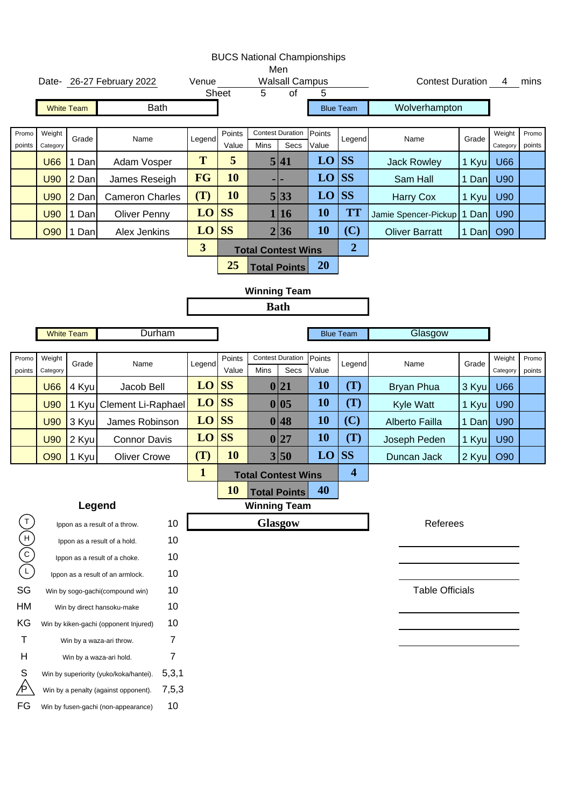|                                       |                    |                   |                                                 |                         |                 |      | Men                                      | <b>BUCS National Championships</b> |                     |                         |       |                    |                 |
|---------------------------------------|--------------------|-------------------|-------------------------------------------------|-------------------------|-----------------|------|------------------------------------------|------------------------------------|---------------------|-------------------------|-------|--------------------|-----------------|
|                                       |                    |                   | Date- 26-27 February 2022                       | Venue                   | Sheet           | 5    | <b>Walsall Campus</b><br>$\overline{of}$ | 5                                  |                     | <b>Contest Duration</b> |       | 4                  | mins            |
|                                       |                    | <b>White Team</b> | <b>Bath</b>                                     |                         |                 |      |                                          |                                    | <b>Blue Team</b>    | Wolverhampton           |       |                    |                 |
|                                       |                    |                   |                                                 |                         |                 |      |                                          |                                    |                     |                         |       |                    |                 |
| Promo<br>points                       | Weight<br>Category | Grade             | Name                                            | Legend                  | Points<br>Value | Mins | <b>Contest Duration</b><br>Secs          | Points<br>Value                    | Legend              | Name                    | Grade | Weight<br>Category | Promo<br>points |
|                                       | <b>U66</b>         | 1 Dan             | Adam Vosper                                     | T                       | 5               |      | 5 41                                     | LO                                 | <b>SS</b>           | <b>Jack Rowley</b>      | 1 Kyu | <b>U66</b>         |                 |
|                                       | <b>U90</b>         | 2 Dan             | James Reseigh                                   | <b>FG</b>               | 10              |      |                                          | LO                                 | <b>SS</b>           | Sam Hall                | 1 Dan | U90                |                 |
|                                       | <b>U90</b>         | 2 Dan             | <b>Cameron Charles</b>                          | (T)                     | 10              |      | 5 33                                     | LO                                 | <b>SS</b>           | <b>Harry Cox</b>        | 1 Kyu | <b>U90</b>         |                 |
|                                       | <b>U90</b>         | 1 Dan             | <b>Oliver Penny</b>                             | $LO$ SS                 |                 |      | 1 16                                     | 10                                 | <b>TT</b>           | Jamie Spencer-Pickup    | 1 Dan | U90                |                 |
|                                       | <b>O90</b>         | Dan<br>1          | Alex Jenkins                                    | LO                      | <b>SS</b>       |      | 2 36                                     | 10                                 | (C)                 | <b>Oliver Barratt</b>   | 1 Dan | O90                |                 |
|                                       |                    |                   |                                                 | $\overline{\mathbf{3}}$ |                 |      | <b>Total Contest Wins</b>                |                                    | $\overline{2}$      |                         |       |                    |                 |
|                                       |                    |                   |                                                 |                         | 25              |      | <b>Total Points</b>                      | <b>20</b>                          |                     |                         |       |                    |                 |
|                                       |                    |                   |                                                 |                         |                 |      | <b>Winning Team</b>                      |                                    |                     |                         |       |                    |                 |
|                                       |                    |                   |                                                 |                         |                 |      | <b>Bath</b>                              |                                    |                     |                         |       |                    |                 |
|                                       |                    | <b>White Team</b> | Durham                                          |                         |                 |      |                                          |                                    | <b>Blue Team</b>    | Glasgow                 |       |                    |                 |
|                                       |                    |                   |                                                 |                         |                 |      |                                          |                                    |                     |                         |       |                    |                 |
| Promo<br>points                       | Weight<br>Category | Grade             | Name                                            | Legend                  | Points<br>Value | Mins | <b>Contest Duration</b><br>Secs          | Points<br>Value                    | Legend              | Name                    | Grade | Weight<br>Category | Promo<br>points |
|                                       | <b>U66</b>         | 4 Kyu             | Jacob Bell                                      | $LO$ SS                 |                 |      | 0 21                                     | 10                                 | (T)                 | <b>Bryan Phua</b>       | 3 Kyu | <b>U66</b>         |                 |
|                                       | <b>U90</b>         |                   | 1 Kyu Clement Li-Raphael                        | $LO$ SS                 |                 |      | 0 05                                     | 10                                 | (T)                 | Kyle Watt               | 1 Kyu | U90                |                 |
|                                       | <b>U90</b>         | 3 Kyu             | James Robinson                                  | $LO$ SS                 |                 |      | 0 48                                     | 10                                 | (C)                 | <b>Alberto Failla</b>   | 1 Dan | U90                |                 |
|                                       | <b>U90</b>         | 2 Kyu             | <b>Connor Davis</b>                             | $LO$ SS                 |                 |      | 0 27                                     | 10                                 | (T)                 | Joseph Peden            | 1 Kyu | U90                |                 |
|                                       | <b>O90</b>         | 1 Kyu             | <b>Oliver Crowe</b>                             | (T)                     | 10              |      | 3 50                                     | LO                                 | <b>SS</b>           | Duncan Jack             | 2 Kyu | O90                |                 |
|                                       |                    |                   |                                                 | $\mathbf{1}$            |                 |      | <b>Total Contest Wins</b>                |                                    | $\overline{\bf{4}}$ |                         |       |                    |                 |
|                                       |                    |                   |                                                 |                         | <b>10</b>       |      | <b>Total Points</b>                      | 40                                 |                     |                         |       |                    |                 |
|                                       |                    | Legend            |                                                 |                         |                 |      | <b>Winning Team</b>                      |                                    |                     |                         |       |                    |                 |
| $\sf T$                               |                    |                   | 10<br>Ippon as a result of a throw.             |                         |                 |      | <b>Glasgow</b>                           |                                    |                     | Referees                |       |                    |                 |
| $\begin{pmatrix} 1 \ 0 \end{pmatrix}$ |                    |                   | 10<br>Ippon as a result of a hold.              |                         |                 |      |                                          |                                    |                     |                         |       |                    |                 |
|                                       |                    |                   | 10<br>Ippon as a result of a choke.             |                         |                 |      |                                          |                                    |                     |                         |       |                    |                 |
|                                       |                    |                   | 10<br>Ippon as a result of an armlock.          |                         |                 |      |                                          |                                    |                     |                         |       |                    |                 |
| SG                                    |                    |                   | 10<br>Win by sogo-gachi(compound win)           |                         |                 |      |                                          |                                    |                     | <b>Table Officials</b>  |       |                    |                 |
| HM                                    |                    |                   | 10<br>Win by direct hansoku-make                |                         |                 |      |                                          |                                    |                     |                         |       |                    |                 |
| KG                                    |                    |                   | 10<br>Win by kiken-gachi (opponent Injured)     |                         |                 |      |                                          |                                    |                     |                         |       |                    |                 |
| т                                     |                    |                   | $\overline{7}$<br>Win by a waza-ari throw.      |                         |                 |      |                                          |                                    |                     |                         |       |                    |                 |
| Н                                     |                    |                   | 7<br>Win by a waza-ari hold.                    |                         |                 |      |                                          |                                    |                     |                         |       |                    |                 |
| S                                     |                    |                   | 5,3,1<br>Win by superiority (yuko/koka/hantei). |                         |                 |      |                                          |                                    |                     |                         |       |                    |                 |
|                                       |                    |                   | 7,5,3<br>Win by a penalty (against opponent).   |                         |                 |      |                                          |                                    |                     |                         |       |                    |                 |
| FG                                    |                    |                   | 10<br>Win by fusen-gachi (non-appearance)       |                         |                 |      |                                          |                                    |                     |                         |       |                    |                 |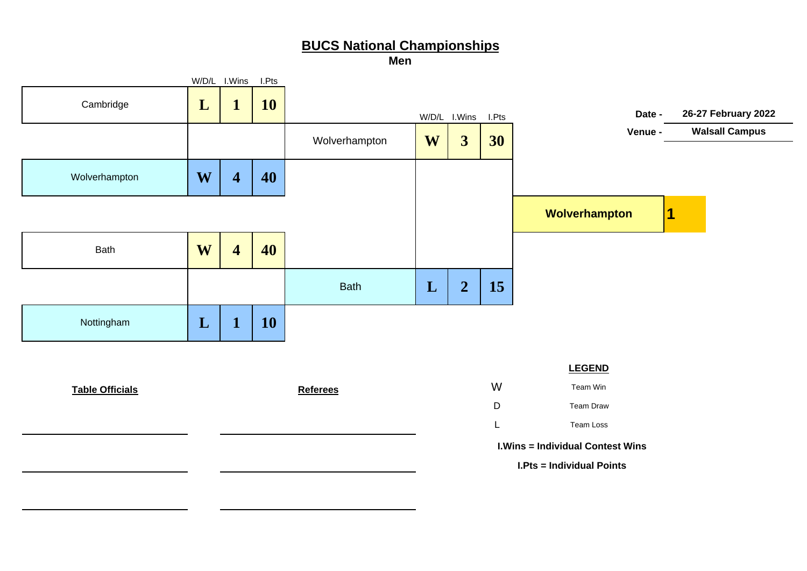**Men**

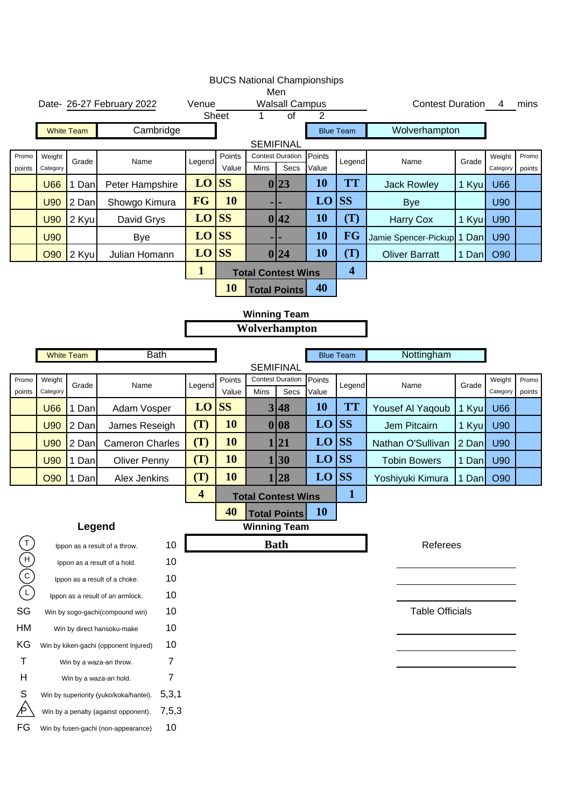|                                                                                                                               |                    |                   |                                                 |                         |                 | <b>BUCS National Championships</b> |                                 |                 |                         |                            |       |                    |                 |
|-------------------------------------------------------------------------------------------------------------------------------|--------------------|-------------------|-------------------------------------------------|-------------------------|-----------------|------------------------------------|---------------------------------|-----------------|-------------------------|----------------------------|-------|--------------------|-----------------|
|                                                                                                                               |                    |                   | Date- 26-27 February 2022                       | Venue                   |                 |                                    | Men<br><b>Walsall Campus</b>    |                 |                         | <b>Contest Duration 4</b>  |       |                    | mins            |
|                                                                                                                               |                    |                   |                                                 |                         | <b>Sheet</b>    | 1                                  | of                              | 2               |                         |                            |       |                    |                 |
|                                                                                                                               |                    | <b>White Team</b> | Cambridge                                       |                         |                 |                                    |                                 |                 | <b>Blue Team</b>        | Wolverhampton              |       |                    |                 |
|                                                                                                                               |                    |                   |                                                 |                         |                 | <b>SEMIFINAL</b>                   |                                 |                 |                         |                            |       |                    |                 |
| Promo<br>points                                                                                                               | Weight<br>Category | Grade             | Name                                            | Legend                  | Points<br>Value | Mins                               | <b>Contest Duration</b><br>Secs | Points<br>Value | Legend                  | Name                       | Grade | Weight<br>Category | Promo<br>points |
|                                                                                                                               | <b>U66</b>         | 1 Dan             | Peter Hampshire                                 | LO                      | <b>SS</b>       |                                    | 0 23                            | <b>10</b>       | <b>TT</b>               | <b>Jack Rowley</b>         | 1 Kyu | <b>U66</b>         |                 |
|                                                                                                                               | <b>U90</b>         | 2 Dan             | Showgo Kimura                                   | <b>FG</b>               | 10              |                                    |                                 | LO              | <b>SS</b>               | <b>Bye</b>                 |       | U90                |                 |
|                                                                                                                               | <b>U90</b>         | 2 Kyu             | David Grys                                      | LO                      | <b>SS</b>       |                                    | 0 42                            | <b>10</b>       | (T)                     | <b>Harry Cox</b>           | 1 Kyu | U90                |                 |
|                                                                                                                               | <b>U90</b>         |                   | <b>Bye</b>                                      | LO                      | <b>SS</b>       |                                    |                                 | <b>10</b>       | <b>FG</b>               | Jamie Spencer-Pickup 1 Dan |       | U90                |                 |
|                                                                                                                               | <b>O90</b>         | 2 Kyu             | Julian Homann                                   | LO                      | <b>SS</b>       |                                    | 0 24                            | 10              | (T)                     | <b>Oliver Barratt</b>      | 1 Dan | O90                |                 |
|                                                                                                                               |                    |                   |                                                 | $\mathbf{1}$            |                 | <b>Total Contest Wins</b>          |                                 |                 | $\overline{\mathbf{4}}$ |                            |       |                    |                 |
|                                                                                                                               |                    |                   |                                                 |                         | 10              |                                    | <b>Total Points</b>             | 40              |                         |                            |       |                    |                 |
|                                                                                                                               |                    |                   |                                                 |                         |                 | <b>Winning Team</b>                |                                 |                 |                         |                            |       |                    |                 |
|                                                                                                                               |                    |                   |                                                 |                         |                 | Wolverhampton                      |                                 |                 |                         |                            |       |                    |                 |
|                                                                                                                               |                    |                   |                                                 |                         |                 |                                    |                                 |                 |                         |                            |       |                    |                 |
|                                                                                                                               |                    | <b>White Team</b> | <b>Bath</b>                                     |                         |                 |                                    |                                 |                 | <b>Blue Team</b>        | Nottingham                 |       |                    |                 |
| Promo                                                                                                                         | Weight             |                   |                                                 |                         | Points          | <b>SEMIFINAL</b>                   | <b>Contest Duration</b>         | Points          |                         |                            |       | Weight             | Promo           |
| points                                                                                                                        | Category           | Grade             | Name                                            | Legend                  | Value           | Mins                               | Secs                            | Value           | Legend                  | Name                       | Grade | Category           | points          |
|                                                                                                                               | <b>U66</b>         | 1 Dan             | Adam Vosper                                     | LO                      | <b>SS</b>       |                                    | 3 48                            | 10              | <b>TT</b>               | Yousef Al Yaqoub           | 1 Kyu | <b>U66</b>         |                 |
|                                                                                                                               | <b>U90</b>         | 2 Dan             | James Reseigh                                   | (T)                     | 10              |                                    | 0 08                            | LO              | <b>SS</b>               | Jem Pitcairn               | 1 Kyu | <b>U90</b>         |                 |
|                                                                                                                               | <b>U90</b>         | 2 Dan             | <b>Cameron Charles</b>                          | (T)                     | 10              | 1                                  | 21                              | LO              | <b>SS</b>               | Nathan O'Sullivan          | 2 Dan | <b>U90</b>         |                 |
|                                                                                                                               | U90                | 1 Dan             | Oliver Penny                                    | (T)                     | 10              | 1                                  | 30                              | LO              | <b>SS</b>               | <b>Tobin Bowers</b>        | 1 Dan | U90                |                 |
|                                                                                                                               | <b>O90</b>         | 1 Dan             | Alex Jenkins                                    | (T)                     | 10              |                                    | 28                              | LO              | <b>SS</b>               | Yoshiyuki Kimura           | 1 Dan | <b>O90</b>         |                 |
|                                                                                                                               |                    |                   |                                                 | $\overline{\mathbf{4}}$ |                 | <b>Total Contest Wins</b>          |                                 |                 | $\mathbf{1}$            |                            |       |                    |                 |
|                                                                                                                               |                    |                   |                                                 |                         | 40              |                                    | <b>Total Points</b>             | <b>10</b>       |                         |                            |       |                    |                 |
|                                                                                                                               |                    | Legend            |                                                 |                         |                 | <b>Winning Team</b>                |                                 |                 |                         |                            |       |                    |                 |
|                                                                                                                               |                    |                   | 10<br>Ippon as a result of a throw.             |                         |                 |                                    | <b>Bath</b>                     |                 |                         | Referees                   |       |                    |                 |
|                                                                                                                               |                    |                   | 10<br>Ippon as a result of a hold.              |                         |                 |                                    |                                 |                 |                         |                            |       |                    |                 |
| $\begin{array}{c}\n\textcircled{\scriptsize{1}} \\ \textcircled{\scriptsize{1}} \\ \textcircled{\scriptsize{2}}\n\end{array}$ |                    |                   | 10<br>Ippon as a result of a choke.             |                         |                 |                                    |                                 |                 |                         |                            |       |                    |                 |
|                                                                                                                               |                    |                   | 10<br>Ippon as a result of an armlock.          |                         |                 |                                    |                                 |                 |                         |                            |       |                    |                 |
| SG                                                                                                                            |                    |                   | 10<br>Win by sogo-gachi(compound win)           |                         |                 |                                    |                                 |                 |                         | <b>Table Officials</b>     |       |                    |                 |
| HM                                                                                                                            |                    |                   | 10<br>Win by direct hansoku-make                |                         |                 |                                    |                                 |                 |                         |                            |       |                    |                 |
| KG                                                                                                                            |                    |                   | 10<br>Win by kiken-gachi (opponent Injured)     |                         |                 |                                    |                                 |                 |                         |                            |       |                    |                 |
| $\mathsf T$                                                                                                                   |                    |                   | 7<br>Win by a waza-ari throw.                   |                         |                 |                                    |                                 |                 |                         |                            |       |                    |                 |
| Н                                                                                                                             |                    |                   | 7<br>Win by a waza-ari hold.                    |                         |                 |                                    |                                 |                 |                         |                            |       |                    |                 |
| S                                                                                                                             |                    |                   | 5,3,1<br>Win by superiority (yuko/koka/hantei). |                         |                 |                                    |                                 |                 |                         |                            |       |                    |                 |
| P                                                                                                                             |                    |                   | 7,5,3<br>Win by a penalty (against opponent).   |                         |                 |                                    |                                 |                 |                         |                            |       |                    |                 |
| FG                                                                                                                            |                    |                   | 10<br>Win by fusen-gachi (non-appearance)       |                         |                 |                                    |                                 |                 |                         |                            |       |                    |                 |
|                                                                                                                               |                    |                   |                                                 |                         |                 |                                    |                                 |                 |                         |                            |       |                    |                 |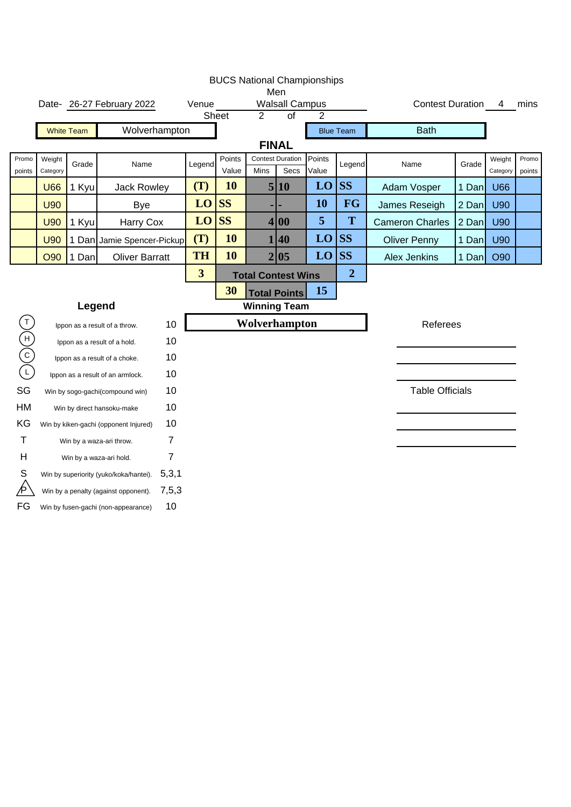|                 |                    |                   |                                        |                |                         |                 |                           |                                        | <b>BUCS National Championships</b> |                  |                         |       |                    |                 |
|-----------------|--------------------|-------------------|----------------------------------------|----------------|-------------------------|-----------------|---------------------------|----------------------------------------|------------------------------------|------------------|-------------------------|-------|--------------------|-----------------|
|                 |                    |                   | Date- 26-27 February 2022              |                | Venue                   |                 |                           | Men<br><b>Walsall Campus</b>           |                                    |                  | <b>Contest Duration</b> |       | 4                  | mins            |
|                 |                    |                   |                                        |                |                         | Sheet           | 2                         | $\overline{of}$                        | $\overline{2}$                     |                  |                         |       |                    |                 |
|                 |                    | <b>White Team</b> | Wolverhampton                          |                |                         |                 |                           |                                        |                                    | <b>Blue Team</b> | <b>Bath</b>             |       |                    |                 |
|                 |                    |                   |                                        |                |                         |                 |                           | <b>FINAL</b>                           |                                    |                  |                         |       |                    |                 |
| Promo<br>points | Weight<br>Category | Grade             | Name                                   |                | Legend                  | Points<br>Value | Mins                      | <b>Contest Duration</b><br><b>Secs</b> | Points<br>Value                    | Legend           | Name                    | Grade | Weight<br>Category | Promo<br>points |
|                 | <b>U66</b>         | 1 Kyu             | Jack Rowley                            |                | (T)                     | 10              |                           | 5 10                                   | LO                                 | <b>SS</b>        | Adam Vosper             | 1 Dan | <b>U66</b>         |                 |
|                 | <b>U90</b>         |                   | <b>Bye</b>                             |                | LO                      | <b>SS</b>       |                           |                                        | 10                                 | FG               | James Reseigh           | 2 Dan | <b>U90</b>         |                 |
|                 | <b>U90</b>         | 1 Kyu             | Harry Cox                              |                | LO                      | <b>SS</b>       |                           | 4 00                                   | 5                                  | T                | <b>Cameron Charles</b>  | 2 Dan | <b>U90</b>         |                 |
|                 | <b>U90</b>         |                   | 1 Dan Jamie Spencer-Pickup             |                | (T)                     | 10              |                           | 1 40                                   | LO                                 | <b>SS</b>        | <b>Oliver Penny</b>     | 1 Dan | U90                |                 |
|                 | <b>O90</b>         | 1 Dan             | <b>Oliver Barratt</b>                  |                | <b>TH</b>               | 10              |                           | 2 05                                   | LO                                 | <b>SS</b>        | <b>Alex Jenkins</b>     | 1 Dan | O90                |                 |
|                 |                    |                   |                                        |                | $\overline{\mathbf{3}}$ |                 | <b>Total Contest Wins</b> |                                        |                                    | $\overline{2}$   |                         |       |                    |                 |
|                 |                    |                   |                                        |                |                         | 30              |                           | <b>Total Points</b>                    | 15                                 |                  |                         |       |                    |                 |
|                 |                    |                   | Legend                                 |                |                         |                 | <b>Winning Team</b>       |                                        |                                    |                  |                         |       |                    |                 |
|                 |                    |                   | Ippon as a result of a throw.          | 10             |                         |                 | Wolverhampton             |                                        |                                    |                  | Referees                |       |                    |                 |
| E<br>O          |                    |                   | Ippon as a result of a hold.           | 10             |                         |                 |                           |                                        |                                    |                  |                         |       |                    |                 |
|                 |                    |                   | Ippon as a result of a choke.          | 10             |                         |                 |                           |                                        |                                    |                  |                         |       |                    |                 |
|                 |                    |                   | Ippon as a result of an armlock.       | 10             |                         |                 |                           |                                        |                                    |                  |                         |       |                    |                 |
| SG              |                    |                   | Win by sogo-gachi(compound win)        | 10             |                         |                 |                           |                                        |                                    |                  | <b>Table Officials</b>  |       |                    |                 |
| HM              |                    |                   | Win by direct hansoku-make             | 10             |                         |                 |                           |                                        |                                    |                  |                         |       |                    |                 |
| KG              |                    |                   | Win by kiken-gachi (opponent Injured)  | 10             |                         |                 |                           |                                        |                                    |                  |                         |       |                    |                 |
| T               |                    |                   | Win by a waza-ari throw.               | 7              |                         |                 |                           |                                        |                                    |                  |                         |       |                    |                 |
| Н               |                    |                   | Win by a waza-ari hold.                | $\overline{7}$ |                         |                 |                           |                                        |                                    |                  |                         |       |                    |                 |
| S               |                    |                   | Win by superiority (yuko/koka/hantei). | 5,3,1          |                         |                 |                           |                                        |                                    |                  |                         |       |                    |                 |
| Þ               |                    |                   | Win by a penalty (against opponent).   | 7,5,3          |                         |                 |                           |                                        |                                    |                  |                         |       |                    |                 |
| FG              |                    |                   | Win by fusen-gachi (non-appearance)    | 10             |                         |                 |                           |                                        |                                    |                  |                         |       |                    |                 |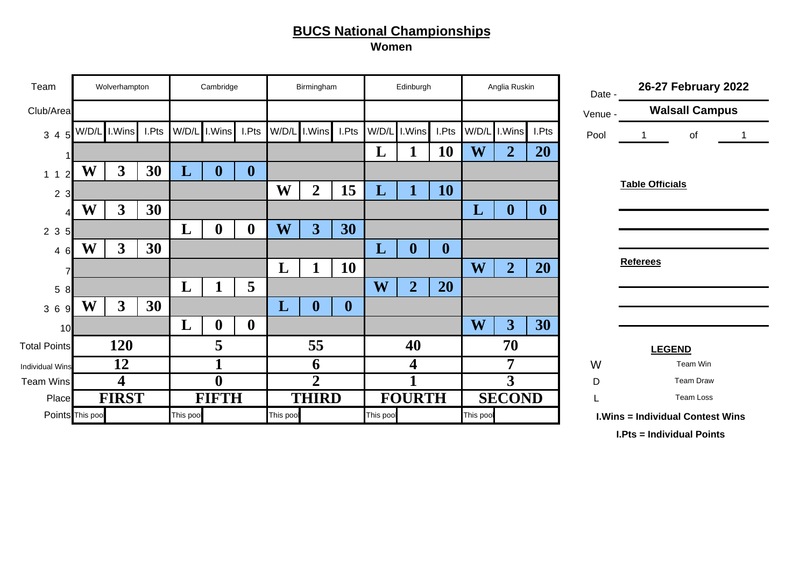**Women**

| Team                   |                  | Wolverhampton |       |           | Cambridge        |                  |           | Birmingham       |                  |           | Edinburgh      |                  |           | Anglia Ruskin    |                  | Date -  |                        | 26-27 February 2022                     |  |
|------------------------|------------------|---------------|-------|-----------|------------------|------------------|-----------|------------------|------------------|-----------|----------------|------------------|-----------|------------------|------------------|---------|------------------------|-----------------------------------------|--|
| Club/Area              |                  |               |       |           |                  |                  |           |                  |                  |           |                |                  |           |                  |                  | Venue - |                        | <b>Walsall Campus</b>                   |  |
| $3\quad 4$             | W/D/L            | I.Wins        | I.Pts | W/D/L     | I.Wins           | I.Pts            | W/D/L     | I.Wins           | I.Pts            |           | W/D/L I.Wins   | I.Pts            | W/D/L     | I.Wins           | I.Pts            | Pool    |                        | of                                      |  |
|                        |                  |               |       |           |                  |                  |           |                  |                  | L         |                | 10               | W         | $\overline{2}$   | 20               |         |                        |                                         |  |
| 1 <sub>1</sub>         | W                | 3             | 30    | L         | U                | $\boldsymbol{0}$ |           |                  |                  |           |                |                  |           |                  |                  |         |                        |                                         |  |
| $\overline{2}$<br>3    |                  |               |       |           |                  |                  | W         | $\overline{2}$   | 15               | L         |                | 10               |           |                  |                  |         | <b>Table Officials</b> |                                         |  |
|                        | W                | $\mathbf{3}$  | 30    |           |                  |                  |           |                  |                  |           |                |                  | L         | $\boldsymbol{0}$ | $\boldsymbol{0}$ |         |                        |                                         |  |
| 2 <sub>3</sub>         |                  |               |       | L         | $\mathbf{0}$     | $\boldsymbol{0}$ | W         | 3                | 30               |           |                |                  |           |                  |                  |         |                        |                                         |  |
| 4 6                    | W                | $\mathbf{3}$  | 30    |           |                  |                  |           |                  |                  | L         | $\bf{0}$       | $\boldsymbol{0}$ |           |                  |                  |         |                        |                                         |  |
|                        |                  |               |       |           |                  |                  | L         | Л                | 10               |           |                |                  | W         | $\overline{2}$   | <b>20</b>        |         | <b>Referees</b>        |                                         |  |
| 5<br>8                 |                  |               |       | L         |                  | 5                |           |                  |                  | W         | $\overline{2}$ | 20               |           |                  |                  |         |                        |                                         |  |
| 36<br>q                | W                | $\mathbf{3}$  | 30    |           |                  |                  | L         | $\boldsymbol{0}$ | $\boldsymbol{0}$ |           |                |                  |           |                  |                  |         |                        |                                         |  |
| <b>10</b>              |                  |               |       | L         | $\mathbf 0$      | $\boldsymbol{0}$ |           |                  |                  |           |                |                  | W         | 3                | 30               |         |                        |                                         |  |
| <b>Total Points</b>    |                  | <b>120</b>    |       |           | 5                |                  |           | 55               |                  |           | 40             |                  |           | 70               |                  |         |                        | <b>LEGEND</b>                           |  |
| <b>Individual Wins</b> |                  | 12            |       |           |                  |                  |           | 6                |                  |           | 4              |                  |           | 7                |                  | W       |                        | Team Win                                |  |
| <b>Team Wins</b>       |                  | 4             |       |           | $\boldsymbol{0}$ |                  |           | $\overline{2}$   |                  |           |                |                  |           | $\overline{3}$   |                  | D       |                        | <b>Team Draw</b>                        |  |
| Place                  |                  | <b>FIRST</b>  |       |           | <b>FIFTH</b>     |                  |           | <b>THIRD</b>     |                  |           | <b>FOURTH</b>  |                  |           | <b>SECOND</b>    |                  |         |                        | Team Loss                               |  |
|                        | Points This pool |               |       | This pool |                  |                  | This pool |                  |                  | This pool |                |                  | This poo! |                  |                  |         |                        | <b>I.Wins = Individual Contest Wins</b> |  |

**I.Pts = Individual Points**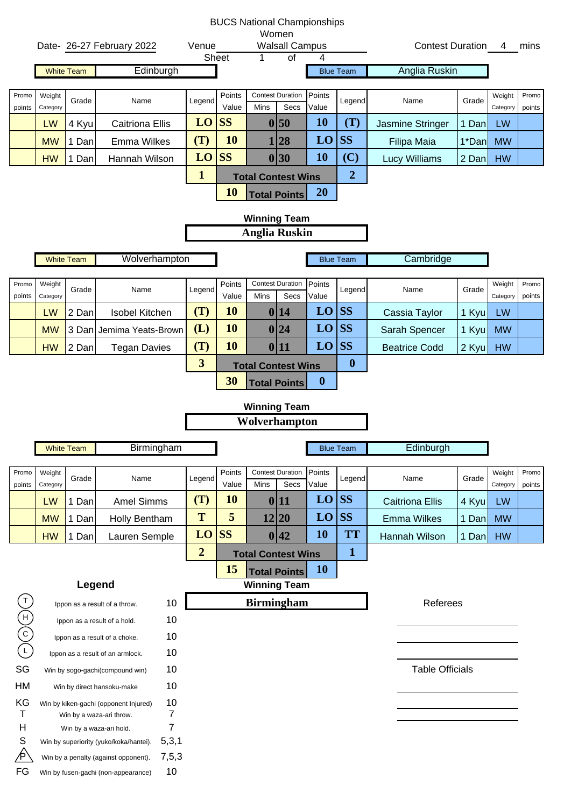|                                                                                               |                    |                   |                                                     |        |                |                 | <b>BUCS National Championships</b> |                                 |                  |                  |                        |       |                    |                 |
|-----------------------------------------------------------------------------------------------|--------------------|-------------------|-----------------------------------------------------|--------|----------------|-----------------|------------------------------------|---------------------------------|------------------|------------------|------------------------|-------|--------------------|-----------------|
|                                                                                               |                    |                   |                                                     |        |                |                 | Women                              |                                 |                  |                  |                        |       |                    |                 |
|                                                                                               |                    |                   | Date- 26-27 February 2022                           |        | Venue          | Sheet           | 1                                  | <b>Walsall Campus</b><br>of     | 4                |                  | Contest Duration 4     |       |                    | mins            |
|                                                                                               |                    | <b>White Team</b> | Edinburgh                                           |        |                |                 |                                    |                                 |                  | <b>Blue Team</b> | Anglia Ruskin          |       |                    |                 |
|                                                                                               |                    |                   |                                                     |        |                |                 |                                    |                                 |                  |                  |                        |       |                    |                 |
| Promo<br>points                                                                               | Weight<br>Category | Grade             | Name                                                |        | Legend         | Points<br>Value | Mins                               | <b>Contest Duration</b><br>Secs | Points<br>Value  | Legend           | Name                   | Grade | Weight<br>Category | Promo<br>points |
|                                                                                               | LW                 | 4 Kyu             | <b>Caitriona Ellis</b>                              |        | LO             | <b>SS</b>       |                                    | 0 50                            | <b>10</b>        | (T)              | Jasmine Stringer       | 1 Dan | LW                 |                 |
|                                                                                               | <b>MW</b>          | 1 Dan             | <b>Emma Wilkes</b>                                  |        | (T)            | <b>10</b>       |                                    | 1 28                            | LO               | <b>SS</b>        | Filipa Maia            | 1*Dan | <b>MW</b>          |                 |
|                                                                                               | <b>HW</b>          | 1 Dan             | Hannah Wilson                                       |        | LO             | <b>SS</b>       |                                    | 0 30                            | <b>10</b>        | (C)              | <b>Lucy Williams</b>   | 2 Dan | <b>HW</b>          |                 |
|                                                                                               |                    |                   |                                                     |        | $\mathbf{1}$   |                 | <b>Total Contest Wins</b>          |                                 |                  | $\boldsymbol{2}$ |                        |       |                    |                 |
|                                                                                               |                    |                   |                                                     |        |                | <b>10</b>       |                                    | <b>Total Points</b>             | <b>20</b>        |                  |                        |       |                    |                 |
|                                                                                               |                    |                   |                                                     |        |                |                 | <b>Winning Team</b>                |                                 |                  |                  |                        |       |                    |                 |
|                                                                                               |                    |                   |                                                     |        |                |                 | <b>Anglia Ruskin</b>               |                                 |                  |                  |                        |       |                    |                 |
|                                                                                               |                    | <b>White Team</b> | Wolverhampton                                       |        |                |                 |                                    |                                 |                  | <b>Blue Team</b> | Cambridge              |       |                    |                 |
| Promo                                                                                         | Weight             |                   |                                                     |        |                | Points          |                                    | <b>Contest Duration</b>         | Points           |                  |                        |       | Weight             | Promo           |
| points                                                                                        | Category           | Grade             | Name                                                |        | Legend         | Value           | Mins                               | Secs                            | Value            | Legend           | Name                   | Grade | Category           | points          |
|                                                                                               | LW                 | 2 Dan             | Isobel Kitchen                                      |        | (T)            | <b>10</b>       |                                    | 0 14                            | LO               | <b>SS</b>        | Cassia Taylor          | 1 Kyu | LW                 |                 |
|                                                                                               | <b>MW</b>          |                   | 3 Dan Jemima Yeats-Brown                            |        | (L)            | 10              |                                    | 0 24                            | LO               | <b>SS</b>        | Sarah Spencer          | 1 Kyu | <b>MW</b>          |                 |
|                                                                                               | <b>HW</b>          | 2 Dan             | <b>Tegan Davies</b>                                 |        | (T)            | 10              |                                    | 0 11                            | LO               | <b>SS</b>        | <b>Beatrice Codd</b>   | 2 Kyu | <b>HW</b>          |                 |
|                                                                                               |                    |                   |                                                     |        | 3              |                 | <b>Total Contest Wins</b>          |                                 |                  | $\boldsymbol{0}$ |                        |       |                    |                 |
|                                                                                               |                    |                   |                                                     |        |                | 30              | <b>Total Points</b>                |                                 | $\boldsymbol{0}$ |                  |                        |       |                    |                 |
|                                                                                               |                    |                   |                                                     |        |                |                 | <b>Winning Team</b>                |                                 |                  |                  |                        |       |                    |                 |
|                                                                                               |                    |                   |                                                     |        |                |                 | Wolverhampton                      |                                 |                  |                  |                        |       |                    |                 |
|                                                                                               |                    |                   |                                                     |        |                |                 |                                    |                                 |                  |                  |                        |       |                    |                 |
|                                                                                               |                    | White Team        | <b>Birmingham</b>                                   |        |                |                 |                                    |                                 |                  | <b>Blue Team</b> | Edinburgh              |       |                    |                 |
| Promo<br>points                                                                               | Weight<br>Category | Grade             | Name                                                |        | Legend         | Points<br>Value | Mins                               | <b>Contest Duration</b><br>Secs | Points<br>Value  | Legend           | Name                   | Grade | Weight<br>Category | Promo<br>points |
|                                                                                               | <b>LW</b>          | 1 Dan             | <b>Amel Simms</b>                                   |        | (T)            | <b>10</b>       |                                    | 0 11                            | <b>LO</b>        | <b>SS</b>        | <b>Caitriona Ellis</b> | 4 Kyu | LW                 |                 |
|                                                                                               | <b>MW</b>          | 1 Dan             | Holly Bentham                                       |        | T              | 5               |                                    | 12 20                           | LO               | <b>SS</b>        | <b>Emma Wilkes</b>     | 1 Dan | <b>MW</b>          |                 |
|                                                                                               | <b>HW</b>          | 1 Dan             | Lauren Semple                                       |        | LO             | <b>SS</b>       |                                    | 0 42                            | <b>10</b>        | <b>TT</b>        | Hannah Wilson          | 1 Dan | <b>HW</b>          |                 |
|                                                                                               |                    |                   |                                                     |        | $\overline{2}$ |                 | <b>Total Contest Wins</b>          |                                 |                  | $\mathbf{1}$     |                        |       |                    |                 |
|                                                                                               |                    |                   |                                                     |        |                | 15              |                                    | <b>Total Points</b>             | <b>10</b>        |                  |                        |       |                    |                 |
|                                                                                               |                    | Legend            |                                                     |        |                |                 | <b>Winning Team</b>                |                                 |                  |                  |                        |       |                    |                 |
|                                                                                               |                    |                   | Ippon as a result of a throw.                       | 10     |                |                 | <b>Birmingham</b>                  |                                 |                  |                  | Referees               |       |                    |                 |
|                                                                                               |                    |                   | Ippon as a result of a hold.                        | 10     |                |                 |                                    |                                 |                  |                  |                        |       |                    |                 |
| $\begin{array}{c}\n\textcircled{\scriptsize{1}} \\ \textcircled{\scriptsize{1}}\n\end{array}$ |                    |                   | Ippon as a result of a choke.                       | 10     |                |                 |                                    |                                 |                  |                  |                        |       |                    |                 |
|                                                                                               |                    |                   | Ippon as a result of an armlock.                    | 10     |                |                 |                                    |                                 |                  |                  |                        |       |                    |                 |
| SG                                                                                            |                    |                   | Win by sogo-gachi(compound win)                     | 10     |                |                 |                                    |                                 |                  |                  | <b>Table Officials</b> |       |                    |                 |
| HM                                                                                            |                    |                   | Win by direct hansoku-make                          | 10     |                |                 |                                    |                                 |                  |                  |                        |       |                    |                 |
| KG                                                                                            |                    |                   | Win by kiken-gachi (opponent Injured)               | 10     |                |                 |                                    |                                 |                  |                  |                        |       |                    |                 |
| T<br>H                                                                                        |                    |                   | Win by a waza-ari throw.<br>Win by a waza-ari hold. | 7<br>7 |                |                 |                                    |                                 |                  |                  |                        |       |                    |                 |
| S                                                                                             |                    |                   | Win by superiority (yuko/koka/hantei).              | 5,3,1  |                |                 |                                    |                                 |                  |                  |                        |       |                    |                 |
| ∕Þ`                                                                                           |                    |                   | Win by a penalty (against opponent).                | 7,5,3  |                |                 |                                    |                                 |                  |                  |                        |       |                    |                 |
| FG                                                                                            |                    |                   | Win by fusen-gachi (non-appearance)                 | 10     |                |                 |                                    |                                 |                  |                  |                        |       |                    |                 |
|                                                                                               |                    |                   |                                                     |        |                |                 |                                    |                                 |                  |                  |                        |       |                    |                 |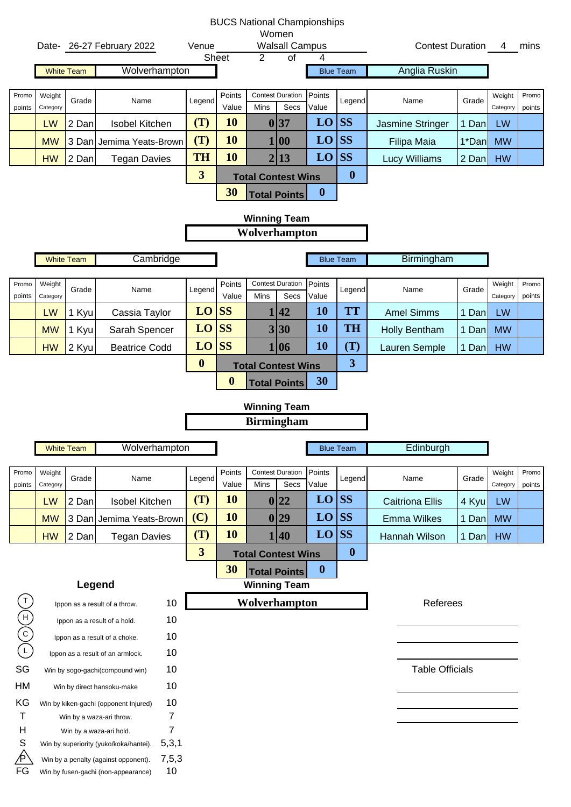|                                |                    |                   |                                                                                 |                         |                  | <b>BUCS National Championships</b>         |                 |                  |                               |                         |       |                    |                 |
|--------------------------------|--------------------|-------------------|---------------------------------------------------------------------------------|-------------------------|------------------|--------------------------------------------|-----------------|------------------|-------------------------------|-------------------------|-------|--------------------|-----------------|
|                                |                    |                   | Date- 26-27 February 2022                                                       | Venue                   |                  | Women<br><b>Walsall Campus</b>             |                 |                  |                               | Contest Duration 4 mins |       |                    |                 |
|                                |                    |                   |                                                                                 |                         | Sheet            | 2                                          | $\overline{of}$ | 4                |                               |                         |       |                    |                 |
|                                |                    | <b>White Team</b> | Wolverhampton                                                                   |                         |                  |                                            |                 |                  | <b>Blue Team</b>              | Anglia Ruskin           |       |                    |                 |
| Promo                          | Weight             |                   |                                                                                 |                         | Points           | <b>Contest Duration</b>                    |                 | Points           |                               |                         |       | Weight             | Promo           |
| points                         | Category           | Grade             | Name                                                                            | Legend                  | Value            | Mins                                       | Secs            | Value            | Legend                        | Name                    | Grade | Category           | points          |
|                                | LW                 | 2 Dan             | <b>Isobel Kitchen</b>                                                           | (T)                     | <b>10</b>        | 0 37                                       |                 | LO               | <b>SS</b>                     | Jasmine Stringer        | 1 Dan | LW                 |                 |
|                                | <b>MW</b>          |                   | 3 Dan Jemima Yeats-Brown                                                        | (T)                     | 10               | 1 00                                       |                 | LO               | <b>SS</b>                     | Filipa Maia             | 1*Dan | <b>MW</b>          |                 |
|                                | <b>HW</b>          | 2 Dan             | <b>Tegan Davies</b>                                                             | <b>TH</b>               | 10               | 2 13                                       |                 | LO               | <b>SS</b>                     | <b>Lucy Williams</b>    | 2 Dan | <b>HW</b>          |                 |
|                                |                    |                   |                                                                                 | $\overline{\mathbf{3}}$ |                  | <b>Total Contest Wins</b>                  |                 |                  | $\boldsymbol{0}$              |                         |       |                    |                 |
|                                |                    |                   |                                                                                 |                         | 30               | <b>Total Points</b>                        |                 | $\boldsymbol{0}$ |                               |                         |       |                    |                 |
|                                |                    |                   |                                                                                 |                         |                  | <b>Winning Team</b>                        |                 |                  |                               |                         |       |                    |                 |
|                                |                    |                   |                                                                                 |                         |                  | Wolverhampton                              |                 |                  |                               |                         |       |                    |                 |
|                                |                    | <b>White Team</b> | Cambridge                                                                       |                         |                  |                                            |                 |                  | <b>Blue Team</b>              | Birmingham              |       |                    |                 |
|                                |                    |                   |                                                                                 |                         |                  |                                            |                 |                  |                               |                         |       |                    |                 |
| Promo<br>points                | Weight<br>Category | Grade             | Name                                                                            | Legend                  | Points<br>Value  | <b>Contest Duration</b><br>Mins            | Secs            | Points<br>Value  | Legend                        | Name                    | Grade | Weight<br>Category | Promo<br>points |
|                                | LW                 | 1 Kyu             | Cassia Taylor                                                                   | $LO$ SS                 |                  | 1 42                                       |                 | <b>10</b>        | <b>TT</b>                     | <b>Amel Simms</b>       | 1 Dan | LW                 |                 |
|                                | <b>MW</b>          | 1 Kyu             | Sarah Spencer                                                                   | LO                      | <b>SS</b>        | 3 30                                       |                 | <b>10</b>        | <b>TH</b>                     | <b>Holly Bentham</b>    | 1 Dan | <b>MW</b>          |                 |
|                                | <b>HW</b>          | 2 Kyu             | <b>Beatrice Codd</b>                                                            | $LO$ SS                 |                  | 1 06                                       |                 | <b>10</b>        | (T)                           | Lauren Semple           | 1 Dan | <b>HW</b>          |                 |
|                                |                    |                   |                                                                                 | $\boldsymbol{0}$        |                  | <b>Total Contest Wins</b>                  |                 |                  | $\overline{\mathbf{3}}$       |                         |       |                    |                 |
|                                |                    |                   |                                                                                 |                         | $\boldsymbol{0}$ | <b>Total Points</b>                        |                 | 30               |                               |                         |       |                    |                 |
|                                |                    |                   |                                                                                 |                         |                  |                                            |                 |                  |                               |                         |       |                    |                 |
|                                |                    |                   |                                                                                 |                         |                  | <b>Winning Team</b>                        |                 |                  |                               |                         |       |                    |                 |
|                                |                    |                   |                                                                                 |                         |                  | <b>Birmingham</b>                          |                 |                  |                               |                         |       |                    |                 |
|                                |                    |                   |                                                                                 |                         |                  |                                            |                 |                  |                               |                         |       |                    |                 |
|                                |                    | <b>White Team</b> | Wolverhampton                                                                   |                         |                  |                                            |                 |                  | <b>Blue Team</b>              | Edinburgh               |       |                    |                 |
| Promo                          | Weight             | Grade             | Name                                                                            | Legend                  | Points           | <b>Contest Duration</b>                    |                 | Points           | Legend                        | Name                    | Grade | Weight             | Promo           |
| points                         | Category           |                   |                                                                                 |                         | Value            | Mins                                       | Secs            | Value            |                               |                         |       | Category           | points          |
|                                | LW                 | 2 Dan             | Isobel Kitchen                                                                  | (T)                     | <b>10</b>        | 0 22                                       |                 | LO               | <b>SS</b>                     | <b>Caitriona Ellis</b>  | 4 Kyu | LW                 |                 |
|                                | <b>MW</b>          |                   | 3 Dan Jemima Yeats-Brown                                                        | (C)                     | 10               | 0 29                                       |                 | LO               | <b>SS</b>                     | <b>Emma Wilkes</b>      | 1 Dan | <b>MW</b>          |                 |
|                                | <b>HW</b>          | 2 Dan             | <b>Tegan Davies</b>                                                             | (T)<br>3                | <b>10</b>        | 1 40                                       |                 | LO               | <b>SS</b><br>$\boldsymbol{0}$ | Hannah Wilson           | 1 Dan | <b>HW</b>          |                 |
|                                |                    |                   |                                                                                 |                         | 30               | <b>Total Contest Wins</b>                  |                 | $\boldsymbol{0}$ |                               |                         |       |                    |                 |
|                                |                    |                   | Legend                                                                          |                         |                  | <b>Total Points</b><br><b>Winning Team</b> |                 |                  |                               |                         |       |                    |                 |
|                                |                    |                   | 10<br>Ippon as a result of a throw.                                             |                         |                  | Wolverhampton                              |                 |                  |                               | Referees                |       |                    |                 |
|                                |                    |                   | 10<br>Ippon as a result of a hold.                                              |                         |                  |                                            |                 |                  |                               |                         |       |                    |                 |
|                                |                    |                   | 10<br>Ippon as a result of a choke.                                             |                         |                  |                                            |                 |                  |                               |                         |       |                    |                 |
| $\lambda(c)(\pm)$<br>$\bigcup$ |                    |                   | 10<br>Ippon as a result of an armlock.                                          |                         |                  |                                            |                 |                  |                               |                         |       |                    |                 |
| SG                             |                    |                   | 10<br>Win by sogo-gachi(compound win)                                           |                         |                  |                                            |                 |                  |                               | <b>Table Officials</b>  |       |                    |                 |
| HM                             |                    |                   | 10<br>Win by direct hansoku-make                                                |                         |                  |                                            |                 |                  |                               |                         |       |                    |                 |
| KG                             |                    |                   | 10<br>Win by kiken-gachi (opponent Injured)                                     |                         |                  |                                            |                 |                  |                               |                         |       |                    |                 |
| Т                              |                    |                   | 7<br>Win by a waza-ari throw.                                                   |                         |                  |                                            |                 |                  |                               |                         |       |                    |                 |
| H<br>S                         |                    |                   | 7<br>Win by a waza-ari hold.<br>5,3,1<br>Win by superiority (yuko/koka/hantei). |                         |                  |                                            |                 |                  |                               |                         |       |                    |                 |
| ⁄P<br>FG                       |                    |                   | 7,5,3<br>Win by a penalty (against opponent).<br>10                             |                         |                  |                                            |                 |                  |                               |                         |       |                    |                 |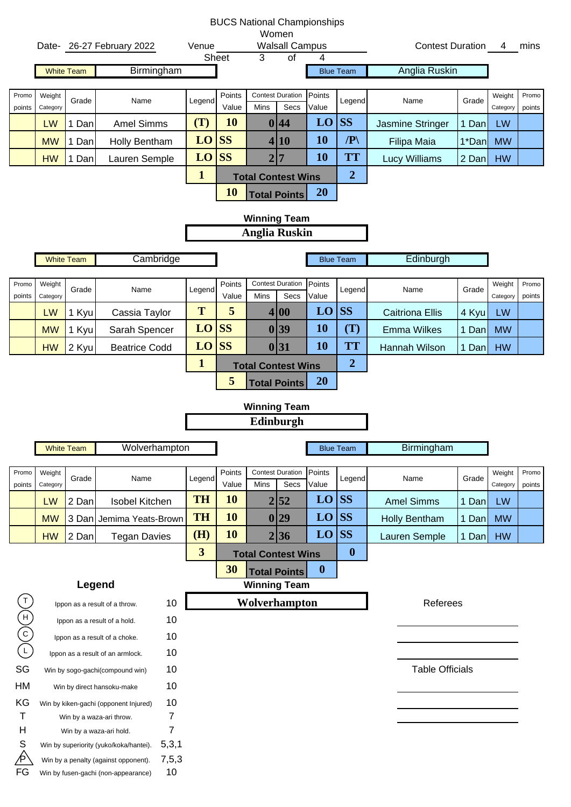|               |           |                   |                                                               |                         |           | <b>BUCS National Championships</b> |                  |                        |                        |       |           |        |
|---------------|-----------|-------------------|---------------------------------------------------------------|-------------------------|-----------|------------------------------------|------------------|------------------------|------------------------|-------|-----------|--------|
|               |           |                   |                                                               | Venue                   |           | Women<br><b>Walsall Campus</b>     |                  |                        | Contest Duration 4     |       |           | mins   |
|               |           |                   | Date- 26-27 February 2022                                     |                         | Sheet     | $\overline{of}$<br>3               |                  |                        |                        |       |           |        |
|               |           | <b>White Team</b> | Birmingham                                                    |                         |           |                                    |                  | <b>Blue Team</b>       | Anglia Ruskin          |       |           |        |
| Promo         | Weight    |                   |                                                               |                         | Points    | <b>Contest Duration</b>            | Points           |                        |                        |       | Weight    | Promo  |
| points        | Category  | Grade             | Name                                                          | Legend                  | Value     | Secs<br>Mins                       | Value            | Legend                 | Name                   | Grade | Category  | points |
|               | LW        | 1 Dan             | <b>Amel Simms</b>                                             | (T)                     | <b>10</b> | 0 44                               | LO               | <b>SS</b>              | Jasmine Stringer       | 1 Dan | LW        |        |
|               | <b>MW</b> | 1 Dan             | Holly Bentham                                                 | LO                      | <b>SS</b> | 4 10                               | <b>10</b>        | $\mathbb{P} \setminus$ | Filipa Maia            | 1*Dan | <b>MW</b> |        |
|               | <b>HW</b> | 1 Dan             | Lauren Semple                                                 | LO                      | <b>SS</b> | $\overline{7}$<br>$\overline{2}$   | 10               | <b>TT</b>              | <b>Lucy Williams</b>   | 2 Dan | <b>HW</b> |        |
|               |           |                   |                                                               | $\mathbf{1}$            |           | <b>Total Contest Wins</b>          |                  | $\overline{2}$         |                        |       |           |        |
|               |           |                   |                                                               |                         | <b>10</b> | <b>Total Points</b>                | <b>20</b>        |                        |                        |       |           |        |
|               |           |                   |                                                               |                         |           | <b>Winning Team</b>                |                  |                        |                        |       |           |        |
|               |           |                   |                                                               |                         |           | <b>Anglia Ruskin</b>               |                  |                        |                        |       |           |        |
|               |           |                   |                                                               |                         |           |                                    |                  |                        |                        |       |           |        |
|               |           | <b>White Team</b> | Cambridge                                                     |                         |           |                                    |                  | <b>Blue Team</b>       | Edinburgh              |       |           |        |
| Promo         | Weight    |                   |                                                               |                         | Points    | <b>Contest Duration</b>            | Points           |                        |                        |       | Weight    | Promo  |
| points        | Category  | Grade             | Name                                                          | Legend                  | Value     | Secs<br>Mins                       | Value            | Legend                 | Name                   | Grade | Category  | points |
|               | LW        | 1 Kyu             | Cassia Taylor                                                 | T                       | 5         | 4 00                               | LO               | <b>SS</b>              | <b>Caitriona Ellis</b> | 4 Kyu | LW        |        |
|               | <b>MW</b> | 1 Kyu             | Sarah Spencer                                                 | LO                      | <b>SS</b> | 0 39                               | <b>10</b>        | (T)                    | <b>Emma Wilkes</b>     | 1 Dan | <b>MW</b> |        |
|               | <b>HW</b> | 2 Kyu             | <b>Beatrice Codd</b>                                          | LO                      | <b>SS</b> | 0 31                               | <b>10</b>        | <b>TT</b>              | Hannah Wilson          | 1 Dan | <b>HW</b> |        |
|               |           |                   |                                                               | $\mathbf{1}$            |           | <b>Total Contest Wins</b>          |                  | $\boldsymbol{2}$       |                        |       |           |        |
|               |           |                   |                                                               |                         | 5         | <b>Total Points</b>                | <b>20</b>        |                        |                        |       |           |        |
|               |           |                   |                                                               |                         |           |                                    |                  |                        |                        |       |           |        |
|               |           |                   |                                                               |                         |           |                                    |                  |                        |                        |       |           |        |
|               |           |                   |                                                               |                         |           | <b>Winning Team</b><br>Edinburgh   |                  |                        |                        |       |           |        |
|               |           |                   |                                                               |                         |           |                                    |                  |                        |                        |       |           |        |
|               |           | <b>White Team</b> | Wolverhampton                                                 |                         |           |                                    |                  | <b>Blue Team</b>       | Birmingham             |       |           |        |
| Promo         | Weight    |                   |                                                               |                         | Points    | <b>Contest Duration</b>            | Points           |                        |                        |       | Weight    | Promo  |
| points        | Category  | Grade             | Name                                                          | Legend                  | Value     | Mins<br>Secs                       | Value            | Legend                 | Name                   | Grade | Category  | points |
|               | <b>LW</b> | 2 Dan             | Isobel Kitchen                                                | <b>TH</b>               | <b>10</b> | 2 52                               | LO               | <b>SS</b>              | <b>Amel Simms</b>      | 1 Dan | LW        |        |
|               | <b>MW</b> |                   | 3 Dan Jemima Yeats-Brown                                      | <b>TH</b>               | <b>10</b> | 29<br>$\boldsymbol{0}$             | LO               | <b>SS</b>              | Holly Bentham          | 1 Dan | <b>MW</b> |        |
|               | <b>HW</b> | 2 Dan             | <b>Tegan Davies</b>                                           | (H)                     | <b>10</b> | 2 36                               | LO               | <b>SS</b>              | Lauren Semple          | 1 Dan | <b>HW</b> |        |
|               |           |                   |                                                               | $\overline{\mathbf{3}}$ |           | <b>Total Contest Wins</b>          |                  | $\boldsymbol{0}$       |                        |       |           |        |
|               |           |                   |                                                               |                         | 30        | <b>Total Points</b>                | $\boldsymbol{0}$ |                        |                        |       |           |        |
|               |           | Legend            |                                                               |                         |           | <b>Winning Team</b>                |                  |                        |                        |       |           |        |
|               |           |                   | 10<br>Ippon as a result of a throw.                           |                         |           | Wolverhampton                      |                  |                        | Referees               |       |           |        |
|               |           |                   | 10<br>Ippon as a result of a hold.                            |                         |           |                                    |                  |                        |                        |       |           |        |
|               |           |                   | 10<br>Ippon as a result of a choke.                           |                         |           |                                    |                  |                        |                        |       |           |        |
| $(-)(c)(\pm)$ |           |                   | 10<br>Ippon as a result of an armlock.                        |                         |           |                                    |                  |                        |                        |       |           |        |
| SG            |           |                   | 10<br>Win by sogo-gachi(compound win)                         |                         |           |                                    |                  |                        | <b>Table Officials</b> |       |           |        |
| HM            |           |                   | 10<br>Win by direct hansoku-make                              |                         |           |                                    |                  |                        |                        |       |           |        |
| KG            |           |                   | 10<br>Win by kiken-gachi (opponent Injured)                   |                         |           |                                    |                  |                        |                        |       |           |        |
| Τ<br>H        |           |                   | 7<br>Win by a waza-ari throw.<br>7<br>Win by a waza-ari hold. |                         |           |                                    |                  |                        |                        |       |           |        |
| S             |           |                   | 5,3,1<br>Win by superiority (yuko/koka/hantei).               |                         |           |                                    |                  |                        |                        |       |           |        |
| ∕P<br>FG      |           |                   | 7,5,3<br>Win by a penalty (against opponent).<br>$10$         |                         |           |                                    |                  |                        |                        |       |           |        |